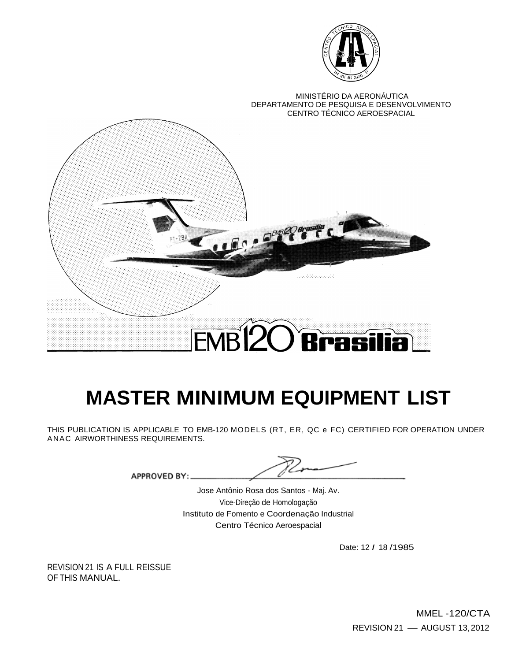

#### MINISTÉRIO DA AERONÁUTICA DEPARTAMENTO DE PESQUISA E DESENVOLVIMENTO CENTRO TÉCNICO AEROESPACIAL



# **MASTER MINIMUM EQUIPMENT LIST**

THIS PUBLICATION IS APPLICABLE TO EMB-120 MODELS (RT, ER, QC e FC) CERTIFIED FOR OPERATION UNDER ANAC AIRWORTHINESS REQUIREMENTS.

APPROVED BY: \_

Jose Antônio Rosa dos Santos - Maj. Av. Vice-Direção de Homologação Instituto de Fomento e Coordenação Industrial Centro Técnico Aeroespacial

Date: 12 *I* 18 /1985

REVISION 21 IS A FULL REISSUE OF THIS MANUAL.

> MMEL -120/CTA REVISION 21 – AUGUST 13, 2012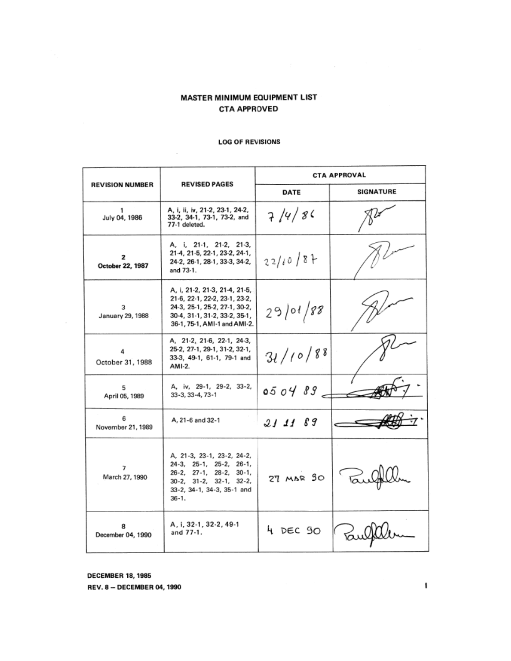#### MASTER MINIMUM EQUIPMENT LIST **CTA APPROVED**

 $\mathcal{A}^{\mathcal{A}}$  , and  $\mathcal{A}^{\mathcal{A}}$  , and

|                        |                                                                                                                                                                  | <b>CTA APPROVAL</b> |                  |  |
|------------------------|------------------------------------------------------------------------------------------------------------------------------------------------------------------|---------------------|------------------|--|
| <b>REVISION NUMBER</b> | <b>REVISED PAGES</b>                                                                                                                                             | <b>DATE</b>         | <b>SIGNATURE</b> |  |
| July 04, 1986          | A, i, ii, iv, 21-2, 23-1, 24-2,<br>33-2, 34-1, 73-1, 73-2, and<br>77-1 deleted.                                                                                  | 7 /4 / 8 (          |                  |  |
| 2<br>October 22, 1987  | A, i, 21-1, 21-2, 21-3,<br>21-4, 21-5, 22-1, 23-2, 24-1,<br>24-2, 26-1, 28-1, 33-3, 34-2,<br>and 73-1.                                                           | 22/10/87            |                  |  |
| з<br>January 29, 1988  | A, i, 21-2, 21-3, 21-4, 21-5,<br>21-6, 22-1, 22-2, 23-1, 23-2,<br>24-3, 25-1, 25-2, 27-1, 30-2,<br>30-4, 31-1, 31-2, 33-2, 35-1,<br>36-1, 75-1, AMI-1 and AMI-2. | 29/01/88            |                  |  |
| 4<br>October 31, 1988  | A, 21-2, 21-6, 22-1, 24-3,<br>25-2, 27-1, 29-1, 31-2, 32-1,<br>33-3, 49-1, 61-1, 79-1 and<br>AMI-2.                                                              | 31/10/88            |                  |  |
| 5<br>April 05, 1989    | A, iv, 29-1, 29-2, 33-2,<br>33-3, 33-4, 73-1                                                                                                                     | 050489              |                  |  |
| R<br>November 21, 1989 | A, 21-6 and 32-1                                                                                                                                                 | 211189              |                  |  |
| 7<br>March 27, 1990    | A, 21-3, 23-1, 23-2, 24-2,<br>24-3, 25-1, 25-2, 26-1,<br>26-2, 27-1, 28-2, 30-1,<br>30-2, 31-2, 32-1, 32-2,<br>33-2, 34-1, 34-3, 35-1 and<br>$36-1.$             | 27 MAR 50           | aul              |  |
| 8<br>December 04, 1990 | A, i, 32-1, 32-2, 49-1<br>and 77-1.                                                                                                                              | 4 DEC 90            | Гau              |  |

#### **LOG OF REVISIONS**

**DECEMBER 18, 1985** REV. 8 - DECEMBER 04, 1990

 $\lambda$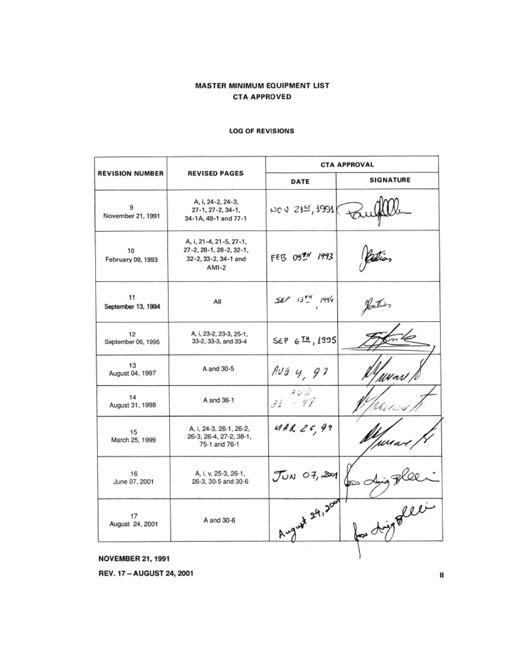#### MASTER MINIMUM EQUIPMENT LIST **CTA APPROVED**

#### **LOG OF REVISIONS**

|                          |                                                                                     |                                | <b>CTA APPROVAL</b>      |
|--------------------------|-------------------------------------------------------------------------------------|--------------------------------|--------------------------|
| <b>REVISION NUMBER</b>   | <b>REVISED PAGES</b>                                                                | <b>DATE</b>                    | <b>SIGNATURE</b>         |
| 9<br>November 21, 1991   | A, i, 24-2, 24-3,<br>27-1, 27-2, 34-1,<br>34-1A, 49-1 and 77-1                      | hon Stal 1001                  |                          |
| 10<br>February 09, 1993  | A, i, 21-4, 21-5, 27-1,<br>27-2, 28-1, 28-2, 32-1,<br>32-2, 33-2, 34-1 and<br>AMI-2 | FEB 0924 1993                  | astion                   |
| 11<br>September 13, 1994 | All                                                                                 | $560^{\circ}$ $13^{14}$ $1996$ | Jation                   |
| 12<br>September 06, 1995 | A, i, 23-2, 23-3, 25-1,<br>33-2, 33-3, and 33-4                                     | SEP 6 III, 1995                |                          |
| 13<br>August 04, 1997    | A and 30-5                                                                          | $AVB$ 4, 97                    | 'M4as                    |
| 14<br>August 31, 1998    | A and 36-1                                                                          | $A\cup\tilde{G}$<br>$31 - 47$  | Utar                     |
| 15<br>March 25, 1999     | A, i, 24-3, 26-1, 26-2,<br>26-3, 26-4, 27-2, 38-1,<br>75-1 and 76-1                 | MAR $25, 99$                   |                          |
| 16<br>June 07, 2001      | A, i, v, 25-3, 26-1,<br>26-3, 30-5 and 30-6                                         | $T_{UN}$ 07,2001               |                          |
| 17<br>August 24, 2001    | A and 30-6                                                                          | August 24,200                  | welling<br>$\rightarrow$ |

**NOVEMBER 21, 1991** 

REV. 17-AUGUST 24, 2001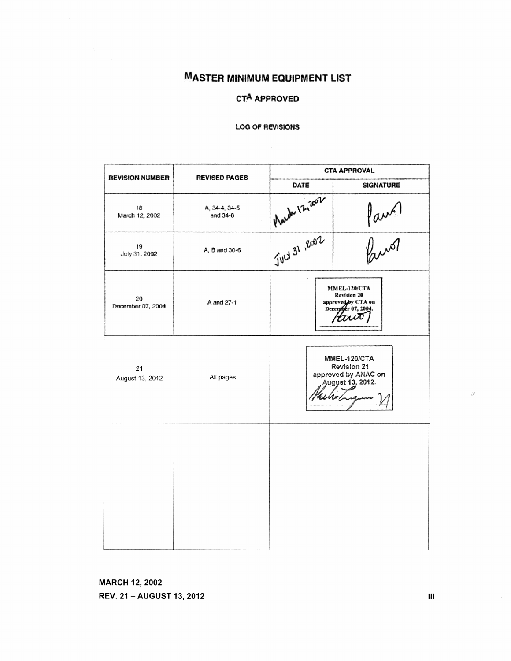## NIMUM EQUIPMEN

## APPHOVE<mark>l</mark>

#### LOG OF REVISIONS

|                         |                           |                         | <b>CTA APPROVAL</b>                                                           |
|-------------------------|---------------------------|-------------------------|-------------------------------------------------------------------------------|
| <b>REVISION NUMBER</b>  | <b>REVISED PAGES</b>      | DATE                    | <b>SIGNATURE</b>                                                              |
| 18<br>March 12, 2002    | A, 34-4, 34-5<br>and 34-6 | Marche 12 2022          | Paurs<br>Paurs                                                                |
| 19<br>July 31, 2002     | A, B and 30-6             | Jul <sup>31, 2002</sup> |                                                                               |
| 20<br>December 07, 2004 | A and 27-1                |                         | MMEL-120/CTA<br>Revision 20<br>approved by CTA on<br>December 07, 2004.       |
| 21<br>August 13, 2012   | All pages                 |                         | MMEL-120/CTA<br><b>Revision 21</b><br>approved by ANAC on<br>August 13, 2012. |
|                         |                           |                         |                                                                               |

a <sup>74</sup>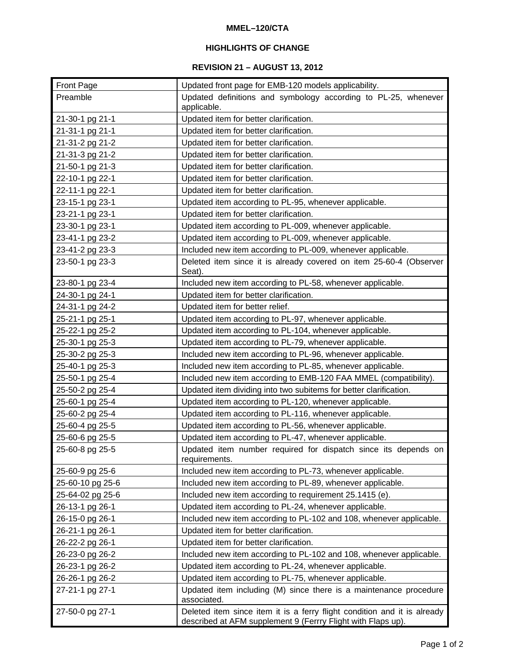# **MMEL–120/CTA**

# **HIGHLIGHTS OF CHANGE**

# **REVISION 21 – AUGUST 13, 2012**

| Front Page       | Updated front page for EMB-120 models applicability.                                                                                     |
|------------------|------------------------------------------------------------------------------------------------------------------------------------------|
| Preamble         | Updated definitions and symbology according to PL-25, whenever<br>applicable.                                                            |
| 21-30-1 pg 21-1  | Updated item for better clarification.                                                                                                   |
| 21-31-1 pg 21-1  | Updated item for better clarification.                                                                                                   |
| 21-31-2 pg 21-2  | Updated item for better clarification.                                                                                                   |
| 21-31-3 pg 21-2  | Updated item for better clarification.                                                                                                   |
| 21-50-1 pg 21-3  | Updated item for better clarification.                                                                                                   |
| 22-10-1 pg 22-1  | Updated item for better clarification.                                                                                                   |
| 22-11-1 pg 22-1  | Updated item for better clarification.                                                                                                   |
| 23-15-1 pg 23-1  | Updated item according to PL-95, whenever applicable.                                                                                    |
| 23-21-1 pg 23-1  | Updated item for better clarification.                                                                                                   |
| 23-30-1 pg 23-1  | Updated item according to PL-009, whenever applicable.                                                                                   |
| 23-41-1 pg 23-2  | Updated item according to PL-009, whenever applicable.                                                                                   |
| 23-41-2 pg 23-3  | Included new item according to PL-009, whenever applicable.                                                                              |
| 23-50-1 pg 23-3  | Deleted item since it is already covered on item 25-60-4 (Observer<br>Seat).                                                             |
| 23-80-1 pg 23-4  | Included new item according to PL-58, whenever applicable.                                                                               |
| 24-30-1 pg 24-1  | Updated item for better clarification.                                                                                                   |
| 24-31-1 pg 24-2  | Updated item for better relief.                                                                                                          |
| 25-21-1 pg 25-1  | Updated item according to PL-97, whenever applicable.                                                                                    |
| 25-22-1 pg 25-2  | Updated item according to PL-104, whenever applicable.                                                                                   |
| 25-30-1 pg 25-3  | Updated item according to PL-79, whenever applicable.                                                                                    |
| 25-30-2 pg 25-3  | Included new item according to PL-96, whenever applicable.                                                                               |
| 25-40-1 pg 25-3  | Included new item according to PL-85, whenever applicable.                                                                               |
| 25-50-1 pg 25-4  | Included new item according to EMB-120 FAA MMEL (compatibility).                                                                         |
| 25-50-2 pg 25-4  | Updated item dividing into two subitems for better clarification.                                                                        |
| 25-60-1 pg 25-4  | Updated item according to PL-120, whenever applicable.                                                                                   |
| 25-60-2 pg 25-4  | Updated item according to PL-116, whenever applicable.                                                                                   |
| 25-60-4 pg 25-5  | Updated item according to PL-56, whenever applicable.                                                                                    |
| 25-60-6 pg 25-5  | Updated item according to PL-47, whenever applicable.                                                                                    |
| 25-60-8 pg 25-5  | Updated item number required for dispatch since its depends on<br>requirements.                                                          |
| 25-60-9 pg 25-6  | Included new item according to PL-73, whenever applicable.                                                                               |
| 25-60-10 pg 25-6 | Included new item according to PL-89, whenever applicable.                                                                               |
| 25-64-02 pg 25-6 | Included new item according to requirement 25.1415 (e).                                                                                  |
| 26-13-1 pg 26-1  | Updated item according to PL-24, whenever applicable.                                                                                    |
| 26-15-0 pg 26-1  | Included new item according to PL-102 and 108, whenever applicable.                                                                      |
| 26-21-1 pg 26-1  | Updated item for better clarification.                                                                                                   |
| 26-22-2 pg 26-1  | Updated item for better clarification.                                                                                                   |
| 26-23-0 pg 26-2  | Included new item according to PL-102 and 108, whenever applicable.                                                                      |
| 26-23-1 pg 26-2  | Updated item according to PL-24, whenever applicable.                                                                                    |
| 26-26-1 pg 26-2  | Updated item according to PL-75, whenever applicable.                                                                                    |
| 27-21-1 pg 27-1  | Updated item including (M) since there is a maintenance procedure<br>associated.                                                         |
| 27-50-0 pg 27-1  | Deleted item since item it is a ferry flight condition and it is already<br>described at AFM supplement 9 (Ferrry Flight with Flaps up). |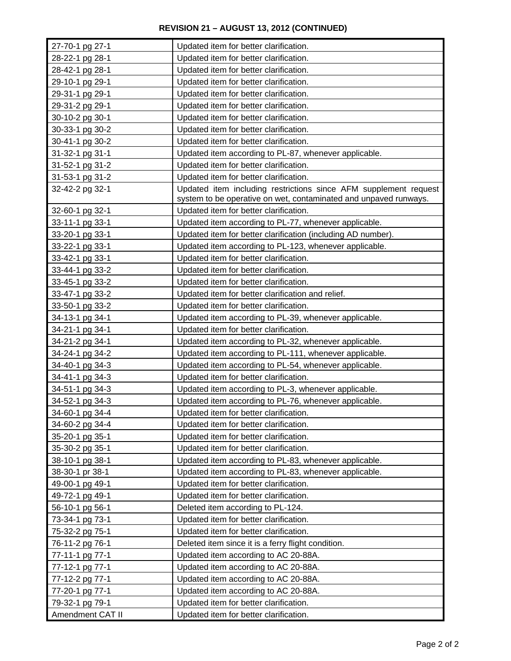# **REVISION 21 – AUGUST 13, 2012 (CONTINUED)**

| 27-70-1 pg 27-1  | Updated item for better clarification.                                                                                               |
|------------------|--------------------------------------------------------------------------------------------------------------------------------------|
| 28-22-1 pg 28-1  | Updated item for better clarification.                                                                                               |
| 28-42-1 pg 28-1  | Updated item for better clarification.                                                                                               |
| 29-10-1 pg 29-1  | Updated item for better clarification.                                                                                               |
| 29-31-1 pg 29-1  | Updated item for better clarification.                                                                                               |
| 29-31-2 pg 29-1  | Updated item for better clarification.                                                                                               |
| 30-10-2 pg 30-1  | Updated item for better clarification.                                                                                               |
| 30-33-1 pg 30-2  | Updated item for better clarification.                                                                                               |
| 30-41-1 pg 30-2  | Updated item for better clarification.                                                                                               |
| 31-32-1 pg 31-1  | Updated item according to PL-87, whenever applicable.                                                                                |
| 31-52-1 pg 31-2  | Updated item for better clarification.                                                                                               |
| 31-53-1 pg 31-2  | Updated item for better clarification.                                                                                               |
| 32-42-2 pg 32-1  | Updated item including restrictions since AFM supplement request<br>system to be operative on wet, contaminated and unpaved runways. |
| 32-60-1 pg 32-1  | Updated item for better clarification.                                                                                               |
| 33-11-1 pg 33-1  | Updated item according to PL-77, whenever applicable.                                                                                |
| 33-20-1 pg 33-1  | Updated item for better clarification (including AD number).                                                                         |
| 33-22-1 pg 33-1  | Updated item according to PL-123, whenever applicable.                                                                               |
| 33-42-1 pg 33-1  | Updated item for better clarification.                                                                                               |
| 33-44-1 pg 33-2  | Updated item for better clarification.                                                                                               |
| 33-45-1 pg 33-2  | Updated item for better clarification.                                                                                               |
| 33-47-1 pg 33-2  | Updated item for better clarification and relief.                                                                                    |
| 33-50-1 pg 33-2  | Updated item for better clarification.                                                                                               |
| 34-13-1 pg 34-1  | Updated item according to PL-39, whenever applicable.                                                                                |
| 34-21-1 pg 34-1  | Updated item for better clarification.                                                                                               |
| 34-21-2 pg 34-1  | Updated item according to PL-32, whenever applicable.                                                                                |
| 34-24-1 pg 34-2  | Updated item according to PL-111, whenever applicable.                                                                               |
| 34-40-1 pg 34-3  | Updated item according to PL-54, whenever applicable.                                                                                |
| 34-41-1 pg 34-3  | Updated item for better clarification.                                                                                               |
| 34-51-1 pg 34-3  | Updated item according to PL-3, whenever applicable.                                                                                 |
| 34-52-1 pg 34-3  | Updated item according to PL-76, whenever applicable.                                                                                |
| 34-60-1 pg 34-4  | Updated item for better clarification.                                                                                               |
| 34-60-2 pg 34-4  | Updated item for better clarification.                                                                                               |
| 35-20-1 pg 35-1  | Updated item for better clarification.                                                                                               |
| 35-30-2 pg 35-1  | Updated item for better clarification.                                                                                               |
| 38-10-1 pg 38-1  | Updated item according to PL-83, whenever applicable.                                                                                |
| 38-30-1 pr 38-1  | Updated item according to PL-83, whenever applicable.                                                                                |
| 49-00-1 pg 49-1  | Updated item for better clarification.                                                                                               |
| 49-72-1 pg 49-1  | Updated item for better clarification.                                                                                               |
| 56-10-1 pg 56-1  | Deleted item according to PL-124.                                                                                                    |
| 73-34-1 pg 73-1  | Updated item for better clarification.                                                                                               |
| 75-32-2 pg 75-1  | Updated item for better clarification.                                                                                               |
| 76-11-2 pg 76-1  | Deleted item since it is a ferry flight condition.                                                                                   |
| 77-11-1 pg 77-1  | Updated item according to AC 20-88A.                                                                                                 |
| 77-12-1 pg 77-1  | Updated item according to AC 20-88A.                                                                                                 |
| 77-12-2 pg 77-1  | Updated item according to AC 20-88A.                                                                                                 |
| 77-20-1 pg 77-1  | Updated item according to AC 20-88A.                                                                                                 |
| 79-32-1 pg 79-1  | Updated item for better clarification.                                                                                               |
| Amendment CAT II | Updated item for better clarification.                                                                                               |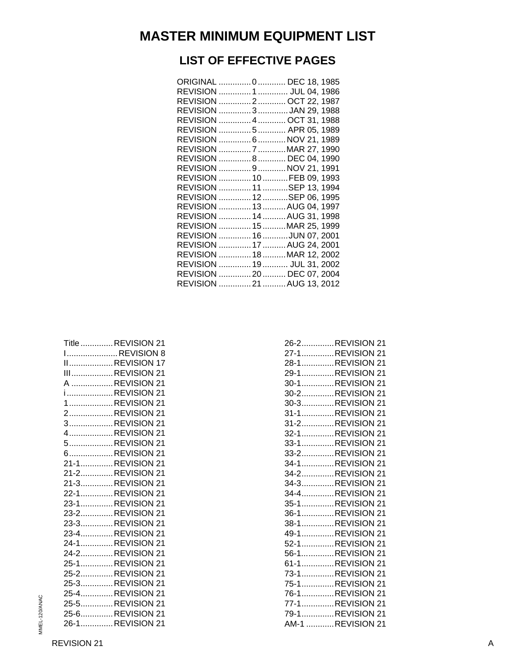# **MASTER MINIMUM EQUIPMENT LIST**

# **LIST OF EFFECTIVE PAGES**

|  | ORIGINAL  0  DEC 18, 1985  |
|--|----------------------------|
|  | REVISION  1  JUL 04, 1986  |
|  | REVISION 2  OCT 22, 1987   |
|  | REVISION 3  JAN 29, 1988   |
|  | REVISION  4  OCT 31, 1988  |
|  | REVISION 5  APR 05, 1989   |
|  | REVISION 6 NOV 21, 1989    |
|  | REVISION 7  MAR 27, 1990   |
|  | REVISION 8  DEC 04, 1990   |
|  | REVISION 9  NOV 21, 1991   |
|  | REVISION  10 FEB 09, 1993  |
|  | REVISION  11 SEP 13, 1994  |
|  | REVISION  12 SEP 06, 1995  |
|  | REVISION  13  AUG 04, 1997 |
|  | REVISION  14  AUG 31, 1998 |
|  | REVISION  15  MAR 25, 1999 |
|  | REVISION  16 JUN 07, 2001  |
|  | REVISION  17  AUG 24, 2001 |
|  | REVISION  18  MAR 12, 2002 |
|  | REVISION  19  JUL 31, 2002 |
|  | REVISION 20  DEC 07, 2004  |
|  | REVISION 21  AUG 13, 2012  |
|  |                            |

| Title REVISION 21 |  |
|-------------------|--|
| IREVISION 8       |  |
| IIREVISION 17     |  |
| IIIREVISION 21    |  |
| A REVISION 21     |  |
| i REVISION 21     |  |
| 1REVISION 21      |  |
| 2REVISION 21      |  |
|                   |  |
| 4REVISION 21      |  |
| 5REVISION 21      |  |
|                   |  |
|                   |  |
| 21-2REVISION 21   |  |
| 21-3REVISION 21   |  |
|                   |  |
| 23-1REVISION 21   |  |
| 23-2REVISION 21   |  |
| 23-3REVISION 21   |  |
| 23-4REVISION 21   |  |
| 24-1REVISION 21   |  |
| 24-2REVISION 21   |  |
| 25-1REVISION 21   |  |
| 25-2REVISION 21   |  |
| 25-3REVISION 21   |  |
| 25-4REVISION 21   |  |
| 25-5REVISION 21   |  |
| 25-6REVISION 21   |  |
| 26-1REVISION 21   |  |

| 26-2REVISION 21  |
|------------------|
| 27-1REVISION 21  |
|                  |
| 29-1REVISION 21  |
| 30-1REVISION 21  |
| 30-2REVISION 21  |
| 30-3REVISION 21  |
| 31-1REVISION 21  |
|                  |
| 32-1REVISION 21  |
| 33-1REVISION 21  |
| 33-2REVISION 21  |
| 34-1REVISION 21  |
| 34-2REVISION 21  |
| 34-3REVISION 21  |
| 34-4REVISION 21  |
| 35-1REVISION 21  |
| 36-1REVISION 21  |
| 38-1REVISION 21  |
| 49-1REVISION 21  |
| 52-1REVISION 21  |
| 56-1REVISION 21  |
| 61-1REVISION 21  |
| 73-1REVISION 21  |
| 75-1REVISION 21  |
|                  |
| 77-1REVISION 21  |
| 79-1REVISION 21  |
| AM-1 REVISION 21 |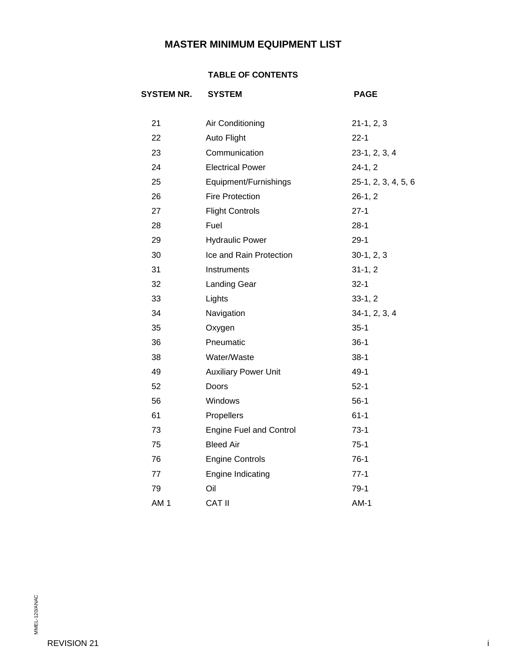# **MASTER MINIMUM EQUIPMENT LIST**

# **TABLE OF CONTENTS**

| SYSTEM NR.      | <b>SYSTEM</b>                  | <b>PAGE</b>         |
|-----------------|--------------------------------|---------------------|
| 21              | Air Conditioning               | $21-1, 2, 3$        |
| 22              | Auto Flight                    | $22 - 1$            |
| 23              | Communication                  | $23-1, 2, 3, 4$     |
| 24              | <b>Electrical Power</b>        | $24-1, 2$           |
| 25              | Equipment/Furnishings          | 25-1, 2, 3, 4, 5, 6 |
| 26              | <b>Fire Protection</b>         | $26-1, 2$           |
| 27              | <b>Flight Controls</b>         | $27-1$              |
| 28              | Fuel                           | $28 - 1$            |
| 29              | <b>Hydraulic Power</b>         | $29-1$              |
| 30              | Ice and Rain Protection        | $30-1, 2, 3$        |
| 31              | Instruments                    | $31-1, 2$           |
| 32              | <b>Landing Gear</b>            | $32 - 1$            |
| 33              | Lights                         | $33-1, 2$           |
| 34              | Navigation                     | $34-1, 2, 3, 4$     |
| 35              | Oxygen                         | $35-1$              |
| 36              | Pneumatic                      | $36-1$              |
| 38              | Water/Waste                    | $38-1$              |
| 49              | <b>Auxiliary Power Unit</b>    | $49 - 1$            |
| 52              | Doors                          | $52 - 1$            |
| 56              | Windows                        | $56-1$              |
| 61              | Propellers                     | $61 - 1$            |
| 73              | <b>Engine Fuel and Control</b> | $73-1$              |
| 75              | <b>Bleed Air</b>               | $75-1$              |
| 76              | <b>Engine Controls</b>         | $76-1$              |
| 77              | <b>Engine Indicating</b>       | 77-1                |
| 79              | Oil                            | $79-1$              |
| AM <sub>1</sub> | <b>CAT II</b>                  | $AM-1$              |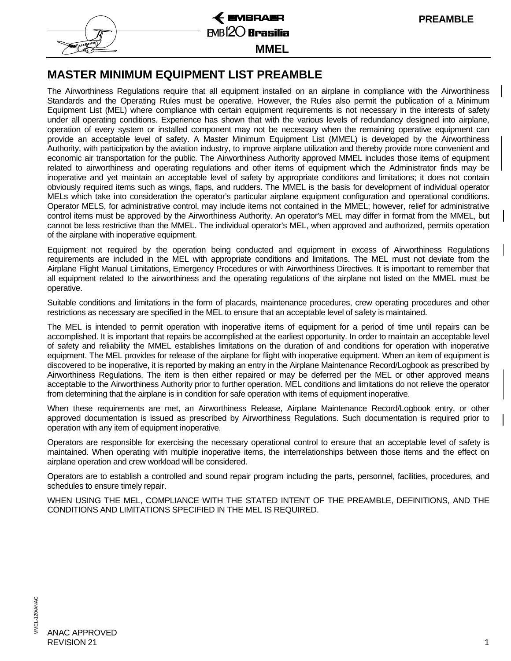



# **MASTER MINIMUM EQUIPMENT LIST PREAMBLE**

The Airworthiness Regulations require that all equipment installed on an airplane in compliance with the Airworthiness Standards and the Operating Rules must be operative. However, the Rules also permit the publication of a Minimum Equipment List (MEL) where compliance with certain equipment requirements is not necessary in the interests of safety under all operating conditions. Experience has shown that with the various levels of redundancy designed into airplane, operation of every system or installed component may not be necessary when the remaining operative equipment can provide an acceptable level of safety. A Master Minimum Equipment List (MMEL) is developed by the Airworthiness Authority, with participation by the aviation industry, to improve airplane utilization and thereby provide more convenient and economic air transportation for the public. The Airworthiness Authority approved MMEL includes those items of equipment related to airworthiness and operating regulations and other items of equipment which the Administrator finds may be inoperative and yet maintain an acceptable level of safety by appropriate conditions and limitations; it does not contain obviously required items such as wings, flaps, and rudders. The MMEL is the basis for development of individual operator MELs which take into consideration the operator's particular airplane equipment configuration and operational conditions. Operator MELS, for administrative control, may include items not contained in the MMEL; however, relief for administrative control items must be approved by the Airworthiness Authority. An operator's MEL may differ in format from the MMEL, but cannot be less restrictive than the MMEL. The individual operator's MEL, when approved and authorized, permits operation of the airplane with inoperative equipment.

Equipment not required by the operation being conducted and equipment in excess of Airworthiness Regulations requirements are included in the MEL with appropriate conditions and limitations. The MEL must not deviate from the Airplane Flight Manual Limitations, Emergency Procedures or with Airworthiness Directives. It is important to remember that all equipment related to the airworthiness and the operating regulations of the airplane not listed on the MMEL must be operative.

Suitable conditions and limitations in the form of placards, maintenance procedures, crew operating procedures and other restrictions as necessary are specified in the MEL to ensure that an acceptable level of safety is maintained.

The MEL is intended to permit operation with inoperative items of equipment for a period of time until repairs can be accomplished. It is important that repairs be accomplished at the earliest opportunity. In order to maintain an acceptable level of safety and reliability the MMEL establishes limitations on the duration of and conditions for operation with inoperative equipment. The MEL provides for release of the airplane for flight with inoperative equipment. When an item of equipment is discovered to be inoperative, it is reported by making an entry in the Airplane Maintenance Record/Logbook as prescribed by Airworthiness Regulations. The item is then either repaired or may be deferred per the MEL or other approved means acceptable to the Airworthiness Authority prior to further operation. MEL conditions and limitations do not relieve the operator from determining that the airplane is in condition for safe operation with items of equipment inoperative.

When these requirements are met, an Airworthiness Release, Airplane Maintenance Record/Logbook entry, or other approved documentation is issued as prescribed by Airworthiness Regulations. Such documentation is required prior to operation with any item of equipment inoperative.

Operators are responsible for exercising the necessary operational control to ensure that an acceptable level of safety is maintained. When operating with multiple inoperative items, the interrelationships between those items and the effect on airplane operation and crew workload will be considered.

Operators are to establish a controlled and sound repair program including the parts, personnel, facilities, procedures, and schedules to ensure timely repair.

WHEN USING THE MEL, COMPLIANCE WITH THE STATED INTENT OF THE PREAMBLE, DEFINITIONS, AND THE CONDITIONS AND LIMITATIONS SPECIFIED IN THE MEL IS REQUIRED.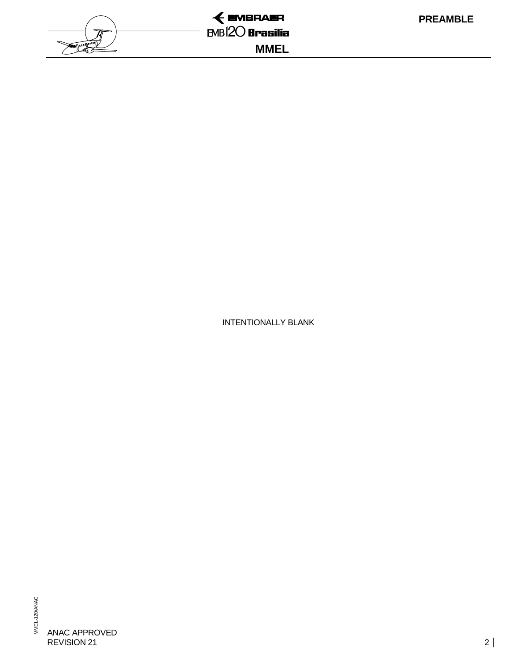INTENTIONALLY BLANK

MMEL-120/ANAC MMEL-120/ANAC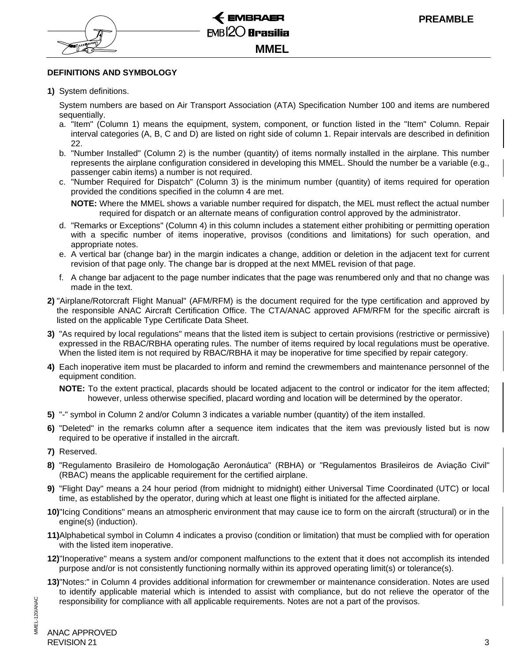

#### **DEFINITIONS AND SYMBOLOGY**

**1)** System definitions.

System numbers are based on Air Transport Association (ATA) Specification Number 100 and items are numbered sequentially.

- a. "Item" (Column 1) means the equipment, system, component, or function listed in the "Item" Column. Repair interval categories (A, B, C and D) are listed on right side of column 1. Repair intervals are described in definition 22.
- b. "Number Installed" (Column 2) is the number (quantity) of items normally installed in the airplane. This number represents the airplane configuration considered in developing this MMEL. Should the number be a variable (e.g., passenger cabin items) a number is not required.
- c. "Number Required for Dispatch" (Column 3) is the minimum number (quantity) of items required for operation provided the conditions specified in the column 4 are met.

**NOTE:** Where the MMEL shows a variable number required for dispatch, the MEL must reflect the actual number required for dispatch or an alternate means of configuration control approved by the administrator.

- d. "Remarks or Exceptions" (Column 4) in this column includes a statement either prohibiting or permitting operation with a specific number of items inoperative, provisos (conditions and limitations) for such operation, and appropriate notes.
- e. A vertical bar (change bar) in the margin indicates a change, addition or deletion in the adjacent text for current revision of that page only. The change bar is dropped at the next MMEL revision of that page.
- f. A change bar adjacent to the page number indicates that the page was renumbered only and that no change was made in the text.
- **2)** "Airplane/Rotorcraft Flight Manual" (AFM/RFM) is the document required for the type certification and approved by the responsible ANAC Aircraft Certification Office. The CTA/ANAC approved AFM/RFM for the specific aircraft is listed on the applicable Type Certificate Data Sheet.
- **3)** "As required by local regulations" means that the listed item is subject to certain provisions (restrictive or permissive) expressed in the RBAC/RBHA operating rules. The number of items required by local regulations must be operative. When the listed item is not required by RBAC/RBHA it may be inoperative for time specified by repair category.
- **4)** Each inoperative item must be placarded to inform and remind the crewmembers and maintenance personnel of the equipment condition.

**NOTE:** To the extent practical, placards should be located adjacent to the control or indicator for the item affected; however, unless otherwise specified, placard wording and location will be determined by the operator.

- **5)** "-" symbol in Column 2 and/or Column 3 indicates a variable number (quantity) of the item installed.
- **6)** "Deleted" in the remarks column after a sequence item indicates that the item was previously listed but is now required to be operative if installed in the aircraft.
- **7)** Reserved.
- **8)** "Regulamento Brasileiro de Homologação Aeronáutica" (RBHA) or "Regulamentos Brasileiros de Aviação Civil" (RBAC) means the applicable requirement for the certified airplane.
- **9)** "Flight Day" means a 24 hour period (from midnight to midnight) either Universal Time Coordinated (UTC) or local time, as established by the operator, during which at least one flight is initiated for the affected airplane.
- **10)**"Icing Conditions" means an atmospheric environment that may cause ice to form on the aircraft (structural) or in the engine(s) (induction).
- **11)**Alphabetical symbol in Column 4 indicates a proviso (condition or limitation) that must be complied with for operation with the listed item inoperative.
- **12)**"Inoperative" means a system and/or component malfunctions to the extent that it does not accomplish its intended purpose and/or is not consistently functioning normally within its approved operating limit(s) or tolerance(s).
- **13)**"Notes:" in Column 4 provides additional information for crewmember or maintenance consideration. Notes are used to identify applicable material which is intended to assist with compliance, but do not relieve the operator of the responsibility for compliance with all applicable requirements. Notes are not a part of the provisos.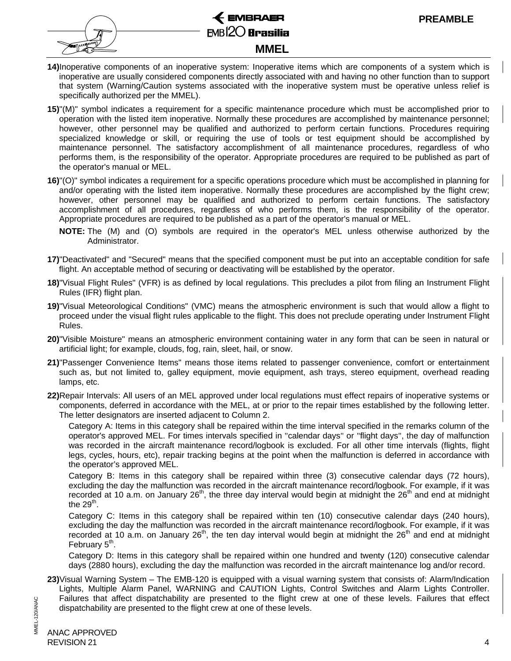

- **14)**Inoperative components of an inoperative system: Inoperative items which are components of a system which is inoperative are usually considered components directly associated with and having no other function than to support that system (Warning/Caution systems associated with the inoperative system must be operative unless relief is specifically authorized per the MMEL).
- **15)**"(M)" symbol indicates a requirement for a specific maintenance procedure which must be accomplished prior to operation with the listed item inoperative. Normally these procedures are accomplished by maintenance personnel; however, other personnel may be qualified and authorized to perform certain functions. Procedures requiring specialized knowledge or skill, or requiring the use of tools or test equipment should be accomplished by maintenance personnel. The satisfactory accomplishment of all maintenance procedures, regardless of who performs them, is the responsibility of the operator. Appropriate procedures are required to be published as part of the operator's manual or MEL.
- **16)**"(O)" symbol indicates a requirement for a specific operations procedure which must be accomplished in planning for and/or operating with the listed item inoperative. Normally these procedures are accomplished by the flight crew; however, other personnel may be qualified and authorized to perform certain functions. The satisfactory accomplishment of all procedures, regardless of who performs them, is the responsibility of the operator. Appropriate procedures are required to be published as a part of the operator's manual or MEL.
	- **NOTE:** The (M) and (O) symbols are required in the operator's MEL unless otherwise authorized by the Administrator.
- **17)**"Deactivated" and "Secured" means that the specified component must be put into an acceptable condition for safe flight. An acceptable method of securing or deactivating will be established by the operator.
- **18)**"Visual Flight Rules" (VFR) is as defined by local regulations. This precludes a pilot from filing an Instrument Flight Rules (IFR) flight plan.
- **19)**"Visual Meteorological Conditions" (VMC) means the atmospheric environment is such that would allow a flight to proceed under the visual flight rules applicable to the flight. This does not preclude operating under Instrument Flight Rules.
- **20)**"Visible Moisture" means an atmospheric environment containing water in any form that can be seen in natural or artificial light; for example, clouds, fog, rain, sleet, hail, or snow.
- **21)**"Passenger Convenience Items" means those items related to passenger convenience, comfort or entertainment such as, but not limited to, galley equipment, movie equipment, ash trays, stereo equipment, overhead reading lamps, etc.
- **22)**Repair Intervals: All users of an MEL approved under local regulations must effect repairs of inoperative systems or components, deferred in accordance with the MEL, at or prior to the repair times established by the following letter. The letter designators are inserted adjacent to Column 2.

Category A: Items in this category shall be repaired within the time interval specified in the remarks column of the operator's approved MEL. For times intervals specified in "calendar days" or "flight days", the day of malfunction was recorded in the aircraft maintenance record/logbook is excluded. For all other time intervals (flights, flight legs, cycles, hours, etc), repair tracking begins at the point when the malfunction is deferred in accordance with the operator's approved MEL.

Category B: Items in this category shall be repaired within three (3) consecutive calendar days (72 hours), excluding the day the malfunction was recorded in the aircraft maintenance record/logbook. For example, if it was recorded at 10 a.m. on January  $26<sup>th</sup>$ , the three day interval would begin at midnight the  $26<sup>th</sup>$  and end at midnight the  $29<sup>th</sup>$ .

Category C: Items in this category shall be repaired within ten (10) consecutive calendar days (240 hours), excluding the day the malfunction was recorded in the aircraft maintenance record/logbook. For example, if it was recorded at 10 a.m. on January  $26<sup>th</sup>$ , the ten day interval would begin at midnight the  $26<sup>th</sup>$  and end at midnight February  $5<sup>th</sup>$ .

Category D: Items in this category shall be repaired within one hundred and twenty (120) consecutive calendar days (2880 hours), excluding the day the malfunction was recorded in the aircraft maintenance log and/or record.

**23)**Visual Warning System – The EMB-120 is equipped with a visual warning system that consists of: Alarm/Indication Lights, Multiple Alarm Panel, WARNING and CAUTION Lights, Control Switches and Alarm Lights Controller. Failures that affect dispatchability are presented to the flight crew at one of these levels. Failures that effect dispatchability are presented to the flight crew at one of these levels.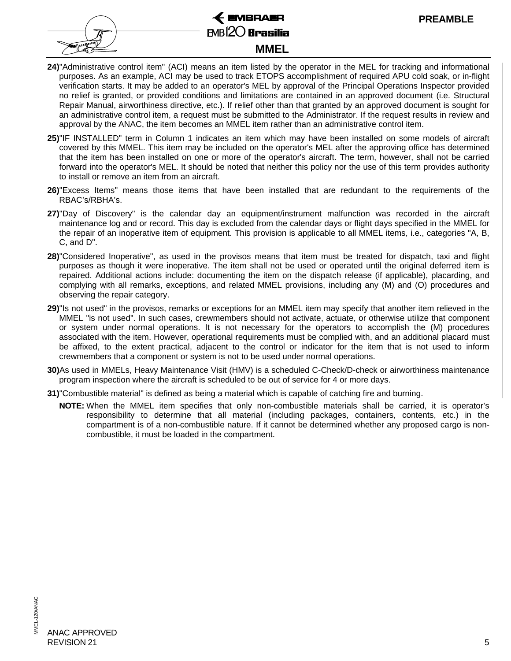



- **24)**"Administrative control item" (ACI) means an item listed by the operator in the MEL for tracking and informational purposes. As an example, ACI may be used to track ETOPS accomplishment of required APU cold soak, or in-flight verification starts. It may be added to an operator's MEL by approval of the Principal Operations Inspector provided no relief is granted, or provided conditions and limitations are contained in an approved document (i.e. Structural Repair Manual, airworthiness directive, etc.). If relief other than that granted by an approved document is sought for an administrative control item, a request must be submitted to the Administrator. If the request results in review and approval by the ANAC, the item becomes an MMEL item rather than an administrative control item.
- **25)**"IF INSTALLED" term in Column 1 indicates an item which may have been installed on some models of aircraft covered by this MMEL. This item may be included on the operator's MEL after the approving office has determined that the item has been installed on one or more of the operator's aircraft. The term, however, shall not be carried forward into the operator's MEL. It should be noted that neither this policy nor the use of this term provides authority to install or remove an item from an aircraft.
- **26)**"Excess Items" means those items that have been installed that are redundant to the requirements of the RBAC's/RBHA's.
- **27)**"Day of Discovery" is the calendar day an equipment/instrument malfunction was recorded in the aircraft maintenance log and or record. This day is excluded from the calendar days or flight days specified in the MMEL for the repair of an inoperative item of equipment. This provision is applicable to all MMEL items, i.e., categories "A, B, C, and D".
- **28)**"Considered Inoperative", as used in the provisos means that item must be treated for dispatch, taxi and flight purposes as though it were inoperative. The item shall not be used or operated until the original deferred item is repaired. Additional actions include: documenting the item on the dispatch release (if applicable), placarding, and complying with all remarks, exceptions, and related MMEL provisions, including any (M) and (O) procedures and observing the repair category.
- **29)**"Is not used" in the provisos, remarks or exceptions for an MMEL item may specify that another item relieved in the MMEL "is not used". In such cases, crewmembers should not activate, actuate, or otherwise utilize that component or system under normal operations. It is not necessary for the operators to accomplish the (M) procedures associated with the item. However, operational requirements must be complied with, and an additional placard must be affixed, to the extent practical, adjacent to the control or indicator for the item that is not used to inform crewmembers that a component or system is not to be used under normal operations.
- **30)**As used in MMELs, Heavy Maintenance Visit (HMV) is a scheduled C-Check/D-check or airworthiness maintenance program inspection where the aircraft is scheduled to be out of service for 4 or more days.
- **31)**"Combustible material" is defined as being a material which is capable of catching fire and burning.
	- **NOTE:** When the MMEL item specifies that only non-combustible materials shall be carried, it is operator's responsibility to determine that all material (including packages, containers, contents, etc.) in the compartment is of a non-combustible nature. If it cannot be determined whether any proposed cargo is noncombustible, it must be loaded in the compartment.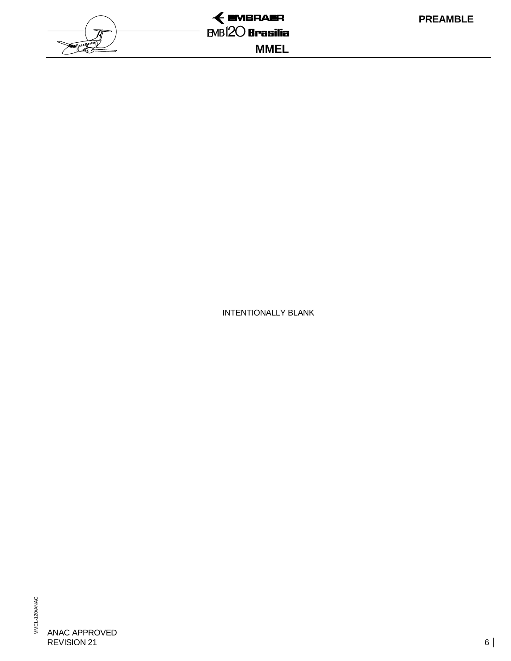INTENTIONALLY BLANK

MMEL-120/ANAC MMEL-120/ANAC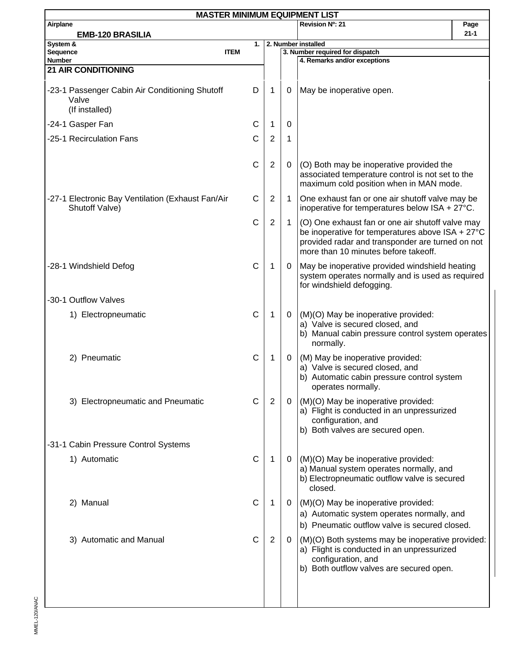| <b>MASTER MINIMUM EQUIPMENT LIST</b>                                      |              |                |                |                                                                                                                                                                                                  |                  |
|---------------------------------------------------------------------------|--------------|----------------|----------------|--------------------------------------------------------------------------------------------------------------------------------------------------------------------------------------------------|------------------|
| Airplane<br><b>EMB-120 BRASILIA</b>                                       |              |                |                | Revision Nº: 21                                                                                                                                                                                  | Page<br>$21 - 1$ |
| System &                                                                  | 1.           |                |                | 2. Number installed                                                                                                                                                                              |                  |
| Sequence                                                                  | <b>ITEM</b>  |                |                | 3. Number required for dispatch                                                                                                                                                                  |                  |
| <b>Number</b><br><b>21 AIR CONDITIONING</b>                               |              |                |                | 4. Remarks and/or exceptions                                                                                                                                                                     |                  |
| -23-1 Passenger Cabin Air Conditioning Shutoff<br>Valve<br>(If installed) | D            | 1              | 0              | May be inoperative open.                                                                                                                                                                         |                  |
| -24-1 Gasper Fan                                                          | C            | 1              | 0              |                                                                                                                                                                                                  |                  |
| -25-1 Recirculation Fans                                                  | C            | 2              | 1              |                                                                                                                                                                                                  |                  |
|                                                                           | $\mathsf C$  | $\overline{2}$ | 0              | (O) Both may be inoperative provided the<br>associated temperature control is not set to the<br>maximum cold position when in MAN mode.                                                          |                  |
| -27-1 Electronic Bay Ventilation (Exhaust Fan/Air<br>Shutoff Valve)       | C            | $\overline{2}$ | $\mathbf 1$    | One exhaust fan or one air shutoff valve may be<br>inoperative for temperatures below ISA + 27°C.                                                                                                |                  |
|                                                                           | $\mathsf{C}$ | $\overline{2}$ | 1              | (O) One exhaust fan or one air shutoff valve may<br>be inoperative for temperatures above ISA + 27°C<br>provided radar and transponder are turned on not<br>more than 10 minutes before takeoff. |                  |
| -28-1 Windshield Defog                                                    | $\mathsf{C}$ | 1              | $\overline{0}$ | May be inoperative provided windshield heating<br>system operates normally and is used as required<br>for windshield defogging.                                                                  |                  |
| -30-1 Outflow Valves                                                      |              |                |                |                                                                                                                                                                                                  |                  |
| 1) Electropneumatic                                                       | $\mathsf C$  | 1              | 0              | (M)(O) May be inoperative provided:<br>a) Valve is secured closed, and<br>b) Manual cabin pressure control system operates<br>normally.                                                          |                  |
| 2) Pneumatic                                                              | $\mathsf C$  | 1              | 0              | (M) May be inoperative provided:<br>a) Valve is secured closed, and<br>b) Automatic cabin pressure control system<br>operates normally.                                                          |                  |
| 3) Electropneumatic and Pneumatic                                         | $\mathsf{C}$ | $\overline{2}$ | $\mathbf{0}$   | (M)(O) May be inoperative provided:<br>a) Flight is conducted in an unpressurized<br>configuration, and<br>b) Both valves are secured open.                                                      |                  |
| -31-1 Cabin Pressure Control Systems                                      |              |                |                |                                                                                                                                                                                                  |                  |
| 1) Automatic                                                              | $\mathsf C$  | 1              | $\mathbf{0}$   | (M)(O) May be inoperative provided:<br>a) Manual system operates normally, and<br>b) Electropneumatic outflow valve is secured<br>closed.                                                        |                  |
| 2) Manual                                                                 | $\mathsf{C}$ | $\mathbf 1$    | 0              | (M)(O) May be inoperative provided:<br>a) Automatic system operates normally, and<br>b) Pneumatic outflow valve is secured closed.                                                               |                  |
| 3) Automatic and Manual                                                   | $\mathsf C$  | $\overline{2}$ | 0              | (M)(O) Both systems may be inoperative provided:<br>a) Flight is conducted in an unpressurized<br>configuration, and<br>b) Both outflow valves are secured open.                                 |                  |
|                                                                           |              |                |                |                                                                                                                                                                                                  |                  |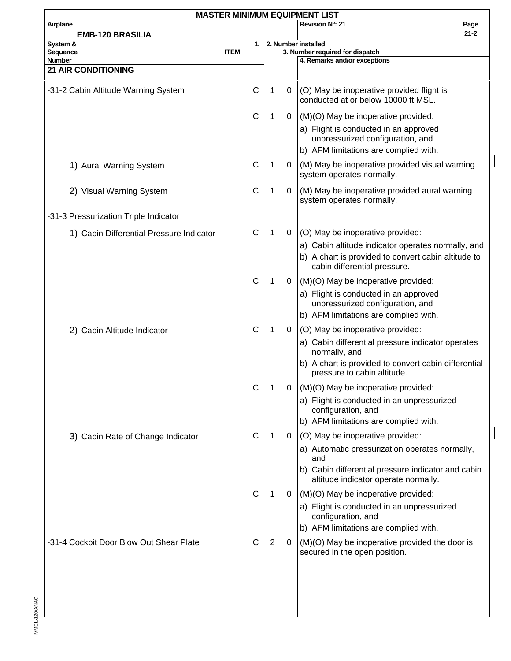| <b>MASTER MINIMUM EQUIPMENT LIST</b>     |              |                |                |                                                                                                                                                           |                  |  |  |  |
|------------------------------------------|--------------|----------------|----------------|-----------------------------------------------------------------------------------------------------------------------------------------------------------|------------------|--|--|--|
| Airplane<br><b>EMB-120 BRASILIA</b>      |              |                |                | Revision Nº: 21                                                                                                                                           | Page<br>$21 - 2$ |  |  |  |
| System &                                 | 1.           |                |                | 2. Number installed                                                                                                                                       |                  |  |  |  |
| Sequence<br><b>Number</b>                | <b>ITEM</b>  |                |                | 3. Number required for dispatch<br>4. Remarks and/or exceptions                                                                                           |                  |  |  |  |
| <b>21 AIR CONDITIONING</b>               |              |                |                |                                                                                                                                                           |                  |  |  |  |
| -31-2 Cabin Altitude Warning System      | $\mathsf C$  | 1              | 0              | (O) May be inoperative provided flight is<br>conducted at or below 10000 ft MSL.                                                                          |                  |  |  |  |
|                                          | $\mathsf{C}$ | 1              | 0              | (M)(O) May be inoperative provided:                                                                                                                       |                  |  |  |  |
|                                          |              |                |                | a) Flight is conducted in an approved<br>unpressurized configuration, and<br>b) AFM limitations are complied with.                                        |                  |  |  |  |
| 1) Aural Warning System                  | C            | 1              | 0              | (M) May be inoperative provided visual warning<br>system operates normally.                                                                               |                  |  |  |  |
| 2) Visual Warning System                 | $\mathsf{C}$ | 1              | 0              | (M) May be inoperative provided aural warning<br>system operates normally.                                                                                |                  |  |  |  |
| -31-3 Pressurization Triple Indicator    |              |                |                |                                                                                                                                                           |                  |  |  |  |
| 1) Cabin Differential Pressure Indicator | $\mathsf{C}$ | 1              | 0              | (O) May be inoperative provided:                                                                                                                          |                  |  |  |  |
|                                          |              |                |                | a) Cabin altitude indicator operates normally, and<br>b) A chart is provided to convert cabin altitude to<br>cabin differential pressure.                 |                  |  |  |  |
|                                          | $\mathsf{C}$ | 1              | 0              | (M)(O) May be inoperative provided:                                                                                                                       |                  |  |  |  |
|                                          |              |                |                | a) Flight is conducted in an approved<br>unpressurized configuration, and<br>b) AFM limitations are complied with.                                        |                  |  |  |  |
| 2) Cabin Altitude Indicator              | $\mathsf C$  | 1              | $\overline{0}$ | (O) May be inoperative provided:                                                                                                                          |                  |  |  |  |
|                                          |              |                |                | a) Cabin differential pressure indicator operates<br>normally, and<br>b) A chart is provided to convert cabin differential<br>pressure to cabin altitude. |                  |  |  |  |
|                                          | C            |                | 0              | (M)(O) May be inoperative provided:                                                                                                                       |                  |  |  |  |
|                                          |              |                |                | a) Flight is conducted in an unpressurized<br>configuration, and<br>b) AFM limitations are complied with.                                                 |                  |  |  |  |
| 3) Cabin Rate of Change Indicator        | $\mathsf C$  | 1              | 0              | (O) May be inoperative provided:                                                                                                                          |                  |  |  |  |
|                                          |              |                |                | a) Automatic pressurization operates normally,<br>and                                                                                                     |                  |  |  |  |
|                                          |              |                |                | b) Cabin differential pressure indicator and cabin<br>altitude indicator operate normally.                                                                |                  |  |  |  |
|                                          | $\mathsf{C}$ | 1              | 0              | (M)(O) May be inoperative provided:                                                                                                                       |                  |  |  |  |
|                                          |              |                |                | a) Flight is conducted in an unpressurized<br>configuration, and<br>b) AFM limitations are complied with.                                                 |                  |  |  |  |
| -31-4 Cockpit Door Blow Out Shear Plate  | $\mathsf C$  | $\overline{2}$ | 0              | (M)(O) May be inoperative provided the door is<br>secured in the open position.                                                                           |                  |  |  |  |
|                                          |              |                |                |                                                                                                                                                           |                  |  |  |  |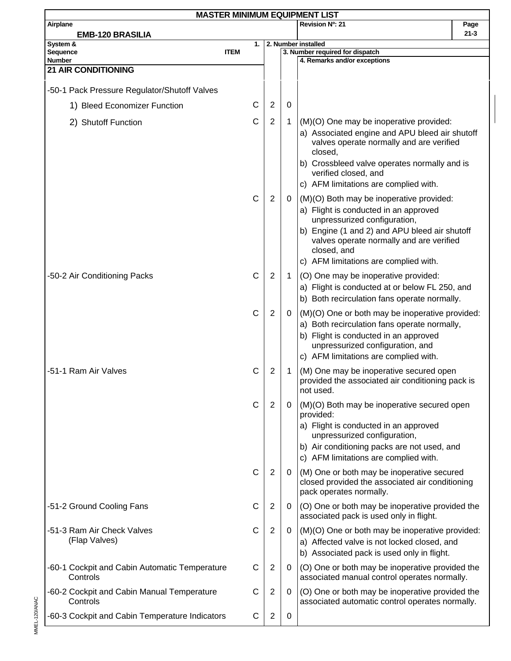| <b>MASTER MINIMUM EQUIPMENT LIST</b>                      |              |                |              |                                                                                                                                                                                                                                                                        |                  |  |  |
|-----------------------------------------------------------|--------------|----------------|--------------|------------------------------------------------------------------------------------------------------------------------------------------------------------------------------------------------------------------------------------------------------------------------|------------------|--|--|
| Airplane<br><b>EMB-120 BRASILIA</b>                       |              |                |              | Revision Nº: 21                                                                                                                                                                                                                                                        | Page<br>$21 - 3$ |  |  |
| System &                                                  | 1.           |                |              | 2. Number installed                                                                                                                                                                                                                                                    |                  |  |  |
| Sequence                                                  | <b>ITEM</b>  |                |              | 3. Number required for dispatch                                                                                                                                                                                                                                        |                  |  |  |
| <b>Number</b><br><b>21 AIR CONDITIONING</b>               |              |                |              | 4. Remarks and/or exceptions                                                                                                                                                                                                                                           |                  |  |  |
|                                                           |              |                |              |                                                                                                                                                                                                                                                                        |                  |  |  |
| -50-1 Pack Pressure Regulator/Shutoff Valves              |              |                |              |                                                                                                                                                                                                                                                                        |                  |  |  |
| 1) Bleed Economizer Function                              | C            | $\overline{2}$ | 0            |                                                                                                                                                                                                                                                                        |                  |  |  |
| 2) Shutoff Function                                       | $\mathsf{C}$ | $\overline{2}$ | 1            | (M)(O) One may be inoperative provided:<br>a) Associated engine and APU bleed air shutoff<br>valves operate normally and are verified<br>closed,<br>b) Crossbleed valve operates normally and is<br>verified closed, and<br>c) AFM limitations are complied with.      |                  |  |  |
|                                                           | $\mathsf{C}$ | $\overline{2}$ | 0            | (M)(O) Both may be inoperative provided:<br>a) Flight is conducted in an approved<br>unpressurized configuration,<br>b) Engine (1 and 2) and APU bleed air shutoff<br>valves operate normally and are verified<br>closed, and<br>c) AFM limitations are complied with. |                  |  |  |
| -50-2 Air Conditioning Packs                              | $\mathsf C$  | 2              | $\mathbf{1}$ | (O) One may be inoperative provided:<br>a) Flight is conducted at or below FL 250, and<br>b) Both recirculation fans operate normally.                                                                                                                                 |                  |  |  |
|                                                           | $\mathsf{C}$ | $\overline{2}$ | 0            | (M)(O) One or both may be inoperative provided:<br>a) Both recirculation fans operate normally,<br>b) Flight is conducted in an approved<br>unpressurized configuration, and<br>c) AFM limitations are complied with.                                                  |                  |  |  |
| -51-1 Ram Air Valves                                      | $\mathsf C$  | 2              | 1            | (M) One may be inoperative secured open<br>provided the associated air conditioning pack is<br>not used.                                                                                                                                                               |                  |  |  |
|                                                           | $\mathsf C$  | $\overline{2}$ | 0            | (M)(O) Both may be inoperative secured open<br>provided:<br>a) Flight is conducted in an approved<br>unpressurized configuration,<br>b) Air conditioning packs are not used, and<br>c) AFM limitations are complied with.                                              |                  |  |  |
|                                                           | $\mathsf C$  | $\overline{2}$ | 0            | (M) One or both may be inoperative secured<br>closed provided the associated air conditioning<br>pack operates normally.                                                                                                                                               |                  |  |  |
| -51-2 Ground Cooling Fans                                 | $\mathsf C$  | 2              | 0            | (O) One or both may be inoperative provided the<br>associated pack is used only in flight.                                                                                                                                                                             |                  |  |  |
| -51-3 Ram Air Check Valves<br>(Flap Valves)               | $\mathsf{C}$ | 2              | 0            | (M)(O) One or both may be inoperative provided:<br>a) Affected valve is not locked closed, and<br>b) Associated pack is used only in flight.                                                                                                                           |                  |  |  |
| -60-1 Cockpit and Cabin Automatic Temperature<br>Controls | $\mathsf{C}$ | $\mathbf 2$    | 0            | (O) One or both may be inoperative provided the<br>associated manual control operates normally.                                                                                                                                                                        |                  |  |  |
| -60-2 Cockpit and Cabin Manual Temperature<br>Controls    | C            | 2              | 0            | (O) One or both may be inoperative provided the<br>associated automatic control operates normally.                                                                                                                                                                     |                  |  |  |
| -60-3 Cockpit and Cabin Temperature Indicators            | C            | 2              | 0            |                                                                                                                                                                                                                                                                        |                  |  |  |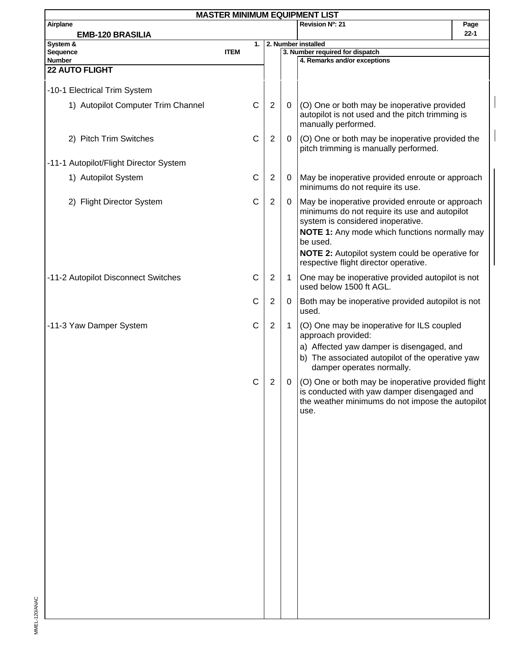|                                        | <b>MASTER MINIMUM EQUIPMENT LIST</b> |                |                |                                                                                                                                                                                                                                                                                                       |                  |  |  |  |  |
|----------------------------------------|--------------------------------------|----------------|----------------|-------------------------------------------------------------------------------------------------------------------------------------------------------------------------------------------------------------------------------------------------------------------------------------------------------|------------------|--|--|--|--|
| Airplane                               |                                      |                |                | Revision Nº: 21                                                                                                                                                                                                                                                                                       | Page<br>$22 - 1$ |  |  |  |  |
| <b>EMB-120 BRASILIA</b><br>System &    | 1.                                   |                |                | 2. Number installed                                                                                                                                                                                                                                                                                   |                  |  |  |  |  |
| Sequence                               | <b>ITEM</b>                          |                |                | 3. Number required for dispatch                                                                                                                                                                                                                                                                       |                  |  |  |  |  |
| <b>Number</b><br><b>22 AUTO FLIGHT</b> |                                      |                |                | 4. Remarks and/or exceptions                                                                                                                                                                                                                                                                          |                  |  |  |  |  |
|                                        |                                      |                |                |                                                                                                                                                                                                                                                                                                       |                  |  |  |  |  |
| -10-1 Electrical Trim System           |                                      |                |                |                                                                                                                                                                                                                                                                                                       |                  |  |  |  |  |
| 1) Autopilot Computer Trim Channel     | $\mathsf C$                          | $\overline{2}$ | $\overline{0}$ | (O) One or both may be inoperative provided<br>autopilot is not used and the pitch trimming is<br>manually performed.                                                                                                                                                                                 |                  |  |  |  |  |
| 2) Pitch Trim Switches                 | $\mathbf C$                          | 2              | 0              | (O) One or both may be inoperative provided the<br>pitch trimming is manually performed.                                                                                                                                                                                                              |                  |  |  |  |  |
| -11-1 Autopilot/Flight Director System |                                      |                |                |                                                                                                                                                                                                                                                                                                       |                  |  |  |  |  |
| 1) Autopilot System                    | $\mathsf{C}$                         | $\overline{2}$ | 0              | May be inoperative provided enroute or approach<br>minimums do not require its use.                                                                                                                                                                                                                   |                  |  |  |  |  |
| 2) Flight Director System              | $\mathsf{C}$                         | $\overline{2}$ | 0              | May be inoperative provided enroute or approach<br>minimums do not require its use and autopilot<br>system is considered inoperative.<br><b>NOTE 1:</b> Any mode which functions normally may<br>be used.<br>NOTE 2: Autopilot system could be operative for<br>respective flight director operative. |                  |  |  |  |  |
| -11-2 Autopilot Disconnect Switches    | $\mathsf{C}$                         | $\overline{2}$ | 1              | One may be inoperative provided autopilot is not<br>used below 1500 ft AGL.                                                                                                                                                                                                                           |                  |  |  |  |  |
|                                        | C                                    | 2              | 0              | Both may be inoperative provided autopilot is not<br>used.                                                                                                                                                                                                                                            |                  |  |  |  |  |
| -11-3 Yaw Damper System                | $\mathsf C$                          | $\overline{2}$ | $\mathbf{1}$   | (O) One may be inoperative for ILS coupled<br>approach provided:<br>a) Affected yaw damper is disengaged, and<br>b) The associated autopilot of the operative yaw<br>damper operates normally.                                                                                                        |                  |  |  |  |  |
|                                        | C                                    | 2              | 0              | (O) One or both may be inoperative provided flight<br>is conducted with yaw damper disengaged and<br>the weather minimums do not impose the autopilot<br>use.                                                                                                                                         |                  |  |  |  |  |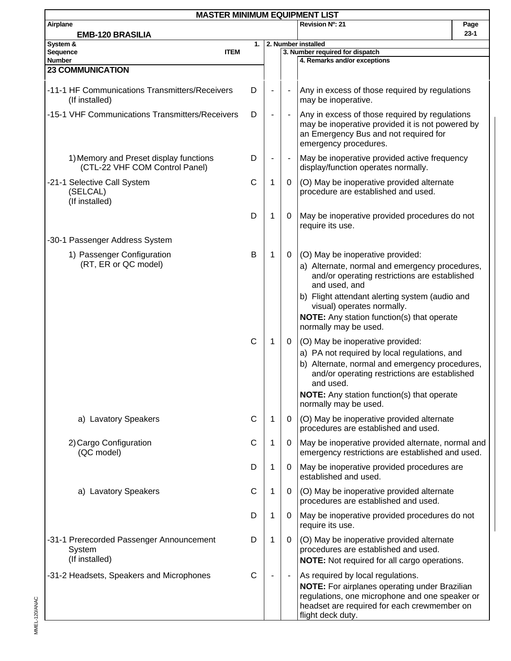| Airplane                                                                 |              |                          |                | <b>MASTER MINIMUM EQUIPMENT LIST</b><br>Revision Nº: 21                                                                                                                                                  | Page   |
|--------------------------------------------------------------------------|--------------|--------------------------|----------------|----------------------------------------------------------------------------------------------------------------------------------------------------------------------------------------------------------|--------|
| <b>EMB-120 BRASILIA</b>                                                  |              |                          |                |                                                                                                                                                                                                          | $23-1$ |
| System &<br><b>ITEM</b><br>Sequence                                      | 1.           |                          |                | 2. Number installed<br>3. Number required for dispatch                                                                                                                                                   |        |
| <b>Number</b>                                                            |              |                          |                | 4. Remarks and/or exceptions                                                                                                                                                                             |        |
| <b>23 COMMUNICATION</b>                                                  |              |                          |                |                                                                                                                                                                                                          |        |
| -11-1 HF Communications Transmitters/Receivers<br>(If installed)         | D            | ۰                        |                | Any in excess of those required by regulations<br>may be inoperative.                                                                                                                                    |        |
| -15-1 VHF Communications Transmitters/Receivers                          | D            | $\overline{\phantom{0}}$ |                | Any in excess of those required by regulations<br>may be inoperative provided it is not powered by<br>an Emergency Bus and not required for<br>emergency procedures.                                     |        |
| 1) Memory and Preset display functions<br>(CTL-22 VHF COM Control Panel) | D            | $\overline{\phantom{a}}$ | $\blacksquare$ | May be inoperative provided active frequency<br>display/function operates normally.                                                                                                                      |        |
| -21-1 Selective Call System<br>(SELCAL)<br>(If installed)                | C            | 1                        | 0              | (O) May be inoperative provided alternate<br>procedure are established and used.                                                                                                                         |        |
|                                                                          | D            | 1                        | 0              | May be inoperative provided procedures do not<br>require its use.                                                                                                                                        |        |
| -30-1 Passenger Address System                                           |              |                          |                |                                                                                                                                                                                                          |        |
| 1) Passenger Configuration<br>(RT, ER or QC model)                       | B            | 1                        | 0              | (O) May be inoperative provided:                                                                                                                                                                         |        |
|                                                                          |              |                          |                | a) Alternate, normal and emergency procedures,<br>and/or operating restrictions are established<br>and used, and                                                                                         |        |
|                                                                          |              |                          |                | b) Flight attendant alerting system (audio and<br>visual) operates normally.                                                                                                                             |        |
|                                                                          |              |                          |                | <b>NOTE:</b> Any station function(s) that operate<br>normally may be used.                                                                                                                               |        |
|                                                                          | $\mathsf{C}$ | 1                        | 0              | (O) May be inoperative provided:                                                                                                                                                                         |        |
|                                                                          |              |                          |                | a) PA not required by local regulations, and                                                                                                                                                             |        |
|                                                                          |              |                          |                | b) Alternate, normal and emergency procedures,<br>and/or operating restrictions are established<br>and used.                                                                                             |        |
|                                                                          |              |                          |                | <b>NOTE:</b> Any station function(s) that operate<br>normally may be used.                                                                                                                               |        |
| a) Lavatory Speakers                                                     | C            | 1                        | $\mathbf 0$    | (O) May be inoperative provided alternate<br>procedures are established and used.                                                                                                                        |        |
| 2) Cargo Configuration<br>(QC model)                                     | C            | 1                        | 0              | May be inoperative provided alternate, normal and<br>emergency restrictions are established and used.                                                                                                    |        |
|                                                                          | D            | 1                        | 0              | May be inoperative provided procedures are<br>established and used.                                                                                                                                      |        |
| a) Lavatory Speakers                                                     | C            | 1                        | 0              | (O) May be inoperative provided alternate<br>procedures are established and used.                                                                                                                        |        |
|                                                                          | D            | 1                        | 0              | May be inoperative provided procedures do not<br>require its use.                                                                                                                                        |        |
| -31-1 Prerecorded Passenger Announcement<br>System<br>(If installed)     | D            | 1                        | $\mathbf 0$    | (O) May be inoperative provided alternate<br>procedures are established and used.<br>NOTE: Not required for all cargo operations.                                                                        |        |
| -31-2 Headsets, Speakers and Microphones                                 | C            | $\overline{\phantom{0}}$ | $\blacksquare$ | As required by local regulations.<br>NOTE: For airplanes operating under Brazilian<br>regulations, one microphone and one speaker or<br>headset are required for each crewmember on<br>flight deck duty. |        |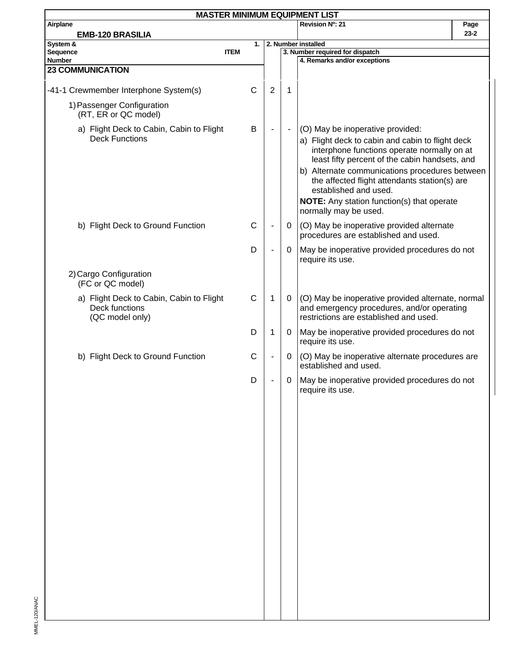|                                                                               | <b>MASTER MINIMUM EQUIPMENT LIST</b> |                              |                |                                                                                                                                                                                                                                                                                                                                                                                                 |                  |
|-------------------------------------------------------------------------------|--------------------------------------|------------------------------|----------------|-------------------------------------------------------------------------------------------------------------------------------------------------------------------------------------------------------------------------------------------------------------------------------------------------------------------------------------------------------------------------------------------------|------------------|
| Airplane<br><b>EMB-120 BRASILIA</b>                                           |                                      |                              |                | Revision Nº: 21                                                                                                                                                                                                                                                                                                                                                                                 | Page<br>$23 - 2$ |
| System &                                                                      | 1.                                   |                              |                | 2. Number installed                                                                                                                                                                                                                                                                                                                                                                             |                  |
| Sequence                                                                      | <b>ITEM</b>                          |                              |                | 3. Number required for dispatch                                                                                                                                                                                                                                                                                                                                                                 |                  |
| <b>Number</b>                                                                 |                                      |                              |                | 4. Remarks and/or exceptions                                                                                                                                                                                                                                                                                                                                                                    |                  |
| <b>23 COMMUNICATION</b>                                                       |                                      |                              |                |                                                                                                                                                                                                                                                                                                                                                                                                 |                  |
| -41-1 Crewmember Interphone System(s)                                         | C                                    | $\overline{2}$               | 1              |                                                                                                                                                                                                                                                                                                                                                                                                 |                  |
| 1) Passenger Configuration<br>(RT, ER or QC model)                            |                                      |                              |                |                                                                                                                                                                                                                                                                                                                                                                                                 |                  |
| a) Flight Deck to Cabin, Cabin to Flight<br><b>Deck Functions</b>             | B                                    | ÷,                           | $\blacksquare$ | (O) May be inoperative provided:<br>a) Flight deck to cabin and cabin to flight deck<br>interphone functions operate normally on at<br>least fifty percent of the cabin handsets, and<br>b) Alternate communications procedures between<br>the affected flight attendants station(s) are<br>established and used.<br><b>NOTE:</b> Any station function(s) that operate<br>normally may be used. |                  |
| b) Flight Deck to Ground Function                                             | C                                    | $\blacksquare$               | 0              | (O) May be inoperative provided alternate<br>procedures are established and used.                                                                                                                                                                                                                                                                                                               |                  |
|                                                                               | D                                    | $\qquad \qquad \blacksquare$ | 0              | May be inoperative provided procedures do not<br>require its use.                                                                                                                                                                                                                                                                                                                               |                  |
| 2) Cargo Configuration<br>(FC or QC model)                                    |                                      |                              |                |                                                                                                                                                                                                                                                                                                                                                                                                 |                  |
| a) Flight Deck to Cabin, Cabin to Flight<br>Deck functions<br>(QC model only) | C                                    | 1                            | 0              | (O) May be inoperative provided alternate, normal<br>and emergency procedures, and/or operating<br>restrictions are established and used.                                                                                                                                                                                                                                                       |                  |
|                                                                               | D                                    | 1                            | 0              | May be inoperative provided procedures do not<br>require its use.                                                                                                                                                                                                                                                                                                                               |                  |
| b) Flight Deck to Ground Function                                             | C                                    | $\blacksquare$               | 0              | (O) May be inoperative alternate procedures are<br>established and used.                                                                                                                                                                                                                                                                                                                        |                  |
|                                                                               | D                                    |                              | 0              | May be inoperative provided procedures do not<br>require its use.                                                                                                                                                                                                                                                                                                                               |                  |
|                                                                               |                                      |                              |                |                                                                                                                                                                                                                                                                                                                                                                                                 |                  |
|                                                                               |                                      |                              |                |                                                                                                                                                                                                                                                                                                                                                                                                 |                  |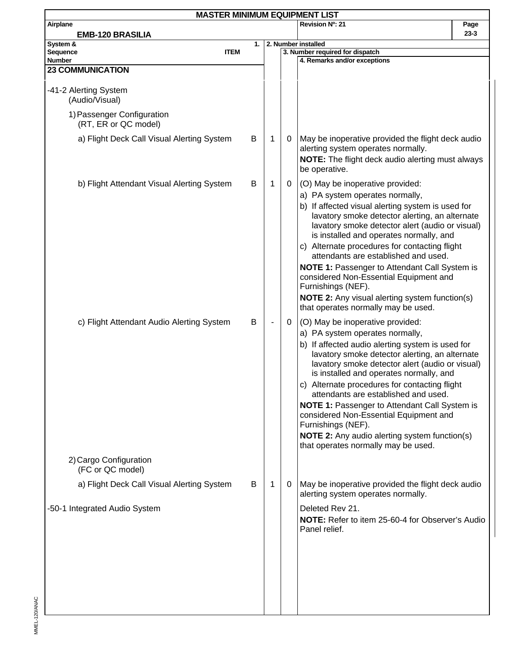|                                                    |             |   |   | <b>MASTER MINIMUM EQUIPMENT LIST</b>                                                                                                                                                                                                                                                                                                                                                                                                                                                                                                                                                      |                  |
|----------------------------------------------------|-------------|---|---|-------------------------------------------------------------------------------------------------------------------------------------------------------------------------------------------------------------------------------------------------------------------------------------------------------------------------------------------------------------------------------------------------------------------------------------------------------------------------------------------------------------------------------------------------------------------------------------------|------------------|
| Airplane<br><b>EMB-120 BRASILIA</b>                |             |   |   | Revision Nº: 21                                                                                                                                                                                                                                                                                                                                                                                                                                                                                                                                                                           | Page<br>$23 - 3$ |
| System &                                           | 1.          |   |   | 2. Number installed                                                                                                                                                                                                                                                                                                                                                                                                                                                                                                                                                                       |                  |
| Sequence                                           | <b>ITEM</b> |   |   | 3. Number required for dispatch                                                                                                                                                                                                                                                                                                                                                                                                                                                                                                                                                           |                  |
| <b>Number</b>                                      |             |   |   | 4. Remarks and/or exceptions                                                                                                                                                                                                                                                                                                                                                                                                                                                                                                                                                              |                  |
| <b>23 COMMUNICATION</b>                            |             |   |   |                                                                                                                                                                                                                                                                                                                                                                                                                                                                                                                                                                                           |                  |
| -41-2 Alerting System<br>(Audio/Visual)            |             |   |   |                                                                                                                                                                                                                                                                                                                                                                                                                                                                                                                                                                                           |                  |
| 1) Passenger Configuration<br>(RT, ER or QC model) |             |   |   |                                                                                                                                                                                                                                                                                                                                                                                                                                                                                                                                                                                           |                  |
| a) Flight Deck Call Visual Alerting System         | В           | 1 | 0 | May be inoperative provided the flight deck audio<br>alerting system operates normally.<br><b>NOTE:</b> The flight deck audio alerting must always<br>be operative.                                                                                                                                                                                                                                                                                                                                                                                                                       |                  |
| b) Flight Attendant Visual Alerting System         | В           | 1 | 0 | (O) May be inoperative provided:<br>a) PA system operates normally,<br>b) If affected visual alerting system is used for<br>lavatory smoke detector alerting, an alternate<br>lavatory smoke detector alert (audio or visual)<br>is installed and operates normally, and<br>c) Alternate procedures for contacting flight<br>attendants are established and used.<br><b>NOTE 1: Passenger to Attendant Call System is</b><br>considered Non-Essential Equipment and<br>Furnishings (NEF).<br><b>NOTE 2:</b> Any visual alerting system function(s)<br>that operates normally may be used. |                  |
| c) Flight Attendant Audio Alerting System          | B           |   | 0 | (O) May be inoperative provided:<br>a) PA system operates normally,<br>b) If affected audio alerting system is used for<br>lavatory smoke detector alerting, an alternate<br>lavatory smoke detector alert (audio or visual)<br>is installed and operates normally, and<br>c) Alternate procedures for contacting flight<br>attendants are established and used.<br><b>NOTE 1: Passenger to Attendant Call System is</b><br>considered Non-Essential Equipment and<br>Furnishings (NEF).<br><b>NOTE 2:</b> Any audio alerting system function(s)<br>that operates normally may be used.   |                  |
| 2) Cargo Configuration<br>(FC or QC model)         |             |   |   |                                                                                                                                                                                                                                                                                                                                                                                                                                                                                                                                                                                           |                  |
| a) Flight Deck Call Visual Alerting System         | В           | 1 | 0 | May be inoperative provided the flight deck audio<br>alerting system operates normally.                                                                                                                                                                                                                                                                                                                                                                                                                                                                                                   |                  |
| -50-1 Integrated Audio System                      |             |   |   | Deleted Rev 21.<br>NOTE: Refer to item 25-60-4 for Observer's Audio<br>Panel relief.                                                                                                                                                                                                                                                                                                                                                                                                                                                                                                      |                  |
|                                                    |             |   |   |                                                                                                                                                                                                                                                                                                                                                                                                                                                                                                                                                                                           |                  |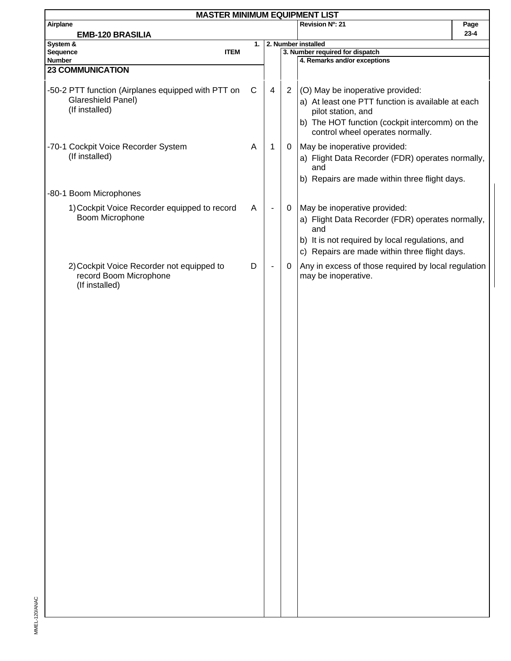| <b>MASTER MINIMUM EQUIPMENT LIST</b>                                                       |    |                          |                |                                                                                                                                                                                                   |          |  |  |  |
|--------------------------------------------------------------------------------------------|----|--------------------------|----------------|---------------------------------------------------------------------------------------------------------------------------------------------------------------------------------------------------|----------|--|--|--|
| Airplane                                                                                   |    |                          |                | Revision Nº: 21                                                                                                                                                                                   | Page     |  |  |  |
| <b>EMB-120 BRASILIA</b><br>System &                                                        | 1. |                          |                | 2. Number installed                                                                                                                                                                               | $23 - 4$ |  |  |  |
| Sequence<br><b>ITEM</b>                                                                    |    |                          |                | 3. Number required for dispatch                                                                                                                                                                   |          |  |  |  |
| Number                                                                                     |    |                          |                | 4. Remarks and/or exceptions                                                                                                                                                                      |          |  |  |  |
| <b>23 COMMUNICATION</b>                                                                    |    |                          |                |                                                                                                                                                                                                   |          |  |  |  |
| -50-2 PTT function (Airplanes equipped with PTT on<br>Glareshield Panel)<br>(If installed) | C  | $\overline{4}$           | $\overline{2}$ | (O) May be inoperative provided:<br>a) At least one PTT function is available at each<br>pilot station, and<br>b) The HOT function (cockpit intercomm) on the<br>control wheel operates normally. |          |  |  |  |
| -70-1 Cockpit Voice Recorder System<br>(If installed)                                      | A  | $\mathbf 1$              | 0              | May be inoperative provided:<br>a) Flight Data Recorder (FDR) operates normally,<br>and<br>b) Repairs are made within three flight days.                                                          |          |  |  |  |
| -80-1 Boom Microphones                                                                     |    |                          |                |                                                                                                                                                                                                   |          |  |  |  |
| 1) Cockpit Voice Recorder equipped to record<br>Boom Microphone                            | A  | $\overline{\phantom{a}}$ | 0              | May be inoperative provided:<br>a) Flight Data Recorder (FDR) operates normally,<br>and<br>b) It is not required by local regulations, and<br>c) Repairs are made within three flight days.       |          |  |  |  |
| 2) Cockpit Voice Recorder not equipped to<br>record Boom Microphone<br>(If installed)      | D  | ۰                        | 0              | Any in excess of those required by local regulation<br>may be inoperative.                                                                                                                        |          |  |  |  |
|                                                                                            |    |                          |                |                                                                                                                                                                                                   |          |  |  |  |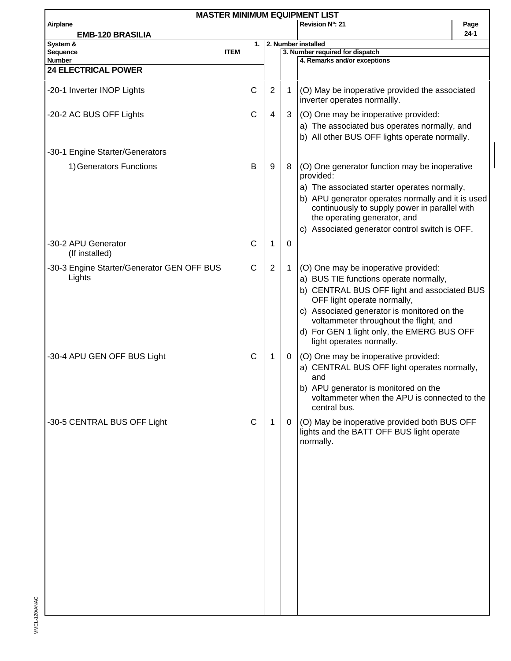|                                                      | <b>MASTER MINIMUM EQUIPMENT LIST</b> |                |              |                                                                                                                                                                                                                                                       |                  |
|------------------------------------------------------|--------------------------------------|----------------|--------------|-------------------------------------------------------------------------------------------------------------------------------------------------------------------------------------------------------------------------------------------------------|------------------|
| Airplane<br><b>EMB-120 BRASILIA</b>                  |                                      |                |              | Revision Nº: 21                                                                                                                                                                                                                                       | Page<br>$24 - 1$ |
| System &                                             | 1.                                   |                |              | 2. Number installed                                                                                                                                                                                                                                   |                  |
| Sequence<br><b>Number</b>                            | <b>ITEM</b>                          |                |              | 3. Number required for dispatch<br>4. Remarks and/or exceptions                                                                                                                                                                                       |                  |
| <b>24 ELECTRICAL POWER</b>                           |                                      |                |              |                                                                                                                                                                                                                                                       |                  |
| -20-1 Inverter INOP Lights                           | $\mathsf{C}$                         | 2              | 1            | (O) May be inoperative provided the associated<br>inverter operates normallly.                                                                                                                                                                        |                  |
| -20-2 AC BUS OFF Lights                              | $\mathsf{C}$                         | 4              | 3            | (O) One may be inoperative provided:                                                                                                                                                                                                                  |                  |
|                                                      |                                      |                |              | a) The associated bus operates normally, and<br>b) All other BUS OFF lights operate normally.                                                                                                                                                         |                  |
| -30-1 Engine Starter/Generators                      |                                      |                |              |                                                                                                                                                                                                                                                       |                  |
| 1) Generators Functions                              | B                                    | 9              | 8            | (O) One generator function may be inoperative<br>provided:                                                                                                                                                                                            |                  |
|                                                      |                                      |                |              | a) The associated starter operates normally,                                                                                                                                                                                                          |                  |
|                                                      |                                      |                |              | b) APU generator operates normally and it is used<br>continuously to supply power in parallel with<br>the operating generator, and<br>c) Associated generator control switch is OFF.                                                                  |                  |
| -30-2 APU Generator                                  | C                                    | 1              | 0            |                                                                                                                                                                                                                                                       |                  |
| (If installed)                                       |                                      |                |              |                                                                                                                                                                                                                                                       |                  |
| -30-3 Engine Starter/Generator GEN OFF BUS<br>Lights | C                                    | $\overline{2}$ | 1.           | (O) One may be inoperative provided:<br>a) BUS TIE functions operate normally,<br>b) CENTRAL BUS OFF light and associated BUS<br>OFF light operate normally,<br>c) Associated generator is monitored on the<br>voltammeter throughout the flight, and |                  |
|                                                      |                                      |                |              | d) For GEN 1 light only, the EMERG BUS OFF<br>light operates normally.                                                                                                                                                                                |                  |
| -30-4 APU GEN OFF BUS Light                          | $\mathsf{C}$                         | 1              | $\mathbf{0}$ | (O) One may be inoperative provided:<br>a) CENTRAL BUS OFF light operates normally,<br>and<br>b) APU generator is monitored on the<br>voltammeter when the APU is connected to the<br>central bus.                                                    |                  |
| -30-5 CENTRAL BUS OFF Light                          | $\mathsf{C}$                         | 1              | 0            | (O) May be inoperative provided both BUS OFF<br>lights and the BATT OFF BUS light operate<br>normally.                                                                                                                                                |                  |
|                                                      |                                      |                |              |                                                                                                                                                                                                                                                       |                  |
|                                                      |                                      |                |              |                                                                                                                                                                                                                                                       |                  |
|                                                      |                                      |                |              |                                                                                                                                                                                                                                                       |                  |
|                                                      |                                      |                |              |                                                                                                                                                                                                                                                       |                  |
|                                                      |                                      |                |              |                                                                                                                                                                                                                                                       |                  |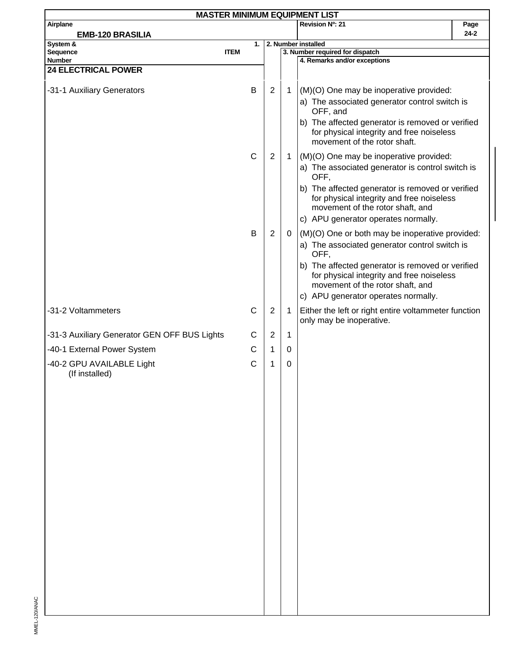| Airplane                                     |              |                |              | <b>MASTER MINIMUM EQUIPMENT LIST</b><br>Revision Nº: 21                                                                                                                                                                                                                              | Page     |
|----------------------------------------------|--------------|----------------|--------------|--------------------------------------------------------------------------------------------------------------------------------------------------------------------------------------------------------------------------------------------------------------------------------------|----------|
| <b>EMB-120 BRASILIA</b>                      |              |                |              |                                                                                                                                                                                                                                                                                      | $24 - 2$ |
| System &                                     | 1.           |                |              | 2. Number installed                                                                                                                                                                                                                                                                  |          |
| Sequence<br><b>Number</b>                    | <b>ITEM</b>  |                |              | 3. Number required for dispatch<br>4. Remarks and/or exceptions                                                                                                                                                                                                                      |          |
| <b>24 ELECTRICAL POWER</b>                   |              |                |              |                                                                                                                                                                                                                                                                                      |          |
| -31-1 Auxiliary Generators                   | B            | $\overline{2}$ | $\mathbf{1}$ | (M)(O) One may be inoperative provided:<br>a) The associated generator control switch is<br>OFF, and<br>b) The affected generator is removed or verified                                                                                                                             |          |
|                                              |              |                |              | for physical integrity and free noiseless<br>movement of the rotor shaft.                                                                                                                                                                                                            |          |
|                                              | $\mathsf{C}$ | $\overline{2}$ | $\mathbf{1}$ | (M)(O) One may be inoperative provided:<br>a) The associated generator is control switch is<br>OFF,<br>b) The affected generator is removed or verified<br>for physical integrity and free noiseless<br>movement of the rotor shaft, and<br>c) APU generator operates normally.      |          |
|                                              | B            | $\overline{2}$ | 0            | (M)(O) One or both may be inoperative provided:<br>a) The associated generator control switch is<br>OFF,<br>b) The affected generator is removed or verified<br>for physical integrity and free noiseless<br>movement of the rotor shaft, and<br>c) APU generator operates normally. |          |
| -31-2 Voltammeters                           | $\mathsf C$  | $\overline{2}$ | $\mathbf{1}$ | Either the left or right entire voltammeter function<br>only may be inoperative.                                                                                                                                                                                                     |          |
| -31-3 Auxiliary Generator GEN OFF BUS Lights | C            | $\overline{2}$ | $\mathbf{1}$ |                                                                                                                                                                                                                                                                                      |          |
| -40-1 External Power System                  | C            | 1              | 0            |                                                                                                                                                                                                                                                                                      |          |
| -40-2 GPU AVAILABLE Light<br>(If installed)  | C            | 1              | 0            |                                                                                                                                                                                                                                                                                      |          |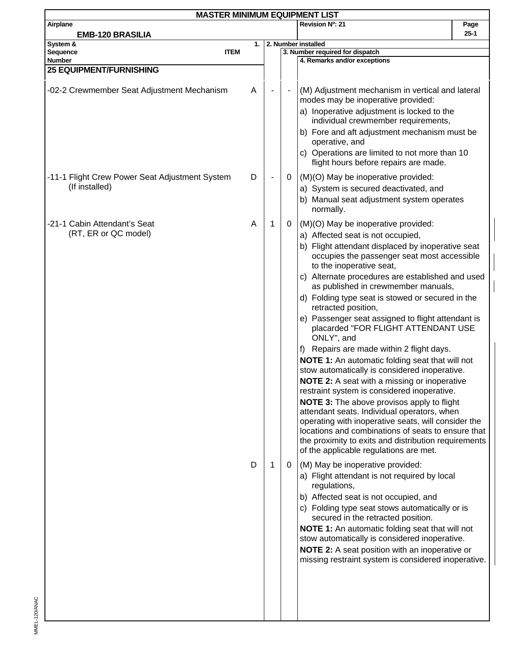|                                                |    |   |   | <b>MASTER MINIMUM EQUIPMENT LIST</b>                                                                                                          |                  |
|------------------------------------------------|----|---|---|-----------------------------------------------------------------------------------------------------------------------------------------------|------------------|
| Airplane<br><b>EMB-120 BRASILIA</b>            |    |   |   | Revision Nº: 21                                                                                                                               | Page<br>$25 - 1$ |
| System &                                       | 1. |   |   | 2. Number installed                                                                                                                           |                  |
| <b>ITEM</b><br>Sequence                        |    |   |   | 3. Number required for dispatch                                                                                                               |                  |
| <b>Number</b>                                  |    |   |   | 4. Remarks and/or exceptions                                                                                                                  |                  |
| <b>25 EQUIPMENT/FURNISHING</b>                 |    |   |   |                                                                                                                                               |                  |
| -02-2 Crewmember Seat Adjustment Mechanism     | Α  |   |   | (M) Adjustment mechanism in vertical and lateral<br>modes may be inoperative provided:                                                        |                  |
|                                                |    |   |   | a) Inoperative adjustment is locked to the<br>individual crewmember requirements,                                                             |                  |
|                                                |    |   |   | b) Fore and aft adjustment mechanism must be<br>operative, and                                                                                |                  |
|                                                |    |   |   | c) Operations are limited to not more than 10<br>flight hours before repairs are made.                                                        |                  |
| -11-1 Flight Crew Power Seat Adjustment System | D  |   | 0 | (M)(O) May be inoperative provided:                                                                                                           |                  |
| (If installed)                                 |    |   |   | a) System is secured deactivated, and                                                                                                         |                  |
|                                                |    |   |   | b) Manual seat adjustment system operates<br>normally.                                                                                        |                  |
| -21-1 Cabin Attendant's Seat                   | A  | 1 | 0 | (M)(O) May be inoperative provided:                                                                                                           |                  |
| (RT, ER or QC model)                           |    |   |   | a) Affected seat is not occupied,                                                                                                             |                  |
|                                                |    |   |   | b) Flight attendant displaced by inoperative seat<br>occupies the passenger seat most accessible<br>to the inoperative seat,                  |                  |
|                                                |    |   |   | c) Alternate procedures are established and used<br>as published in crewmember manuals,                                                       |                  |
|                                                |    |   |   | d) Folding type seat is stowed or secured in the<br>retracted position,                                                                       |                  |
|                                                |    |   |   | e) Passenger seat assigned to flight attendant is<br>placarded "FOR FLIGHT ATTENDANT USE<br>ONLY", and                                        |                  |
|                                                |    |   |   | f) Repairs are made within 2 flight days.                                                                                                     |                  |
|                                                |    |   |   | NOTE 1: An automatic folding seat that will not<br>stow automatically is considered inoperative.                                              |                  |
|                                                |    |   |   | <b>NOTE 2:</b> A seat with a missing or inoperative<br>restraint system is considered inoperative.                                            |                  |
|                                                |    |   |   | <b>NOTE 3:</b> The above provisos apply to flight<br>attendant seats. Individual operators, when                                              |                  |
|                                                |    |   |   | operating with inoperative seats, will consider the<br>locations and combinations of seats to ensure that                                     |                  |
|                                                |    |   |   | the proximity to exits and distribution requirements<br>of the applicable regulations are met.                                                |                  |
|                                                | D  | 1 | 0 | (M) May be inoperative provided:<br>a) Flight attendant is not required by local                                                              |                  |
|                                                |    |   |   | regulations,<br>b) Affected seat is not occupied, and                                                                                         |                  |
|                                                |    |   |   | c) Folding type seat stows automatically or is                                                                                                |                  |
|                                                |    |   |   | secured in the retracted position.<br><b>NOTE 1:</b> An automatic folding seat that will not<br>stow automatically is considered inoperative. |                  |
|                                                |    |   |   | NOTE 2: A seat position with an inoperative or<br>missing restraint system is considered inoperative.                                         |                  |
|                                                |    |   |   |                                                                                                                                               |                  |
|                                                |    |   |   |                                                                                                                                               |                  |
|                                                |    |   |   |                                                                                                                                               |                  |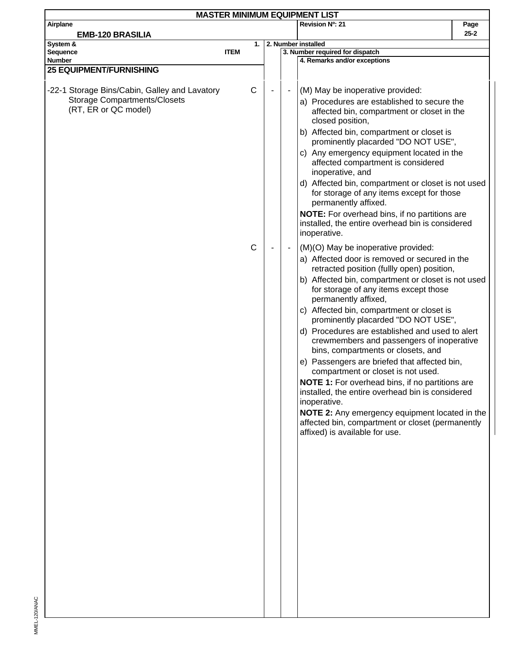| <b>MASTER MINIMUM EQUIPMENT LIST</b>          |              |  |  |                                                                                                     |                  |  |  |  |
|-----------------------------------------------|--------------|--|--|-----------------------------------------------------------------------------------------------------|------------------|--|--|--|
| Airplane<br><b>EMB-120 BRASILIA</b>           |              |  |  | Revision Nº: 21                                                                                     | Page<br>$25 - 2$ |  |  |  |
| System &                                      | 1.           |  |  | 2. Number installed                                                                                 |                  |  |  |  |
| Sequence                                      | <b>ITEM</b>  |  |  | 3. Number required for dispatch                                                                     |                  |  |  |  |
| <b>Number</b>                                 |              |  |  | 4. Remarks and/or exceptions                                                                        |                  |  |  |  |
| <b>25 EQUIPMENT/FURNISHING</b>                |              |  |  |                                                                                                     |                  |  |  |  |
| -22-1 Storage Bins/Cabin, Galley and Lavatory | C            |  |  | (M) May be inoperative provided:                                                                    |                  |  |  |  |
| <b>Storage Compartments/Closets</b>           |              |  |  | a) Procedures are established to secure the                                                         |                  |  |  |  |
| (RT, ER or QC model)                          |              |  |  | affected bin, compartment or closet in the                                                          |                  |  |  |  |
|                                               |              |  |  | closed position,                                                                                    |                  |  |  |  |
|                                               |              |  |  | b) Affected bin, compartment or closet is                                                           |                  |  |  |  |
|                                               |              |  |  | prominently placarded "DO NOT USE",                                                                 |                  |  |  |  |
|                                               |              |  |  | c) Any emergency equipment located in the                                                           |                  |  |  |  |
|                                               |              |  |  | affected compartment is considered                                                                  |                  |  |  |  |
|                                               |              |  |  | inoperative, and                                                                                    |                  |  |  |  |
|                                               |              |  |  | d) Affected bin, compartment or closet is not used                                                  |                  |  |  |  |
|                                               |              |  |  | for storage of any items except for those                                                           |                  |  |  |  |
|                                               |              |  |  | permanently affixed.                                                                                |                  |  |  |  |
|                                               |              |  |  | NOTE: For overhead bins, if no partitions are                                                       |                  |  |  |  |
|                                               |              |  |  | installed, the entire overhead bin is considered<br>inoperative.                                    |                  |  |  |  |
|                                               |              |  |  |                                                                                                     |                  |  |  |  |
|                                               | $\mathsf{C}$ |  |  | (M)(O) May be inoperative provided:                                                                 |                  |  |  |  |
|                                               |              |  |  | a) Affected door is removed or secured in the                                                       |                  |  |  |  |
|                                               |              |  |  | retracted position (fullly open) position,                                                          |                  |  |  |  |
|                                               |              |  |  | b) Affected bin, compartment or closet is not used<br>for storage of any items except those         |                  |  |  |  |
|                                               |              |  |  | permanently affixed,                                                                                |                  |  |  |  |
|                                               |              |  |  | c) Affected bin, compartment or closet is                                                           |                  |  |  |  |
|                                               |              |  |  | prominently placarded "DO NOT USE",                                                                 |                  |  |  |  |
|                                               |              |  |  | d) Procedures are established and used to alert                                                     |                  |  |  |  |
|                                               |              |  |  | crewmembers and passengers of inoperative                                                           |                  |  |  |  |
|                                               |              |  |  | bins, compartments or closets, and                                                                  |                  |  |  |  |
|                                               |              |  |  | e) Passengers are briefed that affected bin,                                                        |                  |  |  |  |
|                                               |              |  |  | compartment or closet is not used.                                                                  |                  |  |  |  |
|                                               |              |  |  | NOTE 1: For overhead bins, if no partitions are<br>installed, the entire overhead bin is considered |                  |  |  |  |
|                                               |              |  |  | inoperative.                                                                                        |                  |  |  |  |
|                                               |              |  |  | <b>NOTE 2:</b> Any emergency equipment located in the                                               |                  |  |  |  |
|                                               |              |  |  | affected bin, compartment or closet (permanently                                                    |                  |  |  |  |
|                                               |              |  |  | affixed) is available for use.                                                                      |                  |  |  |  |
|                                               |              |  |  |                                                                                                     |                  |  |  |  |
|                                               |              |  |  |                                                                                                     |                  |  |  |  |
|                                               |              |  |  |                                                                                                     |                  |  |  |  |
|                                               |              |  |  |                                                                                                     |                  |  |  |  |
|                                               |              |  |  |                                                                                                     |                  |  |  |  |
|                                               |              |  |  |                                                                                                     |                  |  |  |  |
|                                               |              |  |  |                                                                                                     |                  |  |  |  |
|                                               |              |  |  |                                                                                                     |                  |  |  |  |
|                                               |              |  |  |                                                                                                     |                  |  |  |  |
|                                               |              |  |  |                                                                                                     |                  |  |  |  |
|                                               |              |  |  |                                                                                                     |                  |  |  |  |
|                                               |              |  |  |                                                                                                     |                  |  |  |  |
|                                               |              |  |  |                                                                                                     |                  |  |  |  |
|                                               |              |  |  |                                                                                                     |                  |  |  |  |
|                                               |              |  |  |                                                                                                     |                  |  |  |  |
|                                               |              |  |  |                                                                                                     |                  |  |  |  |
|                                               |              |  |  |                                                                                                     |                  |  |  |  |

'n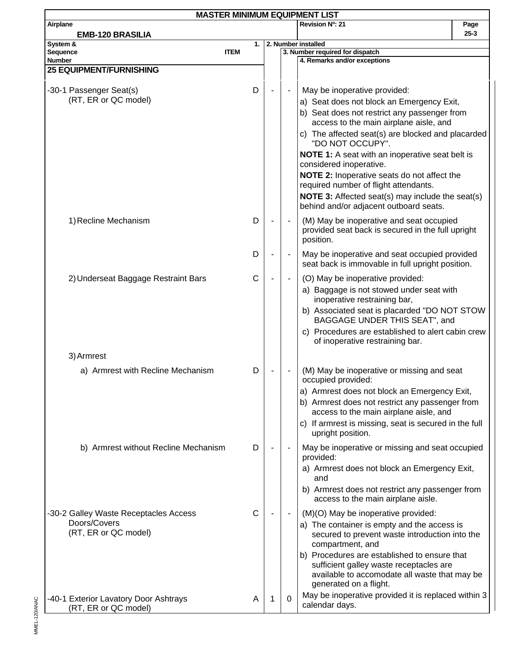| <b>MASTER MINIMUM EQUIPMENT LIST</b>            |             |                |                          |                                                                                                   |                  |  |
|-------------------------------------------------|-------------|----------------|--------------------------|---------------------------------------------------------------------------------------------------|------------------|--|
| Airplane<br><b>EMB-120 BRASILIA</b>             |             |                |                          | Revision Nº: 21                                                                                   | Page<br>$25 - 3$ |  |
| System &                                        | 1.          |                |                          | 2. Number installed                                                                               |                  |  |
| Sequence                                        | <b>ITEM</b> |                |                          | 3. Number required for dispatch                                                                   |                  |  |
| <b>Number</b><br><b>25 EQUIPMENT/FURNISHING</b> |             |                |                          | 4. Remarks and/or exceptions                                                                      |                  |  |
|                                                 |             |                |                          |                                                                                                   |                  |  |
| -30-1 Passenger Seat(s)                         | D           |                |                          | May be inoperative provided:                                                                      |                  |  |
| (RT, ER or QC model)                            |             |                |                          | a) Seat does not block an Emergency Exit,                                                         |                  |  |
|                                                 |             |                |                          | b) Seat does not restrict any passenger from                                                      |                  |  |
|                                                 |             |                |                          | access to the main airplane aisle, and                                                            |                  |  |
|                                                 |             |                |                          | c) The affected seat(s) are blocked and placarded<br>"DO NOT OCCUPY".                             |                  |  |
|                                                 |             |                |                          |                                                                                                   |                  |  |
|                                                 |             |                |                          | <b>NOTE 1:</b> A seat with an inoperative seat belt is<br>considered inoperative.                 |                  |  |
|                                                 |             |                |                          | NOTE 2: Inoperative seats do not affect the                                                       |                  |  |
|                                                 |             |                |                          | required number of flight attendants.                                                             |                  |  |
|                                                 |             |                |                          | <b>NOTE 3:</b> Affected seat(s) may include the seat(s)                                           |                  |  |
|                                                 |             |                |                          | behind and/or adjacent outboard seats.                                                            |                  |  |
| 1) Recline Mechanism                            | D           |                |                          | (M) May be inoperative and seat occupied                                                          |                  |  |
|                                                 |             |                |                          | provided seat back is secured in the full upright<br>position.                                    |                  |  |
|                                                 |             |                |                          |                                                                                                   |                  |  |
|                                                 | D           | $\blacksquare$ | $\overline{\phantom{a}}$ | May be inoperative and seat occupied provided<br>seat back is immovable in full upright position. |                  |  |
|                                                 |             |                |                          |                                                                                                   |                  |  |
| 2) Underseat Baggage Restraint Bars             | C           |                | $\overline{\phantom{a}}$ | (O) May be inoperative provided:                                                                  |                  |  |
|                                                 |             |                |                          | a) Baggage is not stowed under seat with                                                          |                  |  |
|                                                 |             |                |                          | inoperative restraining bar,                                                                      |                  |  |
|                                                 |             |                |                          | b) Associated seat is placarded "DO NOT STOW<br>BAGGAGE UNDER THIS SEAT", and                     |                  |  |
|                                                 |             |                |                          | c) Procedures are established to alert cabin crew                                                 |                  |  |
|                                                 |             |                |                          | of inoperative restraining bar.                                                                   |                  |  |
|                                                 |             |                |                          |                                                                                                   |                  |  |
| 3) Armrest                                      |             |                |                          |                                                                                                   |                  |  |
| a) Armrest with Recline Mechanism               | D           |                |                          | (M) May be inoperative or missing and seat<br>occupied provided:                                  |                  |  |
|                                                 |             |                |                          | a) Armrest does not block an Emergency Exit,                                                      |                  |  |
|                                                 |             |                |                          | b) Armrest does not restrict any passenger from                                                   |                  |  |
|                                                 |             |                |                          | access to the main airplane aisle, and                                                            |                  |  |
|                                                 |             |                |                          | c) If armrest is missing, seat is secured in the full                                             |                  |  |
|                                                 |             |                |                          | upright position.                                                                                 |                  |  |
| b) Armrest without Recline Mechanism            | D           |                |                          | May be inoperative or missing and seat occupied<br>provided:                                      |                  |  |
|                                                 |             |                |                          | a) Armrest does not block an Emergency Exit,                                                      |                  |  |
|                                                 |             |                |                          | and                                                                                               |                  |  |
|                                                 |             |                |                          | b) Armrest does not restrict any passenger from                                                   |                  |  |
|                                                 |             |                |                          | access to the main airplane aisle.                                                                |                  |  |
| -30-2 Galley Waste Receptacles Access           | C           |                |                          | (M)(O) May be inoperative provided:                                                               |                  |  |
| Doors/Covers                                    |             |                |                          | a) The container is empty and the access is                                                       |                  |  |
| (RT, ER or QC model)                            |             |                |                          | secured to prevent waste introduction into the                                                    |                  |  |
|                                                 |             |                |                          | compartment, and                                                                                  |                  |  |
|                                                 |             |                |                          | b) Procedures are established to ensure that<br>sufficient galley waste receptacles are           |                  |  |
|                                                 |             |                |                          | available to accomodate all waste that may be                                                     |                  |  |
|                                                 |             |                |                          | generated on a flight.                                                                            |                  |  |
| -40-1 Exterior Lavatory Door Ashtrays           | Α           | 1              | 0                        | May be inoperative provided it is replaced within 3                                               |                  |  |
| (RT, ER or QC model)                            |             |                |                          | calendar days.                                                                                    |                  |  |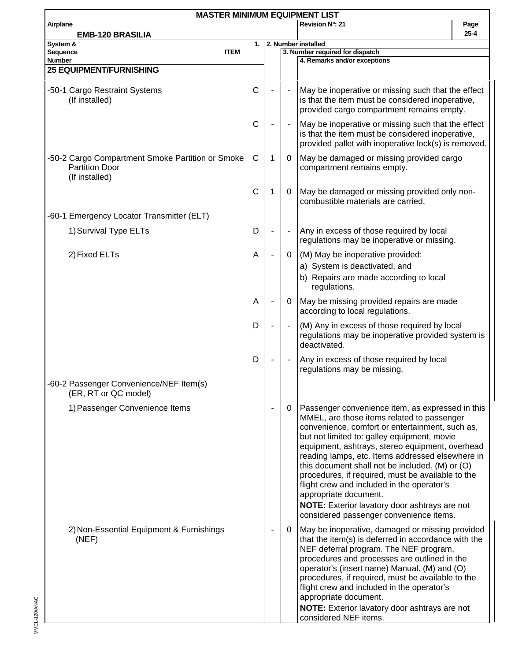|                                                                                             |              |                              |                | <b>MASTER MINIMUM EQUIPMENT LIST</b>                                                                                                                                                                                                                                                                                                                                                                                                                                                                                                                                               |                  |
|---------------------------------------------------------------------------------------------|--------------|------------------------------|----------------|------------------------------------------------------------------------------------------------------------------------------------------------------------------------------------------------------------------------------------------------------------------------------------------------------------------------------------------------------------------------------------------------------------------------------------------------------------------------------------------------------------------------------------------------------------------------------------|------------------|
| Airplane<br><b>EMB-120 BRASILIA</b>                                                         |              |                              |                | Revision Nº: 21                                                                                                                                                                                                                                                                                                                                                                                                                                                                                                                                                                    | Page<br>$25 - 4$ |
| System &                                                                                    | 1.           |                              |                | 2. Number installed                                                                                                                                                                                                                                                                                                                                                                                                                                                                                                                                                                |                  |
| Sequence                                                                                    | <b>ITEM</b>  |                              |                | 3. Number required for dispatch                                                                                                                                                                                                                                                                                                                                                                                                                                                                                                                                                    |                  |
| <b>Number</b><br><b>25 EQUIPMENT/FURNISHING</b>                                             |              |                              |                | 4. Remarks and/or exceptions                                                                                                                                                                                                                                                                                                                                                                                                                                                                                                                                                       |                  |
| -50-1 Cargo Restraint Systems<br>(If installed)                                             | $\mathsf C$  |                              |                | May be inoperative or missing such that the effect<br>is that the item must be considered inoperative,<br>provided cargo compartment remains empty.                                                                                                                                                                                                                                                                                                                                                                                                                                |                  |
|                                                                                             | C            |                              |                | May be inoperative or missing such that the effect<br>is that the item must be considered inoperative,<br>provided pallet with inoperative lock(s) is removed.                                                                                                                                                                                                                                                                                                                                                                                                                     |                  |
| -50-2 Cargo Compartment Smoke Partition or Smoke<br><b>Partition Door</b><br>(If installed) | C            | 1                            | 0              | May be damaged or missing provided cargo<br>compartment remains empty.                                                                                                                                                                                                                                                                                                                                                                                                                                                                                                             |                  |
|                                                                                             | $\mathsf{C}$ | 1                            | 0              | May be damaged or missing provided only non-<br>combustible materials are carried.                                                                                                                                                                                                                                                                                                                                                                                                                                                                                                 |                  |
| -60-1 Emergency Locator Transmitter (ELT)                                                   |              |                              |                |                                                                                                                                                                                                                                                                                                                                                                                                                                                                                                                                                                                    |                  |
| 1) Survival Type ELTs                                                                       | D            |                              |                | Any in excess of those required by local<br>regulations may be inoperative or missing.                                                                                                                                                                                                                                                                                                                                                                                                                                                                                             |                  |
| 2) Fixed ELTs                                                                               | A            | $\overline{\phantom{a}}$     | 0              | (M) May be inoperative provided:                                                                                                                                                                                                                                                                                                                                                                                                                                                                                                                                                   |                  |
|                                                                                             |              |                              |                | a) System is deactivated, and                                                                                                                                                                                                                                                                                                                                                                                                                                                                                                                                                      |                  |
|                                                                                             |              |                              |                | b) Repairs are made according to local<br>regulations.                                                                                                                                                                                                                                                                                                                                                                                                                                                                                                                             |                  |
|                                                                                             | A            | $\qquad \qquad \blacksquare$ | 0              | May be missing provided repairs are made<br>according to local regulations.                                                                                                                                                                                                                                                                                                                                                                                                                                                                                                        |                  |
|                                                                                             | D            | $\blacksquare$               |                | (M) Any in excess of those required by local<br>regulations may be inoperative provided system is<br>deactivated.                                                                                                                                                                                                                                                                                                                                                                                                                                                                  |                  |
|                                                                                             | D            |                              |                | Any in excess of those required by local<br>regulations may be missing.                                                                                                                                                                                                                                                                                                                                                                                                                                                                                                            |                  |
| -60-2 Passenger Convenience/NEF Item(s)<br>(ER, RT or QC model)                             |              |                              |                |                                                                                                                                                                                                                                                                                                                                                                                                                                                                                                                                                                                    |                  |
| 1) Passenger Convenience Items                                                              |              | $\blacksquare$               | $\overline{0}$ | Passenger convenience item, as expressed in this<br>MMEL, are those items related to passenger<br>convenience, comfort or entertainment, such as,<br>but not limited to: galley equipment, movie<br>equipment, ashtrays, stereo equipment, overhead<br>reading lamps, etc. Items addressed elsewhere in<br>this document shall not be included. (M) or (O)<br>procedures, if required, must be available to the<br>flight crew and included in the operator's<br>appropriate document.<br>NOTE: Exterior lavatory door ashtrays are not<br>considered passenger convenience items. |                  |
| 2) Non-Essential Equipment & Furnishings<br>(NEF)                                           |              | $\qquad \qquad \blacksquare$ | 0              | May be inoperative, damaged or missing provided<br>that the item(s) is deferred in accordance with the<br>NEF deferral program. The NEF program,<br>procedures and processes are outlined in the<br>operator's (insert name) Manual. (M) and (O)<br>procedures, if required, must be available to the<br>flight crew and included in the operator's<br>appropriate document.<br>NOTE: Exterior lavatory door ashtrays are not<br>considered NEF items.                                                                                                                             |                  |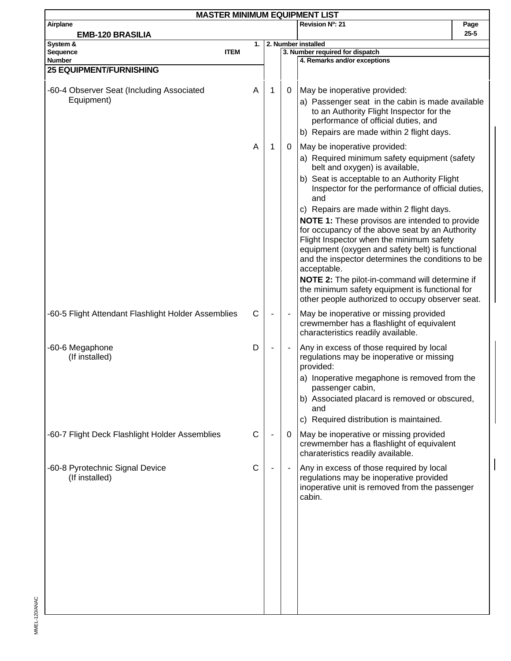|                                                         |              |   |                | <b>MASTER MINIMUM EQUIPMENT LIST</b>                                                                     |                  |
|---------------------------------------------------------|--------------|---|----------------|----------------------------------------------------------------------------------------------------------|------------------|
| Airplane<br><b>EMB-120 BRASILIA</b>                     |              |   |                | Revision Nº: 21                                                                                          | Page<br>$25 - 5$ |
| System &                                                | 1.           |   |                | 2. Number installed                                                                                      |                  |
| Sequence                                                | <b>ITEM</b>  |   |                | 3. Number required for dispatch                                                                          |                  |
| <b>Number</b>                                           |              |   |                | 4. Remarks and/or exceptions                                                                             |                  |
| <b>25 EQUIPMENT/FURNISHING</b>                          |              |   |                |                                                                                                          |                  |
|                                                         | Α            | 1 | 0              | May be inoperative provided:                                                                             |                  |
| -60-4 Observer Seat (Including Associated<br>Equipment) |              |   |                |                                                                                                          |                  |
|                                                         |              |   |                | a) Passenger seat in the cabin is made available<br>to an Authority Flight Inspector for the             |                  |
|                                                         |              |   |                | performance of official duties, and                                                                      |                  |
|                                                         |              |   |                |                                                                                                          |                  |
|                                                         |              |   |                | b) Repairs are made within 2 flight days.                                                                |                  |
|                                                         | Α            | 1 | 0              | May be inoperative provided:                                                                             |                  |
|                                                         |              |   |                | a) Required minimum safety equipment (safety                                                             |                  |
|                                                         |              |   |                | belt and oxygen) is available,                                                                           |                  |
|                                                         |              |   |                | b) Seat is acceptable to an Authority Flight                                                             |                  |
|                                                         |              |   |                | Inspector for the performance of official duties,<br>and                                                 |                  |
|                                                         |              |   |                | c) Repairs are made within 2 flight days.                                                                |                  |
|                                                         |              |   |                |                                                                                                          |                  |
|                                                         |              |   |                | <b>NOTE 1:</b> These provisos are intended to provide<br>for occupancy of the above seat by an Authority |                  |
|                                                         |              |   |                | Flight Inspector when the minimum safety                                                                 |                  |
|                                                         |              |   |                | equipment (oxygen and safety belt) is functional                                                         |                  |
|                                                         |              |   |                | and the inspector determines the conditions to be                                                        |                  |
|                                                         |              |   |                | acceptable.                                                                                              |                  |
|                                                         |              |   |                | NOTE 2: The pilot-in-command will determine if                                                           |                  |
|                                                         |              |   |                | the minimum safety equipment is functional for                                                           |                  |
|                                                         |              |   |                | other people authorized to occupy observer seat.                                                         |                  |
| -60-5 Flight Attendant Flashlight Holder Assemblies     | $\mathsf{C}$ |   | $\overline{a}$ | May be inoperative or missing provided                                                                   |                  |
|                                                         |              |   |                | crewmember has a flashlight of equivalent                                                                |                  |
|                                                         |              |   |                | characteristics readily available.                                                                       |                  |
| -60-6 Megaphone                                         | D            |   |                | Any in excess of those required by local                                                                 |                  |
| (If installed)                                          |              |   |                | regulations may be inoperative or missing                                                                |                  |
|                                                         |              |   |                | provided:                                                                                                |                  |
|                                                         |              |   |                | a) Inoperative megaphone is removed from the                                                             |                  |
|                                                         |              |   |                | passenger cabin,                                                                                         |                  |
|                                                         |              |   |                | b) Associated placard is removed or obscured,                                                            |                  |
|                                                         |              |   |                | and                                                                                                      |                  |
|                                                         |              |   |                | c) Required distribution is maintained.                                                                  |                  |
| -60-7 Flight Deck Flashlight Holder Assemblies          | $\mathsf{C}$ |   | 0              | May be inoperative or missing provided                                                                   |                  |
|                                                         |              |   |                | crewmember has a flashlight of equivalent                                                                |                  |
|                                                         |              |   |                | charateristics readily available.                                                                        |                  |
| -60-8 Pyrotechnic Signal Device                         | $\mathsf{C}$ |   |                | Any in excess of those required by local                                                                 |                  |
| (If installed)                                          |              |   |                | regulations may be inoperative provided                                                                  |                  |
|                                                         |              |   |                | inoperative unit is removed from the passenger                                                           |                  |
|                                                         |              |   |                | cabin.                                                                                                   |                  |
|                                                         |              |   |                |                                                                                                          |                  |
|                                                         |              |   |                |                                                                                                          |                  |
|                                                         |              |   |                |                                                                                                          |                  |
|                                                         |              |   |                |                                                                                                          |                  |
|                                                         |              |   |                |                                                                                                          |                  |
|                                                         |              |   |                |                                                                                                          |                  |
|                                                         |              |   |                |                                                                                                          |                  |
|                                                         |              |   |                |                                                                                                          |                  |
|                                                         |              |   |                |                                                                                                          |                  |
|                                                         |              |   |                |                                                                                                          |                  |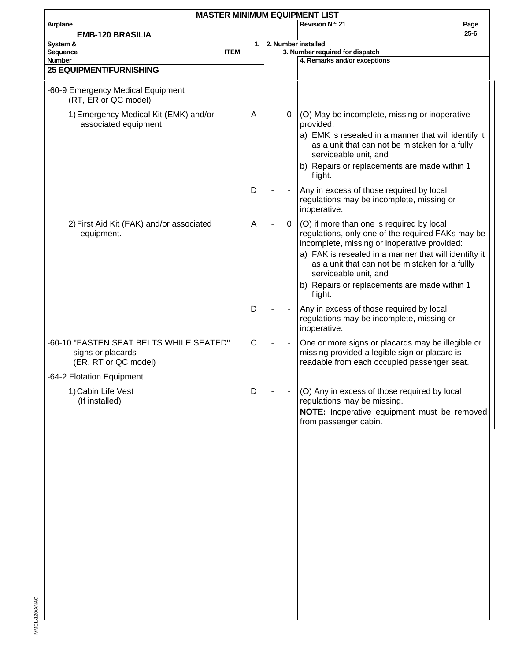|                                                                                      |              |    |   | <b>MASTER MINIMUM EQUIPMENT LIST</b>                                                                                                                                                                                                                                                                                                           |              |
|--------------------------------------------------------------------------------------|--------------|----|---|------------------------------------------------------------------------------------------------------------------------------------------------------------------------------------------------------------------------------------------------------------------------------------------------------------------------------------------------|--------------|
| Airplane<br><b>EMB-120 BRASILIA</b>                                                  |              |    |   | Revision Nº: 21                                                                                                                                                                                                                                                                                                                                | Page<br>25-6 |
| System &                                                                             | 1.           |    |   | 2. Number installed                                                                                                                                                                                                                                                                                                                            |              |
| Sequence                                                                             | <b>ITEM</b>  |    |   | 3. Number required for dispatch                                                                                                                                                                                                                                                                                                                |              |
| <b>Number</b>                                                                        |              |    |   | 4. Remarks and/or exceptions                                                                                                                                                                                                                                                                                                                   |              |
| <b>25 EQUIPMENT/FURNISHING</b>                                                       |              |    |   |                                                                                                                                                                                                                                                                                                                                                |              |
| -60-9 Emergency Medical Equipment<br>(RT, ER or QC model)                            |              |    |   |                                                                                                                                                                                                                                                                                                                                                |              |
| 1) Emergency Medical Kit (EMK) and/or<br>associated equipment                        | A            |    | 0 | (O) May be incomplete, missing or inoperative<br>provided:<br>a) EMK is resealed in a manner that will identify it                                                                                                                                                                                                                             |              |
|                                                                                      |              |    |   | as a unit that can not be mistaken for a fully<br>serviceable unit, and<br>b) Repairs or replacements are made within 1                                                                                                                                                                                                                        |              |
|                                                                                      |              |    |   | flight.                                                                                                                                                                                                                                                                                                                                        |              |
|                                                                                      | D            |    |   | Any in excess of those required by local<br>regulations may be incomplete, missing or<br>inoperative.                                                                                                                                                                                                                                          |              |
| 2) First Aid Kit (FAK) and/or associated<br>equipment.                               | A            | ä, | 0 | (O) if more than one is required by local<br>regulations, only one of the required FAKs may be<br>incomplete, missing or inoperative provided:<br>a) FAK is resealed in a manner that will identifty it<br>as a unit that can not be mistaken for a fullly<br>serviceable unit, and<br>b) Repairs or replacements are made within 1<br>flight. |              |
|                                                                                      | D            | ۰  |   | Any in excess of those required by local<br>regulations may be incomplete, missing or<br>inoperative.                                                                                                                                                                                                                                          |              |
| -60-10 "FASTEN SEAT BELTS WHILE SEATED"<br>signs or placards<br>(ER, RT or QC model) | $\mathsf{C}$ |    |   | One or more signs or placards may be illegible or<br>missing provided a legible sign or placard is<br>readable from each occupied passenger seat.                                                                                                                                                                                              |              |
| -64-2 Flotation Equipment                                                            |              |    |   |                                                                                                                                                                                                                                                                                                                                                |              |
| 1) Cabin Life Vest<br>(If installed)                                                 | D            |    |   | (O) Any in excess of those required by local<br>regulations may be missing.<br>NOTE: Inoperative equipment must be removed<br>from passenger cabin.                                                                                                                                                                                            |              |
|                                                                                      |              |    |   |                                                                                                                                                                                                                                                                                                                                                |              |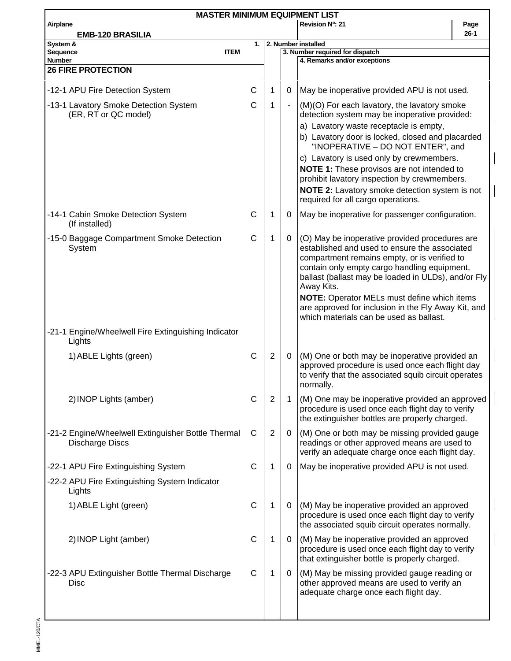|                                                                              |              |                  |   | <b>MASTER MINIMUM EQUIPMENT LIST</b>                                                                                                                                                                                                                                 |                |
|------------------------------------------------------------------------------|--------------|------------------|---|----------------------------------------------------------------------------------------------------------------------------------------------------------------------------------------------------------------------------------------------------------------------|----------------|
| Airplane<br><b>EMB-120 BRASILIA</b>                                          |              |                  |   | Revision Nº: 21                                                                                                                                                                                                                                                      | Page<br>$26-1$ |
| System &                                                                     | 1.           |                  |   | 2. Number installed                                                                                                                                                                                                                                                  |                |
| Sequence                                                                     | <b>ITEM</b>  |                  |   | 3. Number required for dispatch                                                                                                                                                                                                                                      |                |
| <b>Number</b><br><b>26 FIRE PROTECTION</b>                                   |              |                  |   | 4. Remarks and/or exceptions                                                                                                                                                                                                                                         |                |
|                                                                              |              |                  |   |                                                                                                                                                                                                                                                                      |                |
| -12-1 APU Fire Detection System                                              | C            | 1                | 0 | May be inoperative provided APU is not used.                                                                                                                                                                                                                         |                |
| -13-1 Lavatory Smoke Detection System<br>(ER, RT or QC model)                | C            | 1                |   | (M)(O) For each lavatory, the lavatory smoke<br>detection system may be inoperative provided:                                                                                                                                                                        |                |
|                                                                              |              |                  |   | a) Lavatory waste receptacle is empty,                                                                                                                                                                                                                               |                |
|                                                                              |              |                  |   | b) Lavatory door is locked, closed and placarded<br>"INOPERATIVE - DO NOT ENTER", and                                                                                                                                                                                |                |
|                                                                              |              |                  |   | c) Lavatory is used only by crewmembers.                                                                                                                                                                                                                             |                |
|                                                                              |              |                  |   | <b>NOTE 1:</b> These provisos are not intended to<br>prohibit lavatory inspection by crewmembers.                                                                                                                                                                    |                |
|                                                                              |              |                  |   | NOTE 2: Lavatory smoke detection system is not<br>required for all cargo operations.                                                                                                                                                                                 |                |
| -14-1 Cabin Smoke Detection System<br>(If installed)                         | C            | 1                | 0 | May be inoperative for passenger configuration.                                                                                                                                                                                                                      |                |
| -15-0 Baggage Compartment Smoke Detection<br>System                          | C            | 1                | 0 | (O) May be inoperative provided procedures are<br>established and used to ensure the associated<br>compartment remains empty, or is verified to<br>contain only empty cargo handling equipment,<br>ballast (ballast may be loaded in ULDs), and/or Fly<br>Away Kits. |                |
|                                                                              |              |                  |   | NOTE: Operator MELs must define which items<br>are approved for inclusion in the Fly Away Kit, and<br>which materials can be used as ballast.                                                                                                                        |                |
| -21-1 Engine/Wheelwell Fire Extinguishing Indicator<br>Lights                |              |                  |   |                                                                                                                                                                                                                                                                      |                |
| 1) ABLE Lights (green)                                                       | C            | $\overline{2}$   | 0 | (M) One or both may be inoperative provided an<br>approved procedure is used once each flight day<br>to verify that the associated squib circuit operates<br>normally.                                                                                               |                |
| 2) INOP Lights (amber)                                                       | C            | $\overline{2}$   |   | (M) One may be inoperative provided an approved<br>procedure is used once each flight day to verify<br>the extinguisher bottles are properly charged.                                                                                                                |                |
| -21-2 Engine/Wheelwell Extinguisher Bottle Thermal<br><b>Discharge Discs</b> | C            | $\boldsymbol{2}$ | 0 | (M) One or both may be missing provided gauge<br>readings or other approved means are used to<br>verify an adequate charge once each flight day.                                                                                                                     |                |
| -22-1 APU Fire Extinguishing System                                          | $\mathsf{C}$ | $\mathbf 1$      | 0 | May be inoperative provided APU is not used.                                                                                                                                                                                                                         |                |
| -22-2 APU Fire Extinguishing System Indicator<br>Lights                      |              |                  |   |                                                                                                                                                                                                                                                                      |                |
| 1) ABLE Light (green)                                                        | C            | $\mathbf 1$      | 0 | (M) May be inoperative provided an approved<br>procedure is used once each flight day to verify                                                                                                                                                                      |                |
| 2) INOP Light (amber)                                                        | $\mathsf{C}$ | 1                | 0 | the associated squib circuit operates normally.<br>(M) May be inoperative provided an approved<br>procedure is used once each flight day to verify<br>that extinguisher bottle is properly charged.                                                                  |                |
| -22-3 APU Extinguisher Bottle Thermal Discharge<br><b>Disc</b>               | C            | 1                | 0 | (M) May be missing provided gauge reading or<br>other approved means are used to verify an<br>adequate charge once each flight day.                                                                                                                                  |                |
|                                                                              |              |                  |   |                                                                                                                                                                                                                                                                      |                |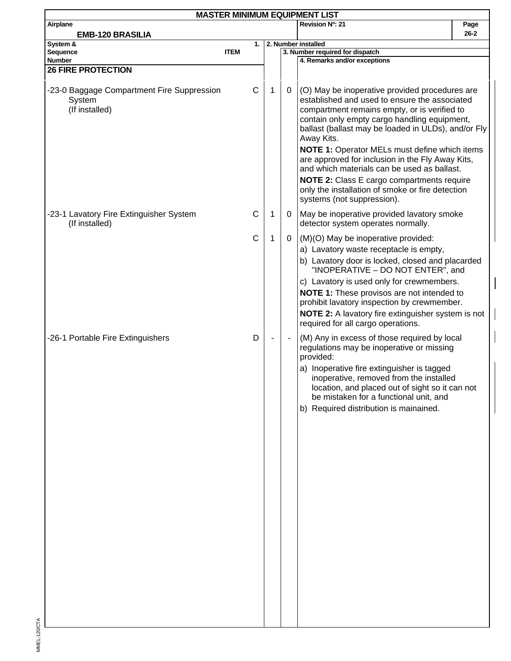| <b>MASTER MINIMUM EQUIPMENT LIST</b>                                   |              |                |   |                                                                                                                                                                                                                                                                                                                                        |                  |  |  |  |
|------------------------------------------------------------------------|--------------|----------------|---|----------------------------------------------------------------------------------------------------------------------------------------------------------------------------------------------------------------------------------------------------------------------------------------------------------------------------------------|------------------|--|--|--|
| Airplane<br><b>EMB-120 BRASILIA</b>                                    |              |                |   | Revision Nº: 21                                                                                                                                                                                                                                                                                                                        | Page<br>$26 - 2$ |  |  |  |
| System &                                                               | 1.           |                |   | 2. Number installed                                                                                                                                                                                                                                                                                                                    |                  |  |  |  |
| Sequence                                                               | <b>ITEM</b>  |                |   | 3. Number required for dispatch                                                                                                                                                                                                                                                                                                        |                  |  |  |  |
| <b>Number</b>                                                          |              |                |   | 4. Remarks and/or exceptions                                                                                                                                                                                                                                                                                                           |                  |  |  |  |
| <b>26 FIRE PROTECTION</b>                                              |              |                |   |                                                                                                                                                                                                                                                                                                                                        |                  |  |  |  |
| -23-0 Baggage Compartment Fire Suppression<br>System<br>(If installed) | $\mathsf C$  | 1              | 0 | (O) May be inoperative provided procedures are<br>established and used to ensure the associated<br>compartment remains empty, or is verified to<br>contain only empty cargo handling equipment,<br>ballast (ballast may be loaded in ULDs), and/or Fly<br>Away Kits.                                                                   |                  |  |  |  |
|                                                                        |              |                |   | NOTE 1: Operator MELs must define which items<br>are approved for inclusion in the Fly Away Kits,<br>and which materials can be used as ballast.<br>NOTE 2: Class E cargo compartments require<br>only the installation of smoke or fire detection<br>systems (not suppression).                                                       |                  |  |  |  |
| -23-1 Lavatory Fire Extinguisher System<br>(If installed)              | C            | 1              | 0 | May be inoperative provided lavatory smoke<br>detector system operates normally.                                                                                                                                                                                                                                                       |                  |  |  |  |
|                                                                        | $\mathsf{C}$ | 1              | 0 | (M)(O) May be inoperative provided:<br>a) Lavatory waste receptacle is empty,<br>b) Lavatory door is locked, closed and placarded<br>"INOPERATIVE - DO NOT ENTER", and<br>c) Lavatory is used only for crewmembers.<br>NOTE 1: These provisos are not intended to<br>prohibit lavatory inspection by crewmember.                       |                  |  |  |  |
|                                                                        |              |                |   | NOTE 2: A lavatory fire extinguisher system is not<br>required for all cargo operations.                                                                                                                                                                                                                                               |                  |  |  |  |
| -26-1 Portable Fire Extinguishers                                      | D            | $\overline{a}$ |   | (M) Any in excess of those required by local<br>regulations may be inoperative or missing<br>provided:<br>a) Inoperative fire extinguisher is tagged<br>inoperative, removed from the installed<br>location, and placed out of sight so it can not<br>be mistaken for a functional unit, and<br>b) Required distribution is mainained. |                  |  |  |  |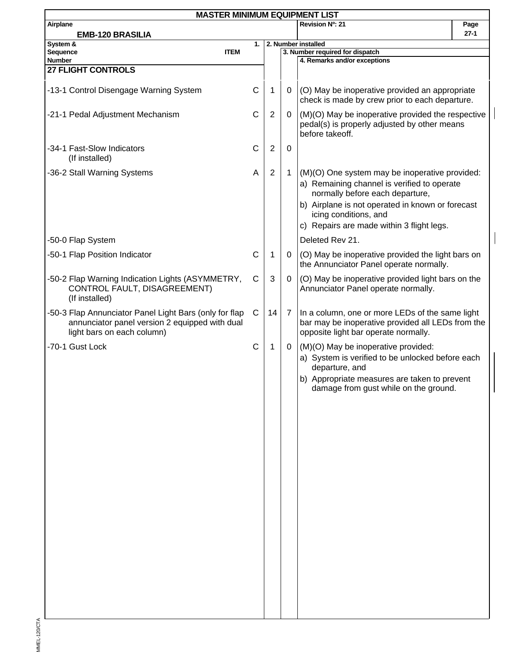|                                                                                                                                        |              |                |             | <b>MASTER MINIMUM EQUIPMENT LIST</b>                                                                                                                                                                                                                       |                |
|----------------------------------------------------------------------------------------------------------------------------------------|--------------|----------------|-------------|------------------------------------------------------------------------------------------------------------------------------------------------------------------------------------------------------------------------------------------------------------|----------------|
| Airplane<br><b>EMB-120 BRASILIA</b>                                                                                                    |              |                |             | Revision Nº: 21                                                                                                                                                                                                                                            | Page<br>$27-1$ |
| System &                                                                                                                               | 1.           |                |             | 2. Number installed                                                                                                                                                                                                                                        |                |
| Sequence                                                                                                                               | <b>ITEM</b>  |                |             | 3. Number required for dispatch                                                                                                                                                                                                                            |                |
| <b>Number</b>                                                                                                                          |              |                |             | 4. Remarks and/or exceptions                                                                                                                                                                                                                               |                |
| <b>27 FLIGHT CONTROLS</b>                                                                                                              |              |                |             |                                                                                                                                                                                                                                                            |                |
| -13-1 Control Disengage Warning System                                                                                                 | $\mathbf C$  | 1              | $\mathbf 0$ | (O) May be inoperative provided an appropriate<br>check is made by crew prior to each departure.                                                                                                                                                           |                |
| -21-1 Pedal Adjustment Mechanism                                                                                                       | $\mathsf{C}$ | $\overline{2}$ | 0           | (M)(O) May be inoperative provided the respective<br>pedal(s) is properly adjusted by other means<br>before takeoff.                                                                                                                                       |                |
| -34-1 Fast-Slow Indicators<br>(If installed)                                                                                           | $\mathsf{C}$ | $\overline{2}$ | 0           |                                                                                                                                                                                                                                                            |                |
| -36-2 Stall Warning Systems                                                                                                            | A            | 2              | 1           | (M)(O) One system may be inoperative provided:<br>a) Remaining channel is verified to operate<br>normally before each departure,<br>b) Airplane is not operated in known or forecast<br>icing conditions, and<br>c) Repairs are made within 3 flight legs. |                |
| -50-0 Flap System                                                                                                                      |              |                |             | Deleted Rev 21.                                                                                                                                                                                                                                            |                |
| -50-1 Flap Position Indicator                                                                                                          | $\mathsf{C}$ | 1              | 0           | (O) May be inoperative provided the light bars on<br>the Annunciator Panel operate normally.                                                                                                                                                               |                |
| -50-2 Flap Warning Indication Lights (ASYMMETRY,<br>CONTROL FAULT, DISAGREEMENT)<br>(If installed)                                     | C            | 3              | 0           | (O) May be inoperative provided light bars on the<br>Annunciator Panel operate normally.                                                                                                                                                                   |                |
| -50-3 Flap Annunciator Panel Light Bars (only for flap<br>annunciator panel version 2 equipped with dual<br>light bars on each column) | $\mathsf{C}$ | 14             | 7           | In a column, one or more LEDs of the same light<br>bar may be inoperative provided all LEDs from the<br>opposite light bar operate normally.                                                                                                               |                |
| -70-1 Gust Lock                                                                                                                        | $\mathsf{C}$ | 1              | 0           | (M)(O) May be inoperative provided:<br>a) System is verified to be unlocked before each<br>departure, and<br>b) Appropriate measures are taken to prevent<br>damage from gust while on the ground.                                                         |                |

 $\begin{array}{c} \end{array}$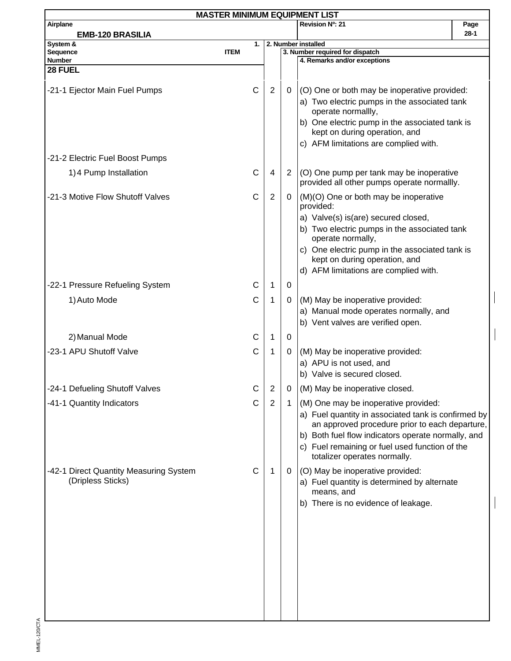|                                                             | <b>MASTER MINIMUM EQUIPMENT LIST</b> |                |   |                                                                                                       |                |
|-------------------------------------------------------------|--------------------------------------|----------------|---|-------------------------------------------------------------------------------------------------------|----------------|
| Airplane<br><b>EMB-120 BRASILIA</b>                         |                                      |                |   | Revision Nº: 21                                                                                       | Page<br>$28-1$ |
| System &                                                    | 1.                                   |                |   | 2. Number installed                                                                                   |                |
| Sequence                                                    | <b>ITEM</b>                          |                |   | 3. Number required for dispatch                                                                       |                |
| <b>Number</b><br>28 FUEL                                    |                                      |                |   | 4. Remarks and/or exceptions                                                                          |                |
|                                                             |                                      |                |   |                                                                                                       |                |
| -21-1 Ejector Main Fuel Pumps                               | C                                    | $\overline{2}$ | 0 | (O) One or both may be inoperative provided:                                                          |                |
|                                                             |                                      |                |   | a) Two electric pumps in the associated tank<br>operate normallly,                                    |                |
|                                                             |                                      |                |   | b) One electric pump in the associated tank is<br>kept on during operation, and                       |                |
|                                                             |                                      |                |   | c) AFM limitations are complied with.                                                                 |                |
| -21-2 Electric Fuel Boost Pumps                             |                                      |                |   |                                                                                                       |                |
| 1) 4 Pump Installation                                      | C                                    | 4              | 2 | (O) One pump per tank may be inoperative                                                              |                |
|                                                             |                                      |                |   | provided all other pumps operate normallly.                                                           |                |
| -21-3 Motive Flow Shutoff Valves                            | C                                    | $\overline{2}$ | 0 | (M)(O) One or both may be inoperative<br>provided:                                                    |                |
|                                                             |                                      |                |   | a) Valve(s) is(are) secured closed,<br>b) Two electric pumps in the associated tank                   |                |
|                                                             |                                      |                |   | operate normally,<br>c) One electric pump in the associated tank is                                   |                |
|                                                             |                                      |                |   | kept on during operation, and<br>d) AFM limitations are complied with.                                |                |
| -22-1 Pressure Refueling System                             | С                                    | $\mathbf 1$    | 0 |                                                                                                       |                |
| 1) Auto Mode                                                | C                                    | 1              | 0 | (M) May be inoperative provided:                                                                      |                |
|                                                             |                                      |                |   | a) Manual mode operates normally, and                                                                 |                |
|                                                             |                                      |                |   | b) Vent valves are verified open.                                                                     |                |
| 2) Manual Mode                                              | C                                    | 1              | 0 |                                                                                                       |                |
| -23-1 APU Shutoff Valve                                     | C                                    | 1              | 0 | (M) May be inoperative provided:                                                                      |                |
|                                                             |                                      |                |   | a) APU is not used, and                                                                               |                |
|                                                             |                                      |                |   | b) Valve is secured closed.                                                                           |                |
| -24-1 Defueling Shutoff Valves                              | C                                    | 2              | 0 | (M) May be inoperative closed.                                                                        |                |
| -41-1 Quantity Indicators                                   | C                                    | $\overline{2}$ | 1 | (M) One may be inoperative provided:                                                                  |                |
|                                                             |                                      |                |   | a) Fuel quantity in associated tank is confirmed by<br>an approved procedure prior to each departure, |                |
|                                                             |                                      |                |   | b) Both fuel flow indicators operate normally, and                                                    |                |
|                                                             |                                      |                |   | c) Fuel remaining or fuel used function of the                                                        |                |
|                                                             |                                      |                |   | totalizer operates normally.                                                                          |                |
| -42-1 Direct Quantity Measuring System<br>(Dripless Sticks) | C                                    | 1              | 0 | (O) May be inoperative provided:                                                                      |                |
|                                                             |                                      |                |   | a) Fuel quantity is determined by alternate<br>means, and                                             |                |
|                                                             |                                      |                |   | b) There is no evidence of leakage.                                                                   |                |
|                                                             |                                      |                |   |                                                                                                       |                |
|                                                             |                                      |                |   |                                                                                                       |                |
|                                                             |                                      |                |   |                                                                                                       |                |
|                                                             |                                      |                |   |                                                                                                       |                |
|                                                             |                                      |                |   |                                                                                                       |                |
|                                                             |                                      |                |   |                                                                                                       |                |
|                                                             |                                      |                |   |                                                                                                       |                |
|                                                             |                                      |                |   |                                                                                                       |                |

 $\begin{array}{c} \rule{0pt}{2.5ex} \rule{0pt}{2.5ex} \rule{0pt}{2.5ex} \rule{0pt}{2.5ex} \rule{0pt}{2.5ex} \rule{0pt}{2.5ex} \rule{0pt}{2.5ex} \rule{0pt}{2.5ex} \rule{0pt}{2.5ex} \rule{0pt}{2.5ex} \rule{0pt}{2.5ex} \rule{0pt}{2.5ex} \rule{0pt}{2.5ex} \rule{0pt}{2.5ex} \rule{0pt}{2.5ex} \rule{0pt}{2.5ex} \rule{0pt}{2.5ex} \rule{0pt}{2.5ex} \rule{0pt}{2.5ex} \rule{0$ 

 $\overline{\phantom{a}}$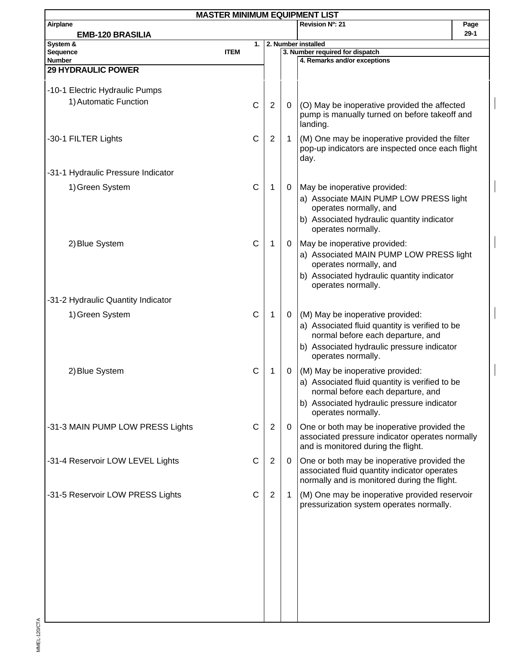| Airplane                                   | <b>MASTER MINIMUM EQUIPMENT LIST</b> |                |                | Revision Nº: 21                                                                                                                                                                             | Page   |
|--------------------------------------------|--------------------------------------|----------------|----------------|---------------------------------------------------------------------------------------------------------------------------------------------------------------------------------------------|--------|
| <b>EMB-120 BRASILIA</b><br>System &        | 1.                                   |                |                | 2. Number installed                                                                                                                                                                         | $29-1$ |
| Sequence                                   | <b>ITEM</b>                          |                |                | 3. Number required for dispatch                                                                                                                                                             |        |
| <b>Number</b><br><b>29 HYDRAULIC POWER</b> |                                      |                |                | 4. Remarks and/or exceptions                                                                                                                                                                |        |
|                                            |                                      |                |                |                                                                                                                                                                                             |        |
| -10-1 Electric Hydraulic Pumps             |                                      |                |                |                                                                                                                                                                                             |        |
| 1) Automatic Function                      | $\mathsf C$                          | $\overline{2}$ | 0              | (O) May be inoperative provided the affected<br>pump is manually turned on before takeoff and<br>landing.                                                                                   |        |
| -30-1 FILTER Lights                        | $\mathsf C$                          | $\overline{2}$ | -1             | (M) One may be inoperative provided the filter<br>pop-up indicators are inspected once each flight<br>day.                                                                                  |        |
| -31-1 Hydraulic Pressure Indicator         |                                      |                |                |                                                                                                                                                                                             |        |
| 1) Green System                            | $\mathsf{C}$                         | 1              | 0              | May be inoperative provided:<br>a) Associate MAIN PUMP LOW PRESS light<br>operates normally, and<br>b) Associated hydraulic quantity indicator                                              |        |
|                                            |                                      |                |                | operates normally.                                                                                                                                                                          |        |
| 2) Blue System                             | $\mathsf{C}$                         | 1              | 0              | May be inoperative provided:<br>a) Associated MAIN PUMP LOW PRESS light<br>operates normally, and<br>b) Associated hydraulic quantity indicator<br>operates normally.                       |        |
| -31-2 Hydraulic Quantity Indicator         |                                      |                |                |                                                                                                                                                                                             |        |
| 1) Green System                            | $\mathsf{C}$                         | $\mathbf 1$    | 0              | (M) May be inoperative provided:<br>a) Associated fluid quantity is verified to be<br>normal before each departure, and<br>b) Associated hydraulic pressure indicator<br>operates normally. |        |
| 2) Blue System                             | $\mathsf{C}$                         | 1              | 0              | (M) May be inoperative provided:<br>a) Associated fluid quantity is verified to be<br>normal before each departure, and<br>b) Associated hydraulic pressure indicator<br>operates normally. |        |
| -31-3 MAIN PUMP LOW PRESS Lights           | $\mathsf{C}$                         | $\overline{2}$ | 0              | One or both may be inoperative provided the<br>associated pressure indicator operates normally<br>and is monitored during the flight.                                                       |        |
| -31-4 Reservoir LOW LEVEL Lights           | $\mathsf C$                          | $\overline{2}$ | 0              | One or both may be inoperative provided the<br>associated fluid quantity indicator operates<br>normally and is monitored during the flight.                                                 |        |
| -31-5 Reservoir LOW PRESS Lights           | C                                    | $\overline{2}$ | $\overline{1}$ | (M) One may be inoperative provided reservoir<br>pressurization system operates normally.                                                                                                   |        |
|                                            |                                      |                |                |                                                                                                                                                                                             |        |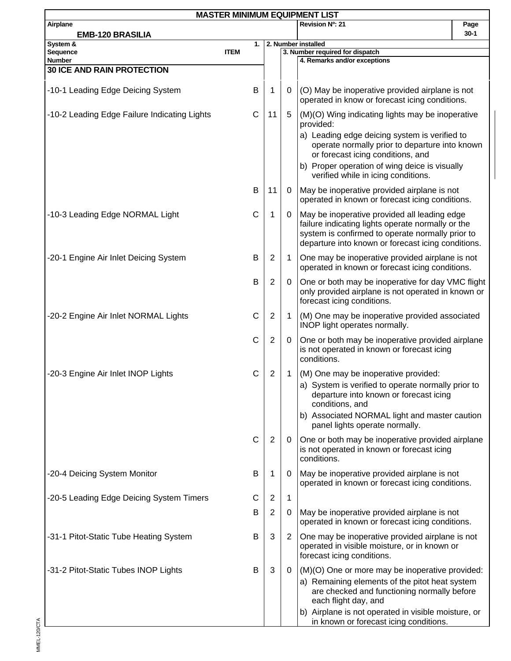|                                              | <b>MASTER MINIMUM EQUIPMENT LIST</b> |                |              |                                                                                                                                                                                                                                            |                |
|----------------------------------------------|--------------------------------------|----------------|--------------|--------------------------------------------------------------------------------------------------------------------------------------------------------------------------------------------------------------------------------------------|----------------|
| Airplane<br><b>EMB-120 BRASILIA</b>          |                                      |                |              | Revision Nº: 21                                                                                                                                                                                                                            | Page<br>$30-1$ |
| System &                                     | 1.                                   |                |              | 2. Number installed                                                                                                                                                                                                                        |                |
| Sequence                                     | <b>ITEM</b>                          |                |              | 3. Number required for dispatch                                                                                                                                                                                                            |                |
| <b>Number</b>                                |                                      |                |              | 4. Remarks and/or exceptions                                                                                                                                                                                                               |                |
| <b>30 ICE AND RAIN PROTECTION</b>            |                                      |                |              |                                                                                                                                                                                                                                            |                |
| -10-1 Leading Edge Deicing System            | B                                    | 1              | 0            | (O) May be inoperative provided airplane is not<br>operated in know or forecast icing conditions.                                                                                                                                          |                |
| -10-2 Leading Edge Failure Indicating Lights | $\mathsf{C}$                         | 11             | 5            | (M)(O) Wing indicating lights may be inoperative<br>provided:                                                                                                                                                                              |                |
|                                              |                                      |                |              | a) Leading edge deicing system is verified to<br>operate normally prior to departure into known<br>or forecast icing conditions, and                                                                                                       |                |
|                                              |                                      |                |              | b) Proper operation of wing deice is visually<br>verified while in icing conditions.                                                                                                                                                       |                |
|                                              | B                                    | 11             | 0            | May be inoperative provided airplane is not<br>operated in known or forecast icing conditions.                                                                                                                                             |                |
| -10-3 Leading Edge NORMAL Light              | $\mathsf{C}$                         | 1              | 0            | May be inoperative provided all leading edge<br>failure indicating lights operate normally or the<br>system is confirmed to operate normally prior to<br>departure into known or forecast icing conditions.                                |                |
| -20-1 Engine Air Inlet Deicing System        | В                                    | $\overline{2}$ | $\mathbf{1}$ | One may be inoperative provided airplane is not<br>operated in known or forecast icing conditions.                                                                                                                                         |                |
|                                              | B                                    | $\overline{2}$ | $\mathbf 0$  | One or both may be inoperative for day VMC flight<br>only provided airplane is not operated in known or<br>forecast icing conditions.                                                                                                      |                |
| -20-2 Engine Air Inlet NORMAL Lights         | C                                    | $\overline{2}$ | $\mathbf 1$  | (M) One may be inoperative provided associated<br>INOP light operates normally.                                                                                                                                                            |                |
|                                              | $\mathsf C$                          | $\overline{2}$ | 0            | One or both may be inoperative provided airplane<br>is not operated in known or forecast icing<br>conditions.                                                                                                                              |                |
| -20-3 Engine Air Inlet INOP Lights           | $\mathsf C$                          | $\overline{2}$ | 1            | (M) One may be inoperative provided:<br>a) System is verified to operate normally prior to<br>departure into known or forecast icing<br>conditions, and<br>b) Associated NORMAL light and master caution<br>panel lights operate normally. |                |
|                                              | $\mathsf{C}$                         | $\overline{2}$ | 0            | One or both may be inoperative provided airplane<br>is not operated in known or forecast icing<br>conditions.                                                                                                                              |                |
| -20-4 Deicing System Monitor                 | B                                    | 1              | 0            | May be inoperative provided airplane is not<br>operated in known or forecast icing conditions.                                                                                                                                             |                |
| -20-5 Leading Edge Deicing System Timers     | C                                    | $\overline{2}$ | $\mathbf{1}$ |                                                                                                                                                                                                                                            |                |
|                                              | B                                    | $\overline{2}$ | 0            | May be inoperative provided airplane is not<br>operated in known or forecast icing conditions.                                                                                                                                             |                |
| -31-1 Pitot-Static Tube Heating System       | B                                    | 3              | 2            | One may be inoperative provided airplane is not<br>operated in visible moisture, or in known or<br>forecast icing conditions.                                                                                                              |                |
| -31-2 Pitot-Static Tubes INOP Lights         | В                                    | 3              | 0            | (M)(O) One or more may be inoperative provided:<br>a) Remaining elements of the pitot heat system<br>are checked and functioning normally before<br>each flight day, and                                                                   |                |
|                                              |                                      |                |              | b) Airplane is not operated in visible moisture, or<br>in known or forecast icing conditions.                                                                                                                                              |                |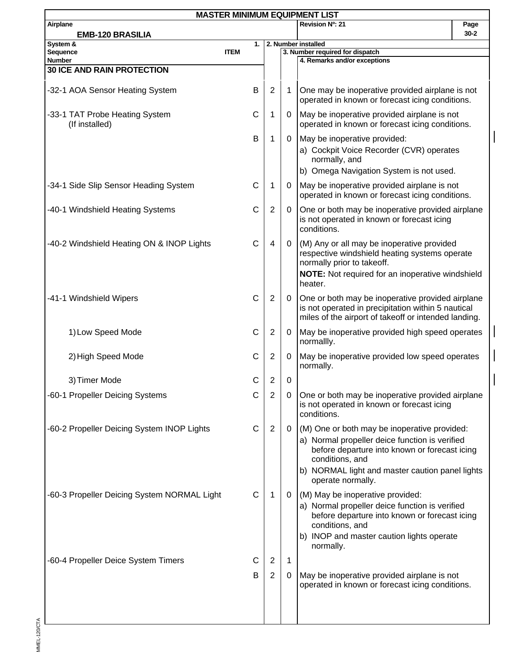| <b>MASTER MINIMUM EQUIPMENT LIST</b>               |              |                         |              |                                                                                                                                                                                                                                            |                  |  |  |  |  |
|----------------------------------------------------|--------------|-------------------------|--------------|--------------------------------------------------------------------------------------------------------------------------------------------------------------------------------------------------------------------------------------------|------------------|--|--|--|--|
| Airplane<br><b>EMB-120 BRASILIA</b>                |              |                         |              | Revision Nº: 21                                                                                                                                                                                                                            | Page<br>$30 - 2$ |  |  |  |  |
| System &                                           | 1.           |                         |              | 2. Number installed                                                                                                                                                                                                                        |                  |  |  |  |  |
| Sequence                                           | <b>ITEM</b>  |                         |              | 3. Number required for dispatch                                                                                                                                                                                                            |                  |  |  |  |  |
| <b>Number</b><br><b>30 ICE AND RAIN PROTECTION</b> |              |                         |              | 4. Remarks and/or exceptions                                                                                                                                                                                                               |                  |  |  |  |  |
|                                                    |              |                         |              |                                                                                                                                                                                                                                            |                  |  |  |  |  |
| -32-1 AOA Sensor Heating System                    | В            | $\overline{2}$          | 1.           | One may be inoperative provided airplane is not<br>operated in known or forecast icing conditions.                                                                                                                                         |                  |  |  |  |  |
| -33-1 TAT Probe Heating System<br>(If installed)   | C            | 1                       | 0            | May be inoperative provided airplane is not<br>operated in known or forecast icing conditions.                                                                                                                                             |                  |  |  |  |  |
|                                                    | B            | 1                       | $\mathbf{0}$ | May be inoperative provided:<br>a) Cockpit Voice Recorder (CVR) operates<br>normally, and<br>b) Omega Navigation System is not used.                                                                                                       |                  |  |  |  |  |
| -34-1 Side Slip Sensor Heading System              | C            | 1                       | 0            | May be inoperative provided airplane is not                                                                                                                                                                                                |                  |  |  |  |  |
|                                                    |              |                         |              | operated in known or forecast icing conditions.                                                                                                                                                                                            |                  |  |  |  |  |
| -40-1 Windshield Heating Systems                   | C            | $\overline{\mathbf{c}}$ | 0            | One or both may be inoperative provided airplane<br>is not operated in known or forecast icing<br>conditions.                                                                                                                              |                  |  |  |  |  |
| -40-2 Windshield Heating ON & INOP Lights          | C            | 4                       | 0            | (M) Any or all may be inoperative provided<br>respective windshield heating systems operate<br>normally prior to takeoff.<br>NOTE: Not required for an inoperative windshield<br>heater.                                                   |                  |  |  |  |  |
| -41-1 Windshield Wipers                            | $\mathsf{C}$ | $\overline{2}$          | 0            | One or both may be inoperative provided airplane<br>is not operated in precipitation within 5 nautical<br>miles of the airport of takeoff or intended landing.                                                                             |                  |  |  |  |  |
| 1) Low Speed Mode                                  | C            | 2                       | 0            | May be inoperative provided high speed operates<br>normallly.                                                                                                                                                                              |                  |  |  |  |  |
| 2) High Speed Mode                                 | C            | $\overline{2}$          | 0            | May be inoperative provided low speed operates<br>normally.                                                                                                                                                                                |                  |  |  |  |  |
| 3) Timer Mode                                      | C            | 2                       | 0            |                                                                                                                                                                                                                                            |                  |  |  |  |  |
| -60-1 Propeller Deicing Systems                    | C            | $\overline{2}$          | 0            | One or both may be inoperative provided airplane<br>is not operated in known or forecast icing<br>conditions.                                                                                                                              |                  |  |  |  |  |
| -60-2 Propeller Deicing System INOP Lights         | C            | $\overline{2}$          | 0            | (M) One or both may be inoperative provided:<br>a) Normal propeller deice function is verified<br>before departure into known or forecast icing<br>conditions, and<br>b) NORMAL light and master caution panel lights<br>operate normally. |                  |  |  |  |  |
| -60-3 Propeller Deicing System NORMAL Light        | C            | 1                       | 0            | (M) May be inoperative provided:<br>a) Normal propeller deice function is verified<br>before departure into known or forecast icing<br>conditions, and<br>b) INOP and master caution lights operate<br>normally.                           |                  |  |  |  |  |
| -60-4 Propeller Deice System Timers                | C            | $\overline{c}$          | 1            |                                                                                                                                                                                                                                            |                  |  |  |  |  |
|                                                    | B            | 2                       | 0            | May be inoperative provided airplane is not<br>operated in known or forecast icing conditions.                                                                                                                                             |                  |  |  |  |  |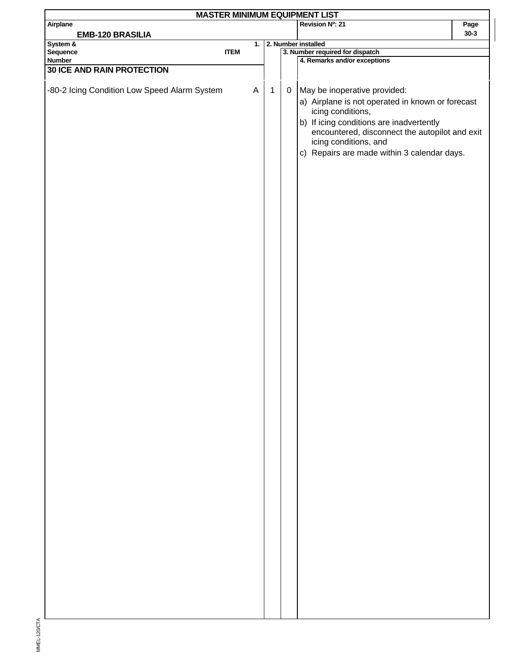| <b>MASTER MINIMUM EQUIPMENT LIST</b>         |             |             |           |                                                  |          |  |  |  |
|----------------------------------------------|-------------|-------------|-----------|--------------------------------------------------|----------|--|--|--|
| Airplane                                     |             |             |           | Revision Nº: 21                                  | Page     |  |  |  |
| <b>EMB-120 BRASILIA</b>                      |             |             |           |                                                  | $30 - 3$ |  |  |  |
| System &                                     | 1.          |             |           | 2. Number installed                              |          |  |  |  |
| Sequence                                     | <b>ITEM</b> |             |           | 3. Number required for dispatch                  |          |  |  |  |
| Number                                       |             |             |           | 4. Remarks and/or exceptions                     |          |  |  |  |
| <b>30 ICE AND RAIN PROTECTION</b>            |             |             |           |                                                  |          |  |  |  |
|                                              |             |             |           |                                                  |          |  |  |  |
| -80-2 Icing Condition Low Speed Alarm System | A           | $\mathbf 1$ | $\pmb{0}$ | May be inoperative provided:                     |          |  |  |  |
|                                              |             |             |           |                                                  |          |  |  |  |
|                                              |             |             |           | a) Airplane is not operated in known or forecast |          |  |  |  |
|                                              |             |             |           | icing conditions,                                |          |  |  |  |
|                                              |             |             |           | b) If icing conditions are inadvertently         |          |  |  |  |
|                                              |             |             |           | encountered, disconnect the autopilot and exit   |          |  |  |  |
|                                              |             |             |           | icing conditions, and                            |          |  |  |  |
|                                              |             |             |           | c) Repairs are made within 3 calendar days.      |          |  |  |  |
|                                              |             |             |           |                                                  |          |  |  |  |
|                                              |             |             |           |                                                  |          |  |  |  |
|                                              |             |             |           |                                                  |          |  |  |  |
|                                              |             |             |           |                                                  |          |  |  |  |
|                                              |             |             |           |                                                  |          |  |  |  |
|                                              |             |             |           |                                                  |          |  |  |  |
|                                              |             |             |           |                                                  |          |  |  |  |
|                                              |             |             |           |                                                  |          |  |  |  |
|                                              |             |             |           |                                                  |          |  |  |  |
|                                              |             |             |           |                                                  |          |  |  |  |
|                                              |             |             |           |                                                  |          |  |  |  |
|                                              |             |             |           |                                                  |          |  |  |  |
|                                              |             |             |           |                                                  |          |  |  |  |
|                                              |             |             |           |                                                  |          |  |  |  |
|                                              |             |             |           |                                                  |          |  |  |  |
|                                              |             |             |           |                                                  |          |  |  |  |
|                                              |             |             |           |                                                  |          |  |  |  |
|                                              |             |             |           |                                                  |          |  |  |  |
|                                              |             |             |           |                                                  |          |  |  |  |
|                                              |             |             |           |                                                  |          |  |  |  |
|                                              |             |             |           |                                                  |          |  |  |  |
|                                              |             |             |           |                                                  |          |  |  |  |
|                                              |             |             |           |                                                  |          |  |  |  |
|                                              |             |             |           |                                                  |          |  |  |  |
|                                              |             |             |           |                                                  |          |  |  |  |
|                                              |             |             |           |                                                  |          |  |  |  |
|                                              |             |             |           |                                                  |          |  |  |  |
|                                              |             |             |           |                                                  |          |  |  |  |
|                                              |             |             |           |                                                  |          |  |  |  |
|                                              |             |             |           |                                                  |          |  |  |  |
|                                              |             |             |           |                                                  |          |  |  |  |
|                                              |             |             |           |                                                  |          |  |  |  |
|                                              |             |             |           |                                                  |          |  |  |  |
|                                              |             |             |           |                                                  |          |  |  |  |
|                                              |             |             |           |                                                  |          |  |  |  |
|                                              |             |             |           |                                                  |          |  |  |  |
|                                              |             |             |           |                                                  |          |  |  |  |
|                                              |             |             |           |                                                  |          |  |  |  |
|                                              |             |             |           |                                                  |          |  |  |  |
|                                              |             |             |           |                                                  |          |  |  |  |
|                                              |             |             |           |                                                  |          |  |  |  |
|                                              |             |             |           |                                                  |          |  |  |  |
|                                              |             |             |           |                                                  |          |  |  |  |
|                                              |             |             |           |                                                  |          |  |  |  |
|                                              |             |             |           |                                                  |          |  |  |  |
|                                              |             |             |           |                                                  |          |  |  |  |
|                                              |             |             |           |                                                  |          |  |  |  |
|                                              |             |             |           |                                                  |          |  |  |  |
|                                              |             |             |           |                                                  |          |  |  |  |
|                                              |             |             |           |                                                  |          |  |  |  |
|                                              |             |             |           |                                                  |          |  |  |  |
|                                              |             |             |           |                                                  |          |  |  |  |
|                                              |             |             |           |                                                  |          |  |  |  |
|                                              |             |             |           |                                                  |          |  |  |  |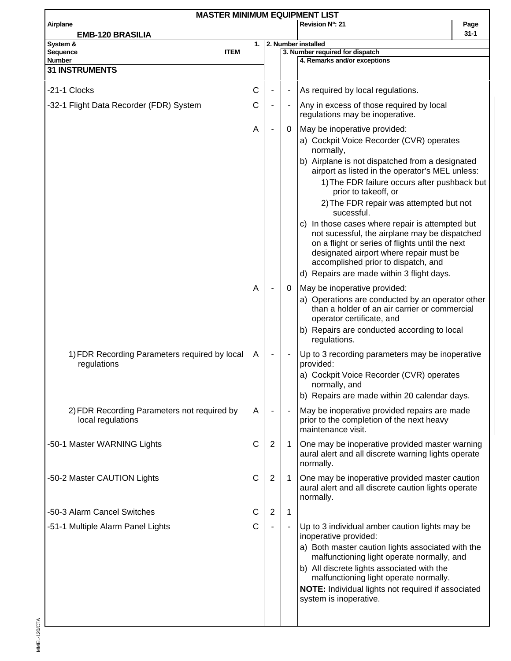| <b>MASTER MINIMUM EQUIPMENT LIST</b><br>Page<br>Airplane<br>Revision Nº: 21 |              |                |                |                                                                                                                                                                                                                                                                                                                                                                                                                                                                                     |          |  |  |  |
|-----------------------------------------------------------------------------|--------------|----------------|----------------|-------------------------------------------------------------------------------------------------------------------------------------------------------------------------------------------------------------------------------------------------------------------------------------------------------------------------------------------------------------------------------------------------------------------------------------------------------------------------------------|----------|--|--|--|
| <b>EMB-120 BRASILIA</b>                                                     |              |                |                |                                                                                                                                                                                                                                                                                                                                                                                                                                                                                     | $31 - 1$ |  |  |  |
| System &<br><b>ITEM</b><br>Sequence                                         | 1.           |                |                | 2. Number installed<br>3. Number required for dispatch                                                                                                                                                                                                                                                                                                                                                                                                                              |          |  |  |  |
| <b>Number</b>                                                               |              |                |                | 4. Remarks and/or exceptions                                                                                                                                                                                                                                                                                                                                                                                                                                                        |          |  |  |  |
| <b>31 INSTRUMENTS</b>                                                       |              |                |                |                                                                                                                                                                                                                                                                                                                                                                                                                                                                                     |          |  |  |  |
| -21-1 Clocks                                                                | C            |                |                | As required by local regulations.                                                                                                                                                                                                                                                                                                                                                                                                                                                   |          |  |  |  |
| -32-1 Flight Data Recorder (FDR) System                                     | C            |                |                | Any in excess of those required by local<br>regulations may be inoperative.                                                                                                                                                                                                                                                                                                                                                                                                         |          |  |  |  |
|                                                                             | A            |                | 0              | May be inoperative provided:<br>a) Cockpit Voice Recorder (CVR) operates<br>normally,<br>b) Airplane is not dispatched from a designated<br>airport as listed in the operator's MEL unless:<br>1) The FDR failure occurs after pushback but<br>prior to takeoff, or<br>2) The FDR repair was attempted but not<br>sucessful.<br>c) In those cases where repair is attempted but<br>not sucessful, the airplane may be dispatched<br>on a flight or series of flights until the next |          |  |  |  |
|                                                                             |              |                |                | designated airport where repair must be<br>accomplished prior to dispatch, and<br>d) Repairs are made within 3 flight days.                                                                                                                                                                                                                                                                                                                                                         |          |  |  |  |
|                                                                             | A            |                | 0              | May be inoperative provided:<br>a) Operations are conducted by an operator other<br>than a holder of an air carrier or commercial<br>operator certificate, and<br>b) Repairs are conducted according to local<br>regulations.                                                                                                                                                                                                                                                       |          |  |  |  |
| 1) FDR Recording Parameters required by local<br>regulations                | A            |                | $\blacksquare$ | Up to 3 recording parameters may be inoperative<br>provided:<br>a) Cockpit Voice Recorder (CVR) operates<br>normally, and<br>b) Repairs are made within 20 calendar days.                                                                                                                                                                                                                                                                                                           |          |  |  |  |
| 2) FDR Recording Parameters not required by<br>local regulations            | A            |                |                | May be inoperative provided repairs are made<br>prior to the completion of the next heavy<br>maintenance visit.                                                                                                                                                                                                                                                                                                                                                                     |          |  |  |  |
| -50-1 Master WARNING Lights                                                 | $\mathsf{C}$ | $\sqrt{2}$     | $\mathbf{1}$   | One may be inoperative provided master warning<br>aural alert and all discrete warning lights operate<br>normally.                                                                                                                                                                                                                                                                                                                                                                  |          |  |  |  |
| -50-2 Master CAUTION Lights                                                 | $\mathsf{C}$ | $\overline{2}$ | 1              | One may be inoperative provided master caution<br>aural alert and all discrete caution lights operate<br>normally.                                                                                                                                                                                                                                                                                                                                                                  |          |  |  |  |
| -50-3 Alarm Cancel Switches                                                 | $\mathsf C$  | $\overline{2}$ | $\mathbf{1}$   |                                                                                                                                                                                                                                                                                                                                                                                                                                                                                     |          |  |  |  |
| -51-1 Multiple Alarm Panel Lights                                           | $\mathsf C$  |                |                | Up to 3 individual amber caution lights may be<br>inoperative provided:<br>a) Both master caution lights associated with the<br>malfunctioning light operate normally, and<br>b) All discrete lights associated with the<br>malfunctioning light operate normally.<br>NOTE: Individual lights not required if associated<br>system is inoperative.                                                                                                                                  |          |  |  |  |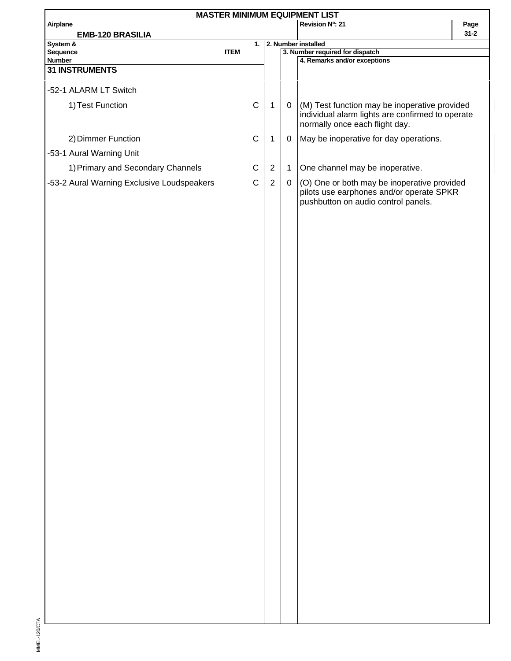|                                            |             |                  |              | <b>MASTER MINIMUM EQUIPMENT LIST</b>             |                  |
|--------------------------------------------|-------------|------------------|--------------|--------------------------------------------------|------------------|
| Airplane<br><b>EMB-120 BRASILIA</b>        |             |                  |              | Revision Nº: 21                                  | Page<br>$31 - 2$ |
| System &                                   | 1.          |                  |              | 2. Number installed                              |                  |
| Sequence                                   | <b>ITEM</b> |                  |              | 3. Number required for dispatch                  |                  |
| Number<br><b>31 INSTRUMENTS</b>            |             |                  |              | 4. Remarks and/or exceptions                     |                  |
|                                            |             |                  |              |                                                  |                  |
| -52-1 ALARM LT Switch                      |             |                  |              |                                                  |                  |
| 1) Test Function                           | $\mathsf C$ | $\mathbf 1$      | 0            | (M) Test function may be inoperative provided    |                  |
|                                            |             |                  |              | individual alarm lights are confirmed to operate |                  |
|                                            |             |                  |              | normally once each flight day.                   |                  |
| 2) Dimmer Function                         | $\mathsf C$ | $\mathbf{1}$     | $\mathbf 0$  | May be inoperative for day operations.           |                  |
| -53-1 Aural Warning Unit                   |             |                  |              |                                                  |                  |
| 1) Primary and Secondary Channels          | С           | $\boldsymbol{2}$ | $\mathbf{1}$ | One channel may be inoperative.                  |                  |
| -53-2 Aural Warning Exclusive Loudspeakers | $\mathsf C$ | $\sqrt{2}$       | $\mathbf 0$  | (O) One or both may be inoperative provided      |                  |
|                                            |             |                  |              | pilots use earphones and/or operate SPKR         |                  |
|                                            |             |                  |              | pushbutton on audio control panels.              |                  |
|                                            |             |                  |              |                                                  |                  |
|                                            |             |                  |              |                                                  |                  |
|                                            |             |                  |              |                                                  |                  |
|                                            |             |                  |              |                                                  |                  |
|                                            |             |                  |              |                                                  |                  |
|                                            |             |                  |              |                                                  |                  |
|                                            |             |                  |              |                                                  |                  |
|                                            |             |                  |              |                                                  |                  |
|                                            |             |                  |              |                                                  |                  |
|                                            |             |                  |              |                                                  |                  |
|                                            |             |                  |              |                                                  |                  |
|                                            |             |                  |              |                                                  |                  |
|                                            |             |                  |              |                                                  |                  |
|                                            |             |                  |              |                                                  |                  |
|                                            |             |                  |              |                                                  |                  |
|                                            |             |                  |              |                                                  |                  |
|                                            |             |                  |              |                                                  |                  |
|                                            |             |                  |              |                                                  |                  |
|                                            |             |                  |              |                                                  |                  |
|                                            |             |                  |              |                                                  |                  |
|                                            |             |                  |              |                                                  |                  |
|                                            |             |                  |              |                                                  |                  |
|                                            |             |                  |              |                                                  |                  |
|                                            |             |                  |              |                                                  |                  |
|                                            |             |                  |              |                                                  |                  |
|                                            |             |                  |              |                                                  |                  |
|                                            |             |                  |              |                                                  |                  |
|                                            |             |                  |              |                                                  |                  |
|                                            |             |                  |              |                                                  |                  |
|                                            |             |                  |              |                                                  |                  |
|                                            |             |                  |              |                                                  |                  |
|                                            |             |                  |              |                                                  |                  |
|                                            |             |                  |              |                                                  |                  |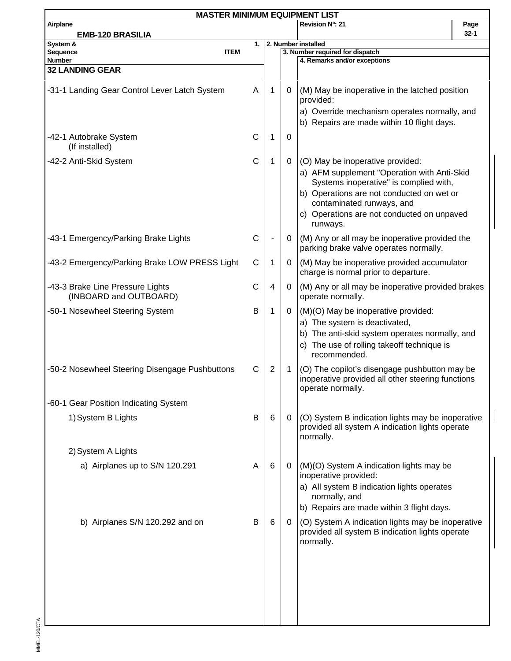| <b>MASTER MINIMUM EQUIPMENT LIST</b>                       |              |                |   |                                                                                                                                                                                                                                                               |                  |  |
|------------------------------------------------------------|--------------|----------------|---|---------------------------------------------------------------------------------------------------------------------------------------------------------------------------------------------------------------------------------------------------------------|------------------|--|
| Airplane<br><b>EMB-120 BRASILIA</b>                        |              |                |   | Revision Nº: 21                                                                                                                                                                                                                                               | Page<br>$32 - 1$ |  |
| System &                                                   | 1.           |                |   | 2. Number installed                                                                                                                                                                                                                                           |                  |  |
| <b>ITEM</b><br>Sequence<br><b>Number</b>                   |              |                |   | 3. Number required for dispatch<br>4. Remarks and/or exceptions                                                                                                                                                                                               |                  |  |
| <b>32 LANDING GEAR</b>                                     |              |                |   |                                                                                                                                                                                                                                                               |                  |  |
| -31-1 Landing Gear Control Lever Latch System              | A            | 1              | 0 | (M) May be inoperative in the latched position<br>provided:<br>a) Override mechanism operates normally, and<br>b) Repairs are made within 10 flight days.                                                                                                     |                  |  |
| -42-1 Autobrake System<br>(If installed)                   | C            | 1              | 0 |                                                                                                                                                                                                                                                               |                  |  |
| -42-2 Anti-Skid System                                     | C            | 1              | 0 | (O) May be inoperative provided:<br>a) AFM supplement "Operation with Anti-Skid<br>Systems inoperative" is complied with,<br>b) Operations are not conducted on wet or<br>contaminated runways, and<br>c) Operations are not conducted on unpaved<br>runways. |                  |  |
| -43-1 Emergency/Parking Brake Lights                       | $\mathsf C$  | $\blacksquare$ | 0 | (M) Any or all may be inoperative provided the<br>parking brake valve operates normally.                                                                                                                                                                      |                  |  |
| -43-2 Emergency/Parking Brake LOW PRESS Light              | C            | 1              | 0 | (M) May be inoperative provided accumulator<br>charge is normal prior to departure.                                                                                                                                                                           |                  |  |
| -43-3 Brake Line Pressure Lights<br>(INBOARD and OUTBOARD) | C            | 4              | 0 | (M) Any or all may be inoperative provided brakes<br>operate normally.                                                                                                                                                                                        |                  |  |
| -50-1 Nosewheel Steering System                            | B            | 1              | 0 | (M)(O) May be inoperative provided:<br>a) The system is deactivated,<br>b) The anti-skid system operates normally, and<br>c) The use of rolling takeoff technique is<br>recommended.                                                                          |                  |  |
| -50-2 Nosewheel Steering Disengage Pushbuttons             | $\mathsf{C}$ | $\overline{2}$ | 1 | (O) The copilot's disengage pushbutton may be<br>inoperative provided all other steering functions<br>operate normally.                                                                                                                                       |                  |  |
| -60-1 Gear Position Indicating System                      |              |                |   |                                                                                                                                                                                                                                                               |                  |  |
| 1) System B Lights                                         | B            | 6              | 0 | (O) System B indication lights may be inoperative<br>provided all system A indication lights operate<br>normally.                                                                                                                                             |                  |  |
| 2) System A Lights                                         |              |                |   |                                                                                                                                                                                                                                                               |                  |  |
| a) Airplanes up to S/N 120.291                             | A            | 6              | 0 | (M)(O) System A indication lights may be<br>inoperative provided:<br>a) All system B indication lights operates<br>normally, and<br>b) Repairs are made within 3 flight days.                                                                                 |                  |  |
| b) Airplanes S/N 120.292 and on                            | B            | 6              | 0 | (O) System A indication lights may be inoperative<br>provided all system B indication lights operate<br>normally.                                                                                                                                             |                  |  |
|                                                            |              |                |   |                                                                                                                                                                                                                                                               |                  |  |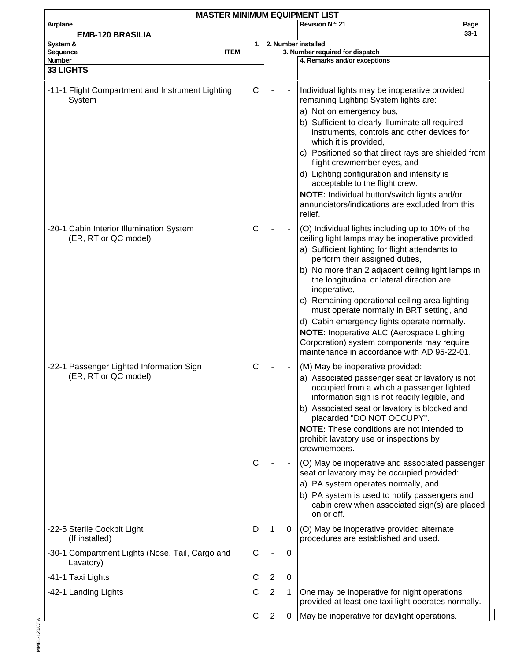| <b>MASTER MINIMUM EQUIPMENT LIST</b>                             |             |                |                |                                                                                                                                                                                                                                                      |                  |  |
|------------------------------------------------------------------|-------------|----------------|----------------|------------------------------------------------------------------------------------------------------------------------------------------------------------------------------------------------------------------------------------------------------|------------------|--|
| Airplane<br><b>EMB-120 BRASILIA</b>                              |             |                |                | Revision Nº: 21                                                                                                                                                                                                                                      | Page<br>$33 - 1$ |  |
| System &                                                         | 1.          |                |                | 2. Number installed                                                                                                                                                                                                                                  |                  |  |
| Sequence                                                         | <b>ITEM</b> |                |                | 3. Number required for dispatch                                                                                                                                                                                                                      |                  |  |
| <b>Number</b>                                                    |             |                |                | 4. Remarks and/or exceptions                                                                                                                                                                                                                         |                  |  |
| <b>33 LIGHTS</b>                                                 |             |                |                |                                                                                                                                                                                                                                                      |                  |  |
| -11-1 Flight Compartment and Instrument Lighting<br>System       | C           |                |                | Individual lights may be inoperative provided<br>remaining Lighting System lights are:                                                                                                                                                               |                  |  |
|                                                                  |             |                |                | a) Not on emergency bus,                                                                                                                                                                                                                             |                  |  |
|                                                                  |             |                |                | b) Sufficient to clearly illuminate all required<br>instruments, controls and other devices for<br>which it is provided,                                                                                                                             |                  |  |
|                                                                  |             |                |                | c) Positioned so that direct rays are shielded from<br>flight crewmember eyes, and                                                                                                                                                                   |                  |  |
|                                                                  |             |                |                | d) Lighting configuration and intensity is<br>acceptable to the flight crew.                                                                                                                                                                         |                  |  |
|                                                                  |             |                |                | NOTE: Individual button/switch lights and/or<br>annunciators/indications are excluded from this<br>relief.                                                                                                                                           |                  |  |
| -20-1 Cabin Interior Illumination System<br>(ER, RT or QC model) | C           |                |                | (O) Individual lights including up to 10% of the<br>ceiling light lamps may be inoperative provided:                                                                                                                                                 |                  |  |
|                                                                  |             |                |                | a) Sufficient lighting for flight attendants to<br>perform their assigned duties,                                                                                                                                                                    |                  |  |
|                                                                  |             |                |                | b) No more than 2 adjacent ceiling light lamps in<br>the longitudinal or lateral direction are<br>inoperative,                                                                                                                                       |                  |  |
|                                                                  |             |                |                | c) Remaining operational ceiling area lighting<br>must operate normally in BRT setting, and                                                                                                                                                          |                  |  |
|                                                                  |             |                |                | d) Cabin emergency lights operate normally.<br><b>NOTE:</b> Inoperative ALC (Aerospace Lighting<br>Corporation) system components may require<br>maintenance in accordance with AD 95-22-01.                                                         |                  |  |
| -22-1 Passenger Lighted Information Sign                         | C           |                |                | (M) May be inoperative provided:                                                                                                                                                                                                                     |                  |  |
| (ER, RT or QC model)                                             |             |                |                | a) Associated passenger seat or lavatory is not<br>occupied from a which a passenger lighted<br>information sign is not readily legible, and<br>b) Associated seat or lavatory is blocked and<br>placarded "DO NOT OCCUPY".                          |                  |  |
|                                                                  |             |                |                | <b>NOTE:</b> These conditions are not intended to<br>prohibit lavatory use or inspections by<br>crewmembers.                                                                                                                                         |                  |  |
|                                                                  | C           |                |                | (O) May be inoperative and associated passenger<br>seat or lavatory may be occupied provided:<br>a) PA system operates normally, and<br>b) PA system is used to notify passengers and<br>cabin crew when associated sign(s) are placed<br>on or off. |                  |  |
| -22-5 Sterile Cockpit Light<br>(If installed)                    | D           | 1              | $\overline{0}$ | (O) May be inoperative provided alternate<br>procedures are established and used.                                                                                                                                                                    |                  |  |
| -30-1 Compartment Lights (Nose, Tail, Cargo and<br>Lavatory)     | С           | $\blacksquare$ | 0              |                                                                                                                                                                                                                                                      |                  |  |
| -41-1 Taxi Lights                                                | C           | $\overline{2}$ | 0              |                                                                                                                                                                                                                                                      |                  |  |
| -42-1 Landing Lights                                             | C           | $\overline{2}$ | 1              | One may be inoperative for night operations<br>provided at least one taxi light operates normally.                                                                                                                                                   |                  |  |
|                                                                  | C           | 2              | 0              | May be inoperative for daylight operations.                                                                                                                                                                                                          |                  |  |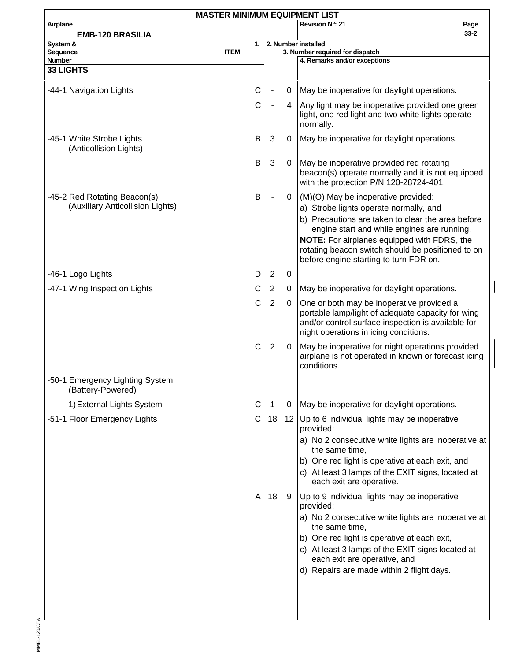| <b>EMB-120 BRASILIA</b>                                          |                   |                |                 |                                                                                                                                                                                                                                                                                                                                 | $33 - 2$ |
|------------------------------------------------------------------|-------------------|----------------|-----------------|---------------------------------------------------------------------------------------------------------------------------------------------------------------------------------------------------------------------------------------------------------------------------------------------------------------------------------|----------|
| System &<br>Sequence                                             | 1.<br><b>ITEM</b> |                |                 | 2. Number installed<br>3. Number required for dispatch                                                                                                                                                                                                                                                                          |          |
| <b>Number</b>                                                    |                   |                |                 | 4. Remarks and/or exceptions                                                                                                                                                                                                                                                                                                    |          |
| <b>33 LIGHTS</b>                                                 |                   |                |                 |                                                                                                                                                                                                                                                                                                                                 |          |
| -44-1 Navigation Lights                                          | $\mathsf C$       |                | 0               | May be inoperative for daylight operations.                                                                                                                                                                                                                                                                                     |          |
|                                                                  | $\mathsf{C}$      |                | 4               | Any light may be inoperative provided one green<br>light, one red light and two white lights operate<br>normally.                                                                                                                                                                                                               |          |
| -45-1 White Strobe Lights<br>(Anticollision Lights)              | B                 | 3              | 0               | May be inoperative for daylight operations.                                                                                                                                                                                                                                                                                     |          |
|                                                                  | В                 | 3              | 0               | May be inoperative provided red rotating<br>beacon(s) operate normally and it is not equipped<br>with the protection P/N 120-28724-401.                                                                                                                                                                                         |          |
| -45-2 Red Rotating Beacon(s)<br>(Auxiliary Anticollision Lights) | B                 |                | 0               | (M)(O) May be inoperative provided:<br>a) Strobe lights operate normally, and<br>b) Precautions are taken to clear the area before<br>engine start and while engines are running.<br>NOTE: For airplanes equipped with FDRS, the<br>rotating beacon switch should be positioned to on<br>before engine starting to turn FDR on. |          |
| -46-1 Logo Lights                                                | D                 | $\overline{2}$ | 0               |                                                                                                                                                                                                                                                                                                                                 |          |
| -47-1 Wing Inspection Lights                                     | С                 | 2              | 0               | May be inoperative for daylight operations.                                                                                                                                                                                                                                                                                     |          |
|                                                                  | $\mathsf{C}$      | 2              | $\overline{0}$  | One or both may be inoperative provided a<br>portable lamp/light of adequate capacity for wing<br>and/or control surface inspection is available for<br>night operations in icing conditions.                                                                                                                                   |          |
|                                                                  | C                 | $\overline{2}$ | 0               | May be inoperative for night operations provided<br>airplane is not operated in known or forecast icing<br>conditions.                                                                                                                                                                                                          |          |
| -50-1 Emergency Lighting System<br>(Battery-Powered)             |                   |                |                 |                                                                                                                                                                                                                                                                                                                                 |          |
| 1) External Lights System                                        | $\mathsf C$       | 1              | 0               | May be inoperative for daylight operations.                                                                                                                                                                                                                                                                                     |          |
| -51-1 Floor Emergency Lights                                     | $\mathsf C$       | 18             | 12 <sup>1</sup> | Up to 6 individual lights may be inoperative<br>provided:<br>a) No 2 consecutive white lights are inoperative at<br>the same time,<br>b) One red light is operative at each exit, and<br>c) At least 3 lamps of the EXIT signs, located at<br>each exit are operative.                                                          |          |
|                                                                  | Α                 | 18             | 9               | Up to 9 individual lights may be inoperative<br>provided:<br>a) No 2 consecutive white lights are inoperative at<br>the same time,<br>b) One red light is operative at each exit,<br>c) At least 3 lamps of the EXIT signs located at<br>each exit are operative, and<br>d) Repairs are made within 2 flight days.              |          |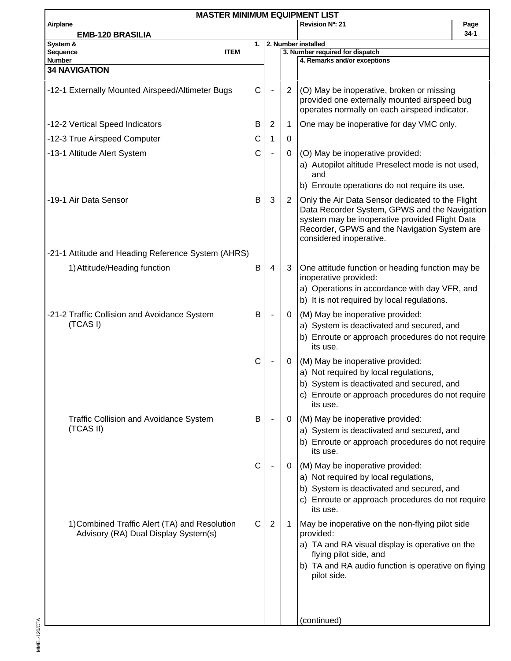| <b>MASTER MINIMUM EQUIPMENT LIST</b>                                                  |    |                |   |                                                                                                                                                                                                                                |                |
|---------------------------------------------------------------------------------------|----|----------------|---|--------------------------------------------------------------------------------------------------------------------------------------------------------------------------------------------------------------------------------|----------------|
| Airplane                                                                              |    |                |   | Revision Nº: 21                                                                                                                                                                                                                | Page<br>$34-1$ |
| <b>EMB-120 BRASILIA</b><br>System &                                                   | 1. |                |   | 2. Number installed                                                                                                                                                                                                            |                |
| <b>ITEM</b><br>Sequence                                                               |    |                |   | 3. Number required for dispatch                                                                                                                                                                                                |                |
| <b>Number</b><br><b>34 NAVIGATION</b>                                                 |    |                |   | 4. Remarks and/or exceptions                                                                                                                                                                                                   |                |
|                                                                                       |    |                |   |                                                                                                                                                                                                                                |                |
| -12-1 Externally Mounted Airspeed/Altimeter Bugs                                      | C  |                | 2 | (O) May be inoperative, broken or missing<br>provided one externally mounted airspeed bug<br>operates normally on each airspeed indicator.                                                                                     |                |
| -12-2 Vertical Speed Indicators                                                       | B  | $\overline{2}$ | 1 | One may be inoperative for day VMC only.                                                                                                                                                                                       |                |
| -12-3 True Airspeed Computer                                                          | C  | 1              | 0 |                                                                                                                                                                                                                                |                |
| -13-1 Altitude Alert System                                                           | С  |                | 0 | (O) May be inoperative provided:                                                                                                                                                                                               |                |
|                                                                                       |    |                |   | a) Autopilot altitude Preselect mode is not used,<br>and                                                                                                                                                                       |                |
|                                                                                       |    |                |   | b) Enroute operations do not require its use.                                                                                                                                                                                  |                |
| -19-1 Air Data Sensor                                                                 | В  | 3              | 2 | Only the Air Data Sensor dedicated to the Flight<br>Data Recorder System, GPWS and the Navigation<br>system may be inoperative provided Flight Data<br>Recorder, GPWS and the Navigation System are<br>considered inoperative. |                |
| -21-1 Attitude and Heading Reference System (AHRS)                                    |    |                |   |                                                                                                                                                                                                                                |                |
| 1) Attitude/Heading function                                                          | B  | 4              | 3 | One attitude function or heading function may be<br>inoperative provided:<br>a) Operations in accordance with day VFR, and<br>b) It is not required by local regulations.                                                      |                |
|                                                                                       |    |                |   |                                                                                                                                                                                                                                |                |
| -21-2 Traffic Collision and Avoidance System<br>(TCAS I)                              | B  |                | 0 | (M) May be inoperative provided:<br>a) System is deactivated and secured, and<br>b) Enroute or approach procedures do not require<br>its use.                                                                                  |                |
|                                                                                       | C  |                | 0 | (M) May be inoperative provided:<br>a) Not required by local regulations,<br>b) System is deactivated and secured, and<br>c) Enroute or approach procedures do not require<br>its use.                                         |                |
| <b>Traffic Collision and Avoidance System</b><br>(TCAS II)                            | B  |                | 0 | (M) May be inoperative provided:<br>a) System is deactivated and secured, and<br>b) Enroute or approach procedures do not require<br>its use.                                                                                  |                |
|                                                                                       | C  |                | 0 | (M) May be inoperative provided:<br>a) Not required by local regulations,<br>b) System is deactivated and secured, and<br>c) Enroute or approach procedures do not require<br>its use.                                         |                |
| 1) Combined Traffic Alert (TA) and Resolution<br>Advisory (RA) Dual Display System(s) | C  | $\overline{2}$ | 1 | May be inoperative on the non-flying pilot side<br>provided:<br>a) TA and RA visual display is operative on the<br>flying pilot side, and<br>b) TA and RA audio function is operative on flying<br>pilot side.                 |                |
|                                                                                       |    |                |   | (continued)                                                                                                                                                                                                                    |                |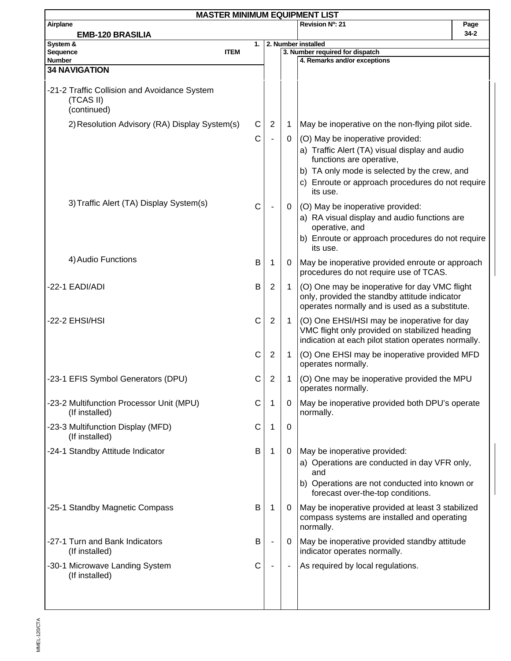| Airplane                                                                 |                   |                |             | <b>MASTER MINIMUM EQUIPMENT LIST</b><br>Revision Nº: 21                                                                                                                                                                        | Page<br>$34 - 2$ |
|--------------------------------------------------------------------------|-------------------|----------------|-------------|--------------------------------------------------------------------------------------------------------------------------------------------------------------------------------------------------------------------------------|------------------|
| <b>EMB-120 BRASILIA</b>                                                  |                   |                |             |                                                                                                                                                                                                                                |                  |
| System &<br>Sequence                                                     | 1.<br><b>ITEM</b> |                |             | 2. Number installed<br>3. Number required for dispatch                                                                                                                                                                         |                  |
| <b>Number</b>                                                            |                   |                |             | 4. Remarks and/or exceptions                                                                                                                                                                                                   |                  |
| <b>34 NAVIGATION</b>                                                     |                   |                |             |                                                                                                                                                                                                                                |                  |
| -21-2 Traffic Collision and Avoidance System<br>(TCAS II)<br>(continued) |                   |                |             |                                                                                                                                                                                                                                |                  |
| 2) Resolution Advisory (RA) Display System(s)                            | C                 | $\overline{2}$ | 1           | May be inoperative on the non-flying pilot side.                                                                                                                                                                               |                  |
|                                                                          | $\mathsf{C}$      |                | 0           | (O) May be inoperative provided:<br>a) Traffic Alert (TA) visual display and audio<br>functions are operative,<br>b) TA only mode is selected by the crew, and<br>c) Enroute or approach procedures do not require<br>its use. |                  |
| 3) Traffic Alert (TA) Display System(s)                                  | $\mathsf{C}$      |                | 0           | (O) May be inoperative provided:<br>a) RA visual display and audio functions are<br>operative, and<br>b) Enroute or approach procedures do not require<br>its use.                                                             |                  |
| 4) Audio Functions                                                       | B                 | 1              | 0           | May be inoperative provided enroute or approach<br>procedures do not require use of TCAS.                                                                                                                                      |                  |
| -22-1 EADI/ADI                                                           | B                 | 2              | 1           | (O) One may be inoperative for day VMC flight<br>only, provided the standby attitude indicator<br>operates normally and is used as a substitute.                                                                               |                  |
| -22-2 EHSI/HSI                                                           | $\mathsf C$       | $\overline{2}$ | $\mathbf 1$ | (O) One EHSI/HSI may be inoperative for day<br>VMC flight only provided on stabilized heading<br>indication at each pilot station operates normally.                                                                           |                  |
|                                                                          | $\mathsf C$       | 2              | 1           | (O) One EHSI may be inoperative provided MFD<br>operates normally.                                                                                                                                                             |                  |
| -23-1 EFIS Symbol Generators (DPU)                                       | C                 | 2              | 1           | (O) One may be inoperative provided the MPU<br>operates normally.                                                                                                                                                              |                  |
| -23-2 Multifunction Processor Unit (MPU)<br>(If installed)               | $\mathsf{C}$      | 1              | 0           | May be inoperative provided both DPU's operate<br>normally.                                                                                                                                                                    |                  |
| -23-3 Multifunction Display (MFD)<br>(If installed)                      | $\mathsf C$       | 1              | 0           |                                                                                                                                                                                                                                |                  |
| -24-1 Standby Attitude Indicator                                         | B                 | 1              | 0           | May be inoperative provided:<br>a) Operations are conducted in day VFR only,<br>and<br>b) Operations are not conducted into known or<br>forecast over-the-top conditions.                                                      |                  |
| -25-1 Standby Magnetic Compass                                           | B                 | 1              | 0           | May be inoperative provided at least 3 stabilized<br>compass systems are installed and operating<br>normally.                                                                                                                  |                  |
| -27-1 Turn and Bank Indicators<br>(If installed)                         | B                 |                | 0           | May be inoperative provided standby attitude<br>indicator operates normally.                                                                                                                                                   |                  |
| -30-1 Microwave Landing System<br>(If installed)                         | C                 |                |             | As required by local regulations.                                                                                                                                                                                              |                  |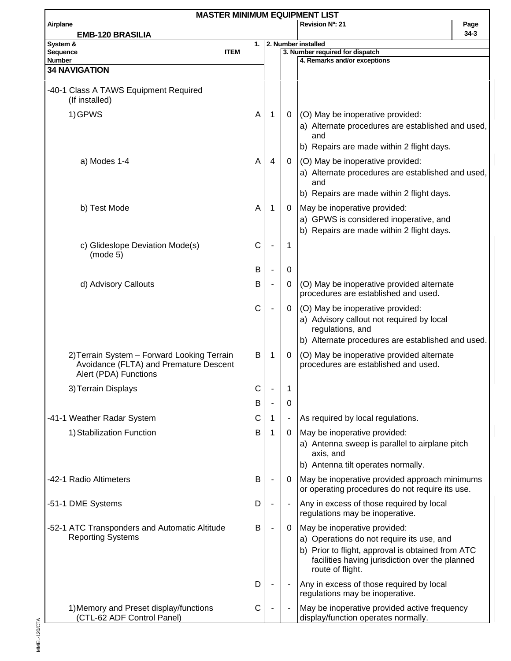|                                                                                                                |              |                          |   | <b>MASTER MINIMUM EQUIPMENT LIST</b>                                                                                                                                                                  |
|----------------------------------------------------------------------------------------------------------------|--------------|--------------------------|---|-------------------------------------------------------------------------------------------------------------------------------------------------------------------------------------------------------|
| Airplane<br><b>EMB-120 BRASILIA</b>                                                                            |              |                          |   | Revision Nº: 21<br>Page<br>34-3                                                                                                                                                                       |
| System &                                                                                                       | 1.           |                          |   | 2. Number installed                                                                                                                                                                                   |
| <b>ITEM</b><br>Sequence<br><b>Number</b>                                                                       |              |                          |   | 3. Number required for dispatch<br>4. Remarks and/or exceptions                                                                                                                                       |
| <b>34 NAVIGATION</b>                                                                                           |              |                          |   |                                                                                                                                                                                                       |
| -40-1 Class A TAWS Equipment Required<br>(If installed)                                                        |              |                          |   |                                                                                                                                                                                                       |
| 1) GPWS                                                                                                        | A            | 1                        | 0 | (O) May be inoperative provided:<br>a) Alternate procedures are established and used,<br>and                                                                                                          |
|                                                                                                                |              |                          |   | b) Repairs are made within 2 flight days.                                                                                                                                                             |
| a) Modes 1-4                                                                                                   | A            | 4                        | 0 | (O) May be inoperative provided:<br>a) Alternate procedures are established and used,<br>and<br>b) Repairs are made within 2 flight days.                                                             |
| b) Test Mode                                                                                                   | A            | 1                        | 0 | May be inoperative provided:                                                                                                                                                                          |
|                                                                                                                |              |                          |   | a) GPWS is considered inoperative, and<br>b) Repairs are made within 2 flight days.                                                                                                                   |
| c) Glideslope Deviation Mode(s)<br>(mod 5)                                                                     | $\mathsf C$  | ÷                        | 1 |                                                                                                                                                                                                       |
|                                                                                                                | В            | ۰                        | 0 |                                                                                                                                                                                                       |
| d) Advisory Callouts                                                                                           | В            | $\overline{\phantom{a}}$ | 0 | (O) May be inoperative provided alternate<br>procedures are established and used.                                                                                                                     |
|                                                                                                                | $\mathsf{C}$ | $\overline{\phantom{0}}$ | 0 | (O) May be inoperative provided:<br>a) Advisory callout not required by local<br>regulations, and<br>b) Alternate procedures are established and used.                                                |
| 2) Terrain System - Forward Looking Terrain<br>Avoidance (FLTA) and Premature Descent<br>Alert (PDA) Functions | В            | 1                        | 0 | (O) May be inoperative provided alternate<br>procedures are established and used.                                                                                                                     |
| 3) Terrain Displays                                                                                            | С            |                          | 1 |                                                                                                                                                                                                       |
|                                                                                                                | B            | ۰                        | 0 |                                                                                                                                                                                                       |
| -41-1 Weather Radar System                                                                                     | C            | 1                        |   | As required by local regulations.                                                                                                                                                                     |
| 1) Stabilization Function                                                                                      | B            | 1                        | 0 | May be inoperative provided:<br>a) Antenna sweep is parallel to airplane pitch<br>axis, and<br>b) Antenna tilt operates normally.                                                                     |
| -42-1 Radio Altimeters                                                                                         | B            | $\overline{\phantom{a}}$ | 0 | May be inoperative provided approach minimums<br>or operating procedures do not require its use.                                                                                                      |
| -51-1 DME Systems                                                                                              | D            | ٠                        |   | Any in excess of those required by local<br>regulations may be inoperative.                                                                                                                           |
| -52-1 ATC Transponders and Automatic Altitude<br><b>Reporting Systems</b>                                      | B            |                          | 0 | May be inoperative provided:<br>a) Operations do not require its use, and<br>b) Prior to flight, approval is obtained from ATC<br>facilities having jurisdiction over the planned<br>route of flight. |
|                                                                                                                | D            |                          |   | Any in excess of those required by local<br>regulations may be inoperative.                                                                                                                           |
| 1) Memory and Preset display/functions<br>(CTL-62 ADF Control Panel)                                           | C            |                          |   | May be inoperative provided active frequency<br>display/function operates normally.                                                                                                                   |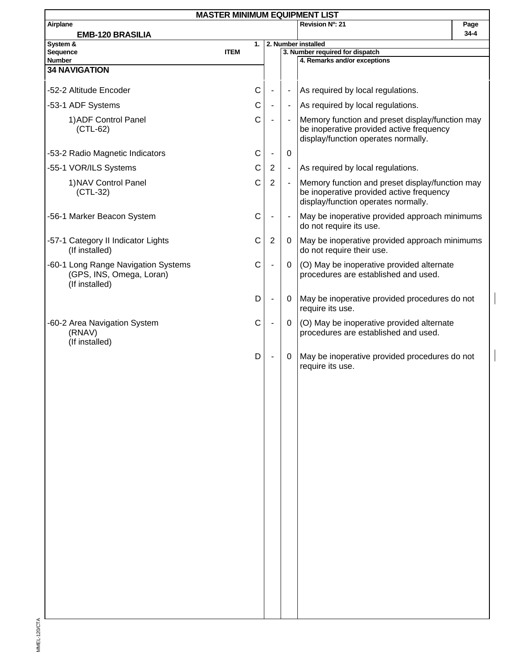| <b>MASTER MINIMUM EQUIPMENT LIST</b>                                              |              |                          |                          |                                                                                                                                    |                  |  |
|-----------------------------------------------------------------------------------|--------------|--------------------------|--------------------------|------------------------------------------------------------------------------------------------------------------------------------|------------------|--|
| Airplane<br><b>EMB-120 BRASILIA</b>                                               |              |                          |                          | Revision Nº: 21                                                                                                                    | Page<br>$34 - 4$ |  |
| System &                                                                          | 1.           |                          |                          | 2. Number installed                                                                                                                |                  |  |
| Sequence                                                                          | <b>ITEM</b>  |                          |                          | 3. Number required for dispatch<br>4. Remarks and/or exceptions                                                                    |                  |  |
| <b>Number</b><br><b>34 NAVIGATION</b>                                             |              |                          |                          |                                                                                                                                    |                  |  |
| -52-2 Altitude Encoder                                                            | $\mathsf C$  | $\overline{\phantom{a}}$ | $\overline{\phantom{a}}$ | As required by local regulations.                                                                                                  |                  |  |
| -53-1 ADF Systems                                                                 | $\mathsf C$  |                          |                          | As required by local regulations.                                                                                                  |                  |  |
| 1) ADF Control Panel<br>$(CTL-62)$                                                | $\mathsf{C}$ |                          |                          | Memory function and preset display/function may<br>be inoperative provided active frequency<br>display/function operates normally. |                  |  |
| -53-2 Radio Magnetic Indicators                                                   | $\mathsf C$  | $\blacksquare$           | 0                        |                                                                                                                                    |                  |  |
| -55-1 VOR/ILS Systems                                                             | $\mathsf C$  | 2                        | $\blacksquare$           | As required by local regulations.                                                                                                  |                  |  |
| 1) NAV Control Panel                                                              | $\mathsf{C}$ | 2                        | $\overline{\phantom{a}}$ | Memory function and preset display/function may                                                                                    |                  |  |
| $(CTL-32)$                                                                        |              |                          |                          | be inoperative provided active frequency<br>display/function operates normally.                                                    |                  |  |
| -56-1 Marker Beacon System                                                        | $\mathsf{C}$ |                          | $\overline{\phantom{a}}$ | May be inoperative provided approach minimums<br>do not require its use.                                                           |                  |  |
| -57-1 Category II Indicator Lights<br>(If installed)                              | $\mathsf{C}$ | $\overline{2}$           | 0                        | May be inoperative provided approach minimums<br>do not require their use.                                                         |                  |  |
| -60-1 Long Range Navigation Systems<br>(GPS, INS, Omega, Loran)<br>(If installed) | $\mathsf{C}$ |                          | 0                        | (O) May be inoperative provided alternate<br>procedures are established and used.                                                  |                  |  |
|                                                                                   | D            |                          | 0                        | May be inoperative provided procedures do not<br>require its use.                                                                  |                  |  |
| -60-2 Area Navigation System<br>(RNAV)<br>(If installed)                          | $\mathsf C$  |                          | 0                        | (O) May be inoperative provided alternate<br>procedures are established and used.                                                  |                  |  |
|                                                                                   | D            |                          | 0                        | May be inoperative provided procedures do not<br>require its use.                                                                  |                  |  |
|                                                                                   |              |                          |                          |                                                                                                                                    |                  |  |
|                                                                                   |              |                          |                          |                                                                                                                                    |                  |  |
|                                                                                   |              |                          |                          |                                                                                                                                    |                  |  |
|                                                                                   |              |                          |                          |                                                                                                                                    |                  |  |
|                                                                                   |              |                          |                          |                                                                                                                                    |                  |  |
|                                                                                   |              |                          |                          |                                                                                                                                    |                  |  |
|                                                                                   |              |                          |                          |                                                                                                                                    |                  |  |
|                                                                                   |              |                          |                          |                                                                                                                                    |                  |  |
|                                                                                   |              |                          |                          |                                                                                                                                    |                  |  |
|                                                                                   |              |                          |                          |                                                                                                                                    |                  |  |

 $\Big\}$ 

 $\bigg|$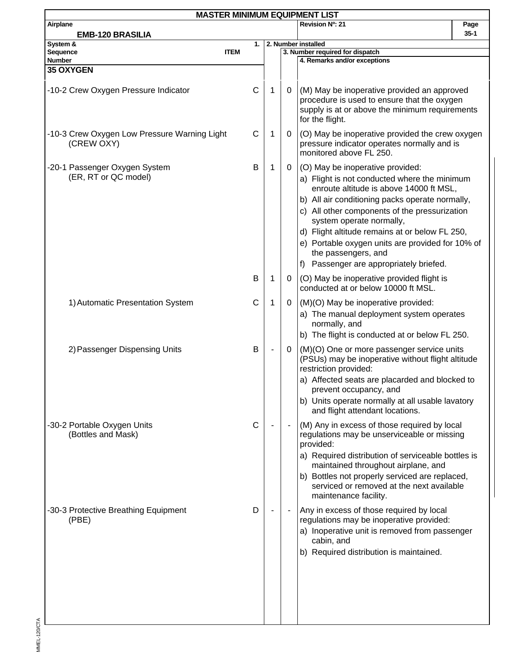| <b>MASTER MINIMUM EQUIPMENT LIST</b>                       |              |   |   |                                                                                                                                                                 |          |  |
|------------------------------------------------------------|--------------|---|---|-----------------------------------------------------------------------------------------------------------------------------------------------------------------|----------|--|
| Airplane                                                   |              |   |   | Revision Nº: 21                                                                                                                                                 | Page     |  |
| <b>EMB-120 BRASILIA</b>                                    |              |   |   |                                                                                                                                                                 | $35 - 1$ |  |
| System &                                                   | 1.           |   |   | 2. Number installed                                                                                                                                             |          |  |
| Sequence<br><b>Number</b>                                  | <b>ITEM</b>  |   |   | 3. Number required for dispatch<br>4. Remarks and/or exceptions                                                                                                 |          |  |
| <b>35 OXYGEN</b>                                           |              |   |   |                                                                                                                                                                 |          |  |
|                                                            |              |   |   |                                                                                                                                                                 |          |  |
| -10-2 Crew Oxygen Pressure Indicator                       | C            | 1 | 0 | (M) May be inoperative provided an approved<br>procedure is used to ensure that the oxygen<br>supply is at or above the minimum requirements<br>for the flight. |          |  |
| -10-3 Crew Oxygen Low Pressure Warning Light<br>(CREW OXY) | C            | 1 | 0 | (O) May be inoperative provided the crew oxygen<br>pressure indicator operates normally and is<br>monitored above FL 250.                                       |          |  |
| -20-1 Passenger Oxygen System                              | В            | 1 | 0 | (O) May be inoperative provided:                                                                                                                                |          |  |
| (ER, RT or QC model)                                       |              |   |   | a) Flight is not conducted where the minimum                                                                                                                    |          |  |
|                                                            |              |   |   | enroute altitude is above 14000 ft MSL,                                                                                                                         |          |  |
|                                                            |              |   |   |                                                                                                                                                                 |          |  |
|                                                            |              |   |   | b) All air conditioning packs operate normally,                                                                                                                 |          |  |
|                                                            |              |   |   | c) All other components of the pressurization<br>system operate normally,                                                                                       |          |  |
|                                                            |              |   |   | d) Flight altitude remains at or below FL 250,                                                                                                                  |          |  |
|                                                            |              |   |   | e) Portable oxygen units are provided for 10% of<br>the passengers, and                                                                                         |          |  |
|                                                            |              |   |   | f) Passenger are appropriately briefed.                                                                                                                         |          |  |
|                                                            |              |   |   |                                                                                                                                                                 |          |  |
|                                                            | В            | 1 | 0 | (O) May be inoperative provided flight is<br>conducted at or below 10000 ft MSL.                                                                                |          |  |
| 1) Automatic Presentation System                           | $\mathsf{C}$ | 1 | 0 | (M)(O) May be inoperative provided:                                                                                                                             |          |  |
|                                                            |              |   |   | a) The manual deployment system operates                                                                                                                        |          |  |
|                                                            |              |   |   | normally, and                                                                                                                                                   |          |  |
|                                                            |              |   |   | b) The flight is conducted at or below FL 250.                                                                                                                  |          |  |
|                                                            |              |   |   |                                                                                                                                                                 |          |  |
| 2) Passenger Dispensing Units                              | B            |   | 0 | (M)(O) One or more passenger service units<br>(PSUs) may be inoperative without flight altitude<br>restriction provided:                                        |          |  |
|                                                            |              |   |   | a) Affected seats are placarded and blocked to<br>prevent occupancy, and                                                                                        |          |  |
|                                                            |              |   |   | b) Units operate normally at all usable lavatory                                                                                                                |          |  |
|                                                            |              |   |   | and flight attendant locations.                                                                                                                                 |          |  |
| -30-2 Portable Oxygen Units<br>(Bottles and Mask)          | C            |   |   | (M) Any in excess of those required by local<br>regulations may be unserviceable or missing<br>provided:                                                        |          |  |
|                                                            |              |   |   | a) Required distribution of serviceable bottles is                                                                                                              |          |  |
|                                                            |              |   |   | maintained throughout airplane, and                                                                                                                             |          |  |
|                                                            |              |   |   | b) Bottles not properly serviced are replaced,                                                                                                                  |          |  |
|                                                            |              |   |   | serviced or removed at the next available<br>maintenance facility.                                                                                              |          |  |
| -30-3 Protective Breathing Equipment                       | D            |   |   | Any in excess of those required by local                                                                                                                        |          |  |
| (PBE)                                                      |              |   |   | regulations may be inoperative provided:                                                                                                                        |          |  |
|                                                            |              |   |   | a) Inoperative unit is removed from passenger                                                                                                                   |          |  |
|                                                            |              |   |   | cabin, and                                                                                                                                                      |          |  |
|                                                            |              |   |   | b) Required distribution is maintained.                                                                                                                         |          |  |
|                                                            |              |   |   |                                                                                                                                                                 |          |  |
|                                                            |              |   |   |                                                                                                                                                                 |          |  |
|                                                            |              |   |   |                                                                                                                                                                 |          |  |
|                                                            |              |   |   |                                                                                                                                                                 |          |  |
|                                                            |              |   |   |                                                                                                                                                                 |          |  |
|                                                            |              |   |   |                                                                                                                                                                 |          |  |
|                                                            |              |   |   |                                                                                                                                                                 |          |  |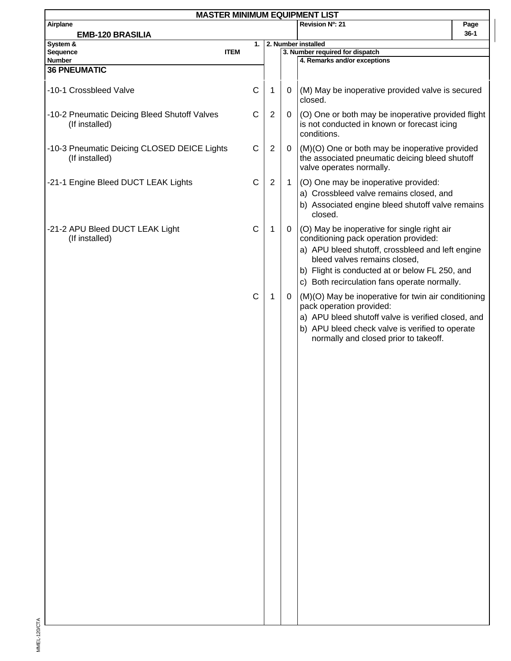|                                                                | <b>MASTER MINIMUM EQUIPMENT LIST</b> |                |              |                                                                                                                                                                                                                                   |                |
|----------------------------------------------------------------|--------------------------------------|----------------|--------------|-----------------------------------------------------------------------------------------------------------------------------------------------------------------------------------------------------------------------------------|----------------|
| Airplane<br><b>EMB-120 BRASILIA</b>                            |                                      |                |              | Revision Nº: 21                                                                                                                                                                                                                   | Page<br>$36-1$ |
| System &                                                       | 1.                                   |                |              | 2. Number installed                                                                                                                                                                                                               |                |
| Sequence                                                       | <b>ITEM</b>                          |                |              | 3. Number required for dispatch                                                                                                                                                                                                   |                |
| <b>Number</b>                                                  |                                      |                |              | 4. Remarks and/or exceptions                                                                                                                                                                                                      |                |
| <b>36 PNEUMATIC</b>                                            |                                      |                |              |                                                                                                                                                                                                                                   |                |
| -10-1 Crossbleed Valve                                         | С                                    | 1              | 0            | (M) May be inoperative provided valve is secured<br>closed.                                                                                                                                                                       |                |
| -10-2 Pneumatic Deicing Bleed Shutoff Valves<br>(If installed) | $\mathsf{C}$                         | $\overline{2}$ | 0            | (O) One or both may be inoperative provided flight<br>is not conducted in known or forecast icing<br>conditions.                                                                                                                  |                |
| -10-3 Pneumatic Deicing CLOSED DEICE Lights<br>(If installed)  | $\mathsf{C}$                         | $\overline{2}$ | 0            | (M)(O) One or both may be inoperative provided<br>the associated pneumatic deicing bleed shutoff<br>valve operates normally.                                                                                                      |                |
| -21-1 Engine Bleed DUCT LEAK Lights                            | C                                    | $\overline{2}$ | $\mathbf{1}$ | (O) One may be inoperative provided:<br>a) Crossbleed valve remains closed, and<br>b) Associated engine bleed shutoff valve remains<br>closed.                                                                                    |                |
| -21-2 APU Bleed DUCT LEAK Light<br>(If installed)              | $\mathsf{C}$                         | 1              | 0            | (O) May be inoperative for single right air<br>conditioning pack operation provided:<br>a) APU bleed shutoff, crossbleed and left engine<br>bleed valves remains closed,<br>b) Flight is conducted at or below FL 250, and        |                |
|                                                                |                                      |                |              | c) Both recirculation fans operate normally.                                                                                                                                                                                      |                |
|                                                                | $\mathsf{C}$                         | 1              | 0            | (M)(O) May be inoperative for twin air conditioning<br>pack operation provided:<br>a) APU bleed shutoff valve is verified closed, and<br>b) APU bleed check valve is verified to operate<br>normally and closed prior to takeoff. |                |
|                                                                |                                      |                |              |                                                                                                                                                                                                                                   |                |

I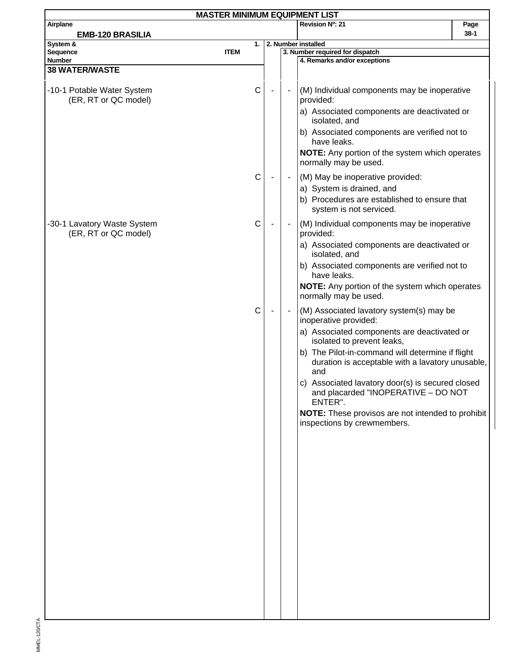|                                                     | <b>MASTER MINIMUM EQUIPMENT LIST</b> |  | Revision Nº: 21                                                                                               |              |
|-----------------------------------------------------|--------------------------------------|--|---------------------------------------------------------------------------------------------------------------|--------------|
| Airplane<br><b>EMB-120 BRASILIA</b>                 |                                      |  |                                                                                                               | Page<br>38-1 |
| System &                                            | 1.                                   |  | 2. Number installed                                                                                           |              |
| Sequence<br><b>Number</b>                           | <b>ITEM</b>                          |  | 3. Number required for dispatch<br>4. Remarks and/or exceptions                                               |              |
| <b>38 WATER/WASTE</b>                               |                                      |  |                                                                                                               |              |
| -10-1 Potable Water System<br>(ER, RT or QC model)  | $\mathsf C$                          |  | (M) Individual components may be inoperative<br>provided:                                                     |              |
|                                                     |                                      |  | a) Associated components are deactivated or<br>isolated, and                                                  |              |
|                                                     |                                      |  | b) Associated components are verified not to<br>have leaks.<br>NOTE: Any portion of the system which operates |              |
|                                                     |                                      |  | normally may be used.                                                                                         |              |
|                                                     | C                                    |  | (M) May be inoperative provided:                                                                              |              |
|                                                     |                                      |  | a) System is drained, and                                                                                     |              |
|                                                     |                                      |  | b) Procedures are established to ensure that<br>system is not serviced.                                       |              |
| -30-1 Lavatory Waste System<br>(ER, RT or QC model) | C                                    |  | (M) Individual components may be inoperative<br>provided:                                                     |              |
|                                                     |                                      |  | a) Associated components are deactivated or<br>isolated, and                                                  |              |
|                                                     |                                      |  | b) Associated components are verified not to<br>have leaks.                                                   |              |
|                                                     |                                      |  | NOTE: Any portion of the system which operates<br>normally may be used.                                       |              |
|                                                     | $\mathsf C$                          |  | (M) Associated lavatory system(s) may be<br>inoperative provided:                                             |              |
|                                                     |                                      |  | a) Associated components are deactivated or<br>isolated to prevent leaks,                                     |              |
|                                                     |                                      |  | b) The Pilot-in-command will determine if flight<br>duration is acceptable with a lavatory unusable,<br>and   |              |
|                                                     |                                      |  | c) Associated lavatory door(s) is secured closed<br>and placarded "INOPERATIVE - DO NOT<br>ENTER".            |              |
|                                                     |                                      |  | NOTE: These provisos are not intended to prohibit<br>inspections by crewmembers.                              |              |
|                                                     |                                      |  |                                                                                                               |              |
|                                                     |                                      |  |                                                                                                               |              |
|                                                     |                                      |  |                                                                                                               |              |
|                                                     |                                      |  |                                                                                                               |              |
|                                                     |                                      |  |                                                                                                               |              |
|                                                     |                                      |  |                                                                                                               |              |
|                                                     |                                      |  |                                                                                                               |              |
|                                                     |                                      |  |                                                                                                               |              |
|                                                     |                                      |  |                                                                                                               |              |
|                                                     |                                      |  |                                                                                                               |              |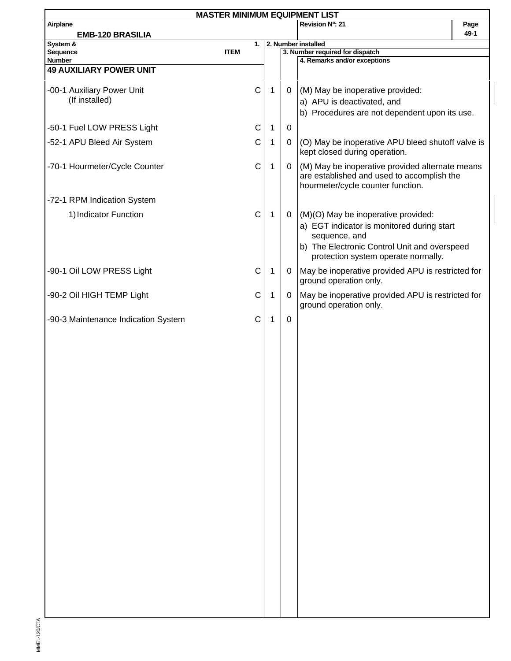| Airplane<br><b>EMB-120 BRASILIA</b> |                   |              |                |                                                                                               | Page<br>49-1 |
|-------------------------------------|-------------------|--------------|----------------|-----------------------------------------------------------------------------------------------|--------------|
| System &<br>Sequence                | 1.<br><b>ITEM</b> |              |                | 2. Number installed<br>3. Number required for dispatch                                        |              |
| Number                              |                   |              |                | 4. Remarks and/or exceptions                                                                  |              |
| <b>49 AUXILIARY POWER UNIT</b>      |                   |              |                |                                                                                               |              |
| -00-1 Auxiliary Power Unit          | $\mathsf{C}$      | $\mathbf 1$  | 0              | (M) May be inoperative provided:                                                              |              |
| (If installed)                      |                   |              |                | a) APU is deactivated, and                                                                    |              |
|                                     |                   |              |                | b) Procedures are not dependent upon its use.                                                 |              |
| -50-1 Fuel LOW PRESS Light          | $\mathsf{C}$      | 1            | $\mathbf{0}$   |                                                                                               |              |
| -52-1 APU Bleed Air System          | $\mathsf{C}$      | $\mathbf{1}$ | 0              | (O) May be inoperative APU bleed shutoff valve is                                             |              |
|                                     |                   |              |                | kept closed during operation.                                                                 |              |
| -70-1 Hourmeter/Cycle Counter       | $\mathsf{C}$      | $\mathbf 1$  | $\overline{0}$ | (M) May be inoperative provided alternate means<br>are established and used to accomplish the |              |
|                                     |                   |              |                | hourmeter/cycle counter function.                                                             |              |
| -72-1 RPM Indication System         |                   |              |                |                                                                                               |              |
| 1) Indicator Function               | $\mathsf{C}$      | 1            | $\overline{0}$ | (M)(O) May be inoperative provided:                                                           |              |
|                                     |                   |              |                | a) EGT indicator is monitored during start                                                    |              |
|                                     |                   |              |                | sequence, and                                                                                 |              |
|                                     |                   |              |                | b) The Electronic Control Unit and overspeed<br>protection system operate normally.           |              |
| -90-1 Oil LOW PRESS Light           | $\mathsf{C}$      | $\mathbf 1$  | $\overline{0}$ | May be inoperative provided APU is restricted for                                             |              |
|                                     |                   |              |                | ground operation only.                                                                        |              |
| -90-2 Oil HIGH TEMP Light           | C                 | 1            | $\mathbf{0}$   | May be inoperative provided APU is restricted for<br>ground operation only.                   |              |
| -90-3 Maintenance Indication System | $\mathsf{C}$      | 1            | $\mathbf 0$    |                                                                                               |              |
|                                     |                   |              |                |                                                                                               |              |
|                                     |                   |              |                |                                                                                               |              |
|                                     |                   |              |                |                                                                                               |              |
|                                     |                   |              |                |                                                                                               |              |
|                                     |                   |              |                |                                                                                               |              |
|                                     |                   |              |                |                                                                                               |              |
|                                     |                   |              |                |                                                                                               |              |
|                                     |                   |              |                |                                                                                               |              |
|                                     |                   |              |                |                                                                                               |              |
|                                     |                   |              |                |                                                                                               |              |
|                                     |                   |              |                |                                                                                               |              |
|                                     |                   |              |                |                                                                                               |              |
|                                     |                   |              |                |                                                                                               |              |
|                                     |                   |              |                |                                                                                               |              |
|                                     |                   |              |                |                                                                                               |              |
|                                     |                   |              |                |                                                                                               |              |
|                                     |                   |              |                |                                                                                               |              |
|                                     |                   |              |                |                                                                                               |              |
|                                     |                   |              |                |                                                                                               |              |
|                                     |                   |              |                |                                                                                               |              |
|                                     |                   |              |                |                                                                                               |              |
|                                     |                   |              |                |                                                                                               |              |
|                                     |                   |              |                |                                                                                               |              |
|                                     |                   |              |                |                                                                                               |              |
|                                     |                   |              |                |                                                                                               |              |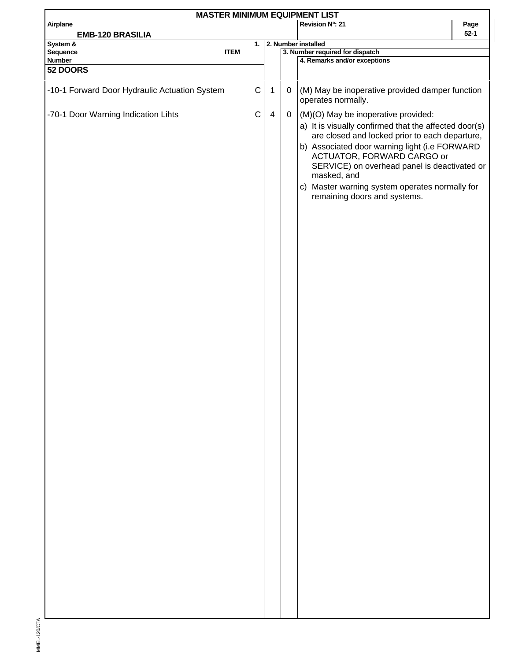| <b>MASTER MINIMUM EQUIPMENT LIST</b>          |             |                         |           |                                                       |                  |  |
|-----------------------------------------------|-------------|-------------------------|-----------|-------------------------------------------------------|------------------|--|
| Airplane<br><b>EMB-120 BRASILIA</b>           |             |                         |           | Revision Nº: 21                                       | Page<br>$52 - 1$ |  |
|                                               | 1.          |                         |           | 2. Number installed                                   |                  |  |
| System &                                      | <b>ITEM</b> |                         |           |                                                       |                  |  |
| Sequence                                      |             |                         |           | 3. Number required for dispatch                       |                  |  |
| Number                                        |             |                         |           | 4. Remarks and/or exceptions                          |                  |  |
| 52 DOORS                                      |             |                         |           |                                                       |                  |  |
|                                               |             |                         |           |                                                       |                  |  |
| -10-1 Forward Door Hydraulic Actuation System | $\mathsf C$ | 1                       | 0         | (M) May be inoperative provided damper function       |                  |  |
|                                               |             |                         |           | operates normally.                                    |                  |  |
|                                               |             |                         |           |                                                       |                  |  |
| -70-1 Door Warning Indication Lihts           | $\mathsf C$ | $\overline{\mathbf{4}}$ | $\pmb{0}$ | (M)(O) May be inoperative provided:                   |                  |  |
|                                               |             |                         |           | a) It is visually confirmed that the affected door(s) |                  |  |
|                                               |             |                         |           | are closed and locked prior to each departure,        |                  |  |
|                                               |             |                         |           | b) Associated door warning light (i.e FORWARD         |                  |  |
|                                               |             |                         |           | ACTUATOR, FORWARD CARGO or                            |                  |  |
|                                               |             |                         |           | SERVICE) on overhead panel is deactivated or          |                  |  |
|                                               |             |                         |           | masked, and                                           |                  |  |
|                                               |             |                         |           |                                                       |                  |  |
|                                               |             |                         |           | c) Master warning system operates normally for        |                  |  |
|                                               |             |                         |           | remaining doors and systems.                          |                  |  |
|                                               |             |                         |           |                                                       |                  |  |
|                                               |             |                         |           |                                                       |                  |  |
|                                               |             |                         |           |                                                       |                  |  |
|                                               |             |                         |           |                                                       |                  |  |
|                                               |             |                         |           |                                                       |                  |  |
|                                               |             |                         |           |                                                       |                  |  |
|                                               |             |                         |           |                                                       |                  |  |
|                                               |             |                         |           |                                                       |                  |  |
|                                               |             |                         |           |                                                       |                  |  |
|                                               |             |                         |           |                                                       |                  |  |
|                                               |             |                         |           |                                                       |                  |  |
|                                               |             |                         |           |                                                       |                  |  |
|                                               |             |                         |           |                                                       |                  |  |
|                                               |             |                         |           |                                                       |                  |  |
|                                               |             |                         |           |                                                       |                  |  |
|                                               |             |                         |           |                                                       |                  |  |
|                                               |             |                         |           |                                                       |                  |  |
|                                               |             |                         |           |                                                       |                  |  |
|                                               |             |                         |           |                                                       |                  |  |
|                                               |             |                         |           |                                                       |                  |  |
|                                               |             |                         |           |                                                       |                  |  |
|                                               |             |                         |           |                                                       |                  |  |
|                                               |             |                         |           |                                                       |                  |  |
|                                               |             |                         |           |                                                       |                  |  |
|                                               |             |                         |           |                                                       |                  |  |
|                                               |             |                         |           |                                                       |                  |  |
|                                               |             |                         |           |                                                       |                  |  |
|                                               |             |                         |           |                                                       |                  |  |
|                                               |             |                         |           |                                                       |                  |  |
|                                               |             |                         |           |                                                       |                  |  |
|                                               |             |                         |           |                                                       |                  |  |
|                                               |             |                         |           |                                                       |                  |  |
|                                               |             |                         |           |                                                       |                  |  |
|                                               |             |                         |           |                                                       |                  |  |
|                                               |             |                         |           |                                                       |                  |  |
|                                               |             |                         |           |                                                       |                  |  |
|                                               |             |                         |           |                                                       |                  |  |
|                                               |             |                         |           |                                                       |                  |  |
|                                               |             |                         |           |                                                       |                  |  |
|                                               |             |                         |           |                                                       |                  |  |
|                                               |             |                         |           |                                                       |                  |  |
|                                               |             |                         |           |                                                       |                  |  |
|                                               |             |                         |           |                                                       |                  |  |
|                                               |             |                         |           |                                                       |                  |  |
|                                               |             |                         |           |                                                       |                  |  |
|                                               |             |                         |           |                                                       |                  |  |
|                                               |             |                         |           |                                                       |                  |  |
|                                               |             |                         |           |                                                       |                  |  |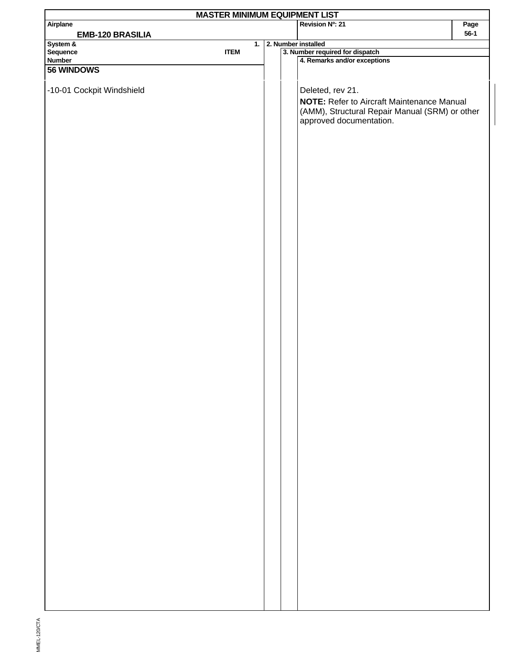| <b>MASTER MINIMUM EQUIPMENT LIST</b> |             |  |                                                                 |        |  |  |  |  |
|--------------------------------------|-------------|--|-----------------------------------------------------------------|--------|--|--|--|--|
| Airplane                             |             |  | Revision Nº: 21                                                 | Page   |  |  |  |  |
| <b>EMB-120 BRASILIA</b>              |             |  |                                                                 | $56-1$ |  |  |  |  |
| System &                             | 1.          |  | 2. Number installed                                             |        |  |  |  |  |
| Sequence                             | <b>ITEM</b> |  | 3. Number required for dispatch<br>4. Remarks and/or exceptions |        |  |  |  |  |
| <b>Number</b>                        |             |  |                                                                 |        |  |  |  |  |
| 56 WINDOWS                           |             |  |                                                                 |        |  |  |  |  |
|                                      |             |  |                                                                 |        |  |  |  |  |
| -10-01 Cockpit Windshield            |             |  | Deleted, rev 21.                                                |        |  |  |  |  |
|                                      |             |  | <b>NOTE:</b> Refer to Aircraft Maintenance Manual               |        |  |  |  |  |
|                                      |             |  | (AMM), Structural Repair Manual (SRM) or other                  |        |  |  |  |  |
|                                      |             |  | approved documentation.                                         |        |  |  |  |  |
|                                      |             |  |                                                                 |        |  |  |  |  |
|                                      |             |  |                                                                 |        |  |  |  |  |
|                                      |             |  |                                                                 |        |  |  |  |  |
|                                      |             |  |                                                                 |        |  |  |  |  |
|                                      |             |  |                                                                 |        |  |  |  |  |
|                                      |             |  |                                                                 |        |  |  |  |  |
|                                      |             |  |                                                                 |        |  |  |  |  |
|                                      |             |  |                                                                 |        |  |  |  |  |
|                                      |             |  |                                                                 |        |  |  |  |  |
|                                      |             |  |                                                                 |        |  |  |  |  |
|                                      |             |  |                                                                 |        |  |  |  |  |
|                                      |             |  |                                                                 |        |  |  |  |  |
|                                      |             |  |                                                                 |        |  |  |  |  |
|                                      |             |  |                                                                 |        |  |  |  |  |
|                                      |             |  |                                                                 |        |  |  |  |  |
|                                      |             |  |                                                                 |        |  |  |  |  |
|                                      |             |  |                                                                 |        |  |  |  |  |
|                                      |             |  |                                                                 |        |  |  |  |  |
|                                      |             |  |                                                                 |        |  |  |  |  |
|                                      |             |  |                                                                 |        |  |  |  |  |
|                                      |             |  |                                                                 |        |  |  |  |  |
|                                      |             |  |                                                                 |        |  |  |  |  |
|                                      |             |  |                                                                 |        |  |  |  |  |
|                                      |             |  |                                                                 |        |  |  |  |  |
|                                      |             |  |                                                                 |        |  |  |  |  |
|                                      |             |  |                                                                 |        |  |  |  |  |
|                                      |             |  |                                                                 |        |  |  |  |  |
|                                      |             |  |                                                                 |        |  |  |  |  |
|                                      |             |  |                                                                 |        |  |  |  |  |
|                                      |             |  |                                                                 |        |  |  |  |  |
|                                      |             |  |                                                                 |        |  |  |  |  |
|                                      |             |  |                                                                 |        |  |  |  |  |
|                                      |             |  |                                                                 |        |  |  |  |  |
|                                      |             |  |                                                                 |        |  |  |  |  |
|                                      |             |  |                                                                 |        |  |  |  |  |
|                                      |             |  |                                                                 |        |  |  |  |  |
|                                      |             |  |                                                                 |        |  |  |  |  |
|                                      |             |  |                                                                 |        |  |  |  |  |
|                                      |             |  |                                                                 |        |  |  |  |  |
|                                      |             |  |                                                                 |        |  |  |  |  |
|                                      |             |  |                                                                 |        |  |  |  |  |
|                                      |             |  |                                                                 |        |  |  |  |  |
|                                      |             |  |                                                                 |        |  |  |  |  |
|                                      |             |  |                                                                 |        |  |  |  |  |
|                                      |             |  |                                                                 |        |  |  |  |  |
|                                      |             |  |                                                                 |        |  |  |  |  |
|                                      |             |  |                                                                 |        |  |  |  |  |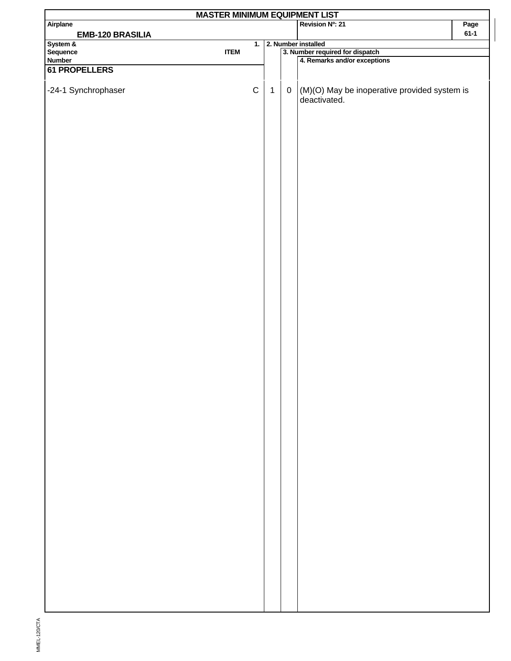| <b>MASTER MINIMUM EQUIPMENT LIST</b> |             |             |              |             |                                                                 |        |  |
|--------------------------------------|-------------|-------------|--------------|-------------|-----------------------------------------------------------------|--------|--|
| Airplane                             |             |             |              |             | Revision Nº: 21                                                 | Page   |  |
| <b>EMB-120 BRASILIA</b>              |             |             |              |             |                                                                 | $61-1$ |  |
| System &                             |             |             |              |             | 1. 2. Number installed                                          |        |  |
| Sequence                             | <b>ITEM</b> |             |              |             | 3. Number required for dispatch<br>4. Remarks and/or exceptions |        |  |
| <b>Number</b>                        |             |             |              |             |                                                                 |        |  |
| <b>61 PROPELLERS</b>                 |             |             |              |             |                                                                 |        |  |
| -24-1 Synchrophaser                  |             | $\mathsf C$ | $\mathbf{1}$ | $\mathbf 0$ | (M)(O) May be inoperative provided system is<br>deactivated.    |        |  |
|                                      |             |             |              |             |                                                                 |        |  |
|                                      |             |             |              |             |                                                                 |        |  |
|                                      |             |             |              |             |                                                                 |        |  |
|                                      |             |             |              |             |                                                                 |        |  |
|                                      |             |             |              |             |                                                                 |        |  |
|                                      |             |             |              |             |                                                                 |        |  |
|                                      |             |             |              |             |                                                                 |        |  |
|                                      |             |             |              |             |                                                                 |        |  |
|                                      |             |             |              |             |                                                                 |        |  |
|                                      |             |             |              |             |                                                                 |        |  |
|                                      |             |             |              |             |                                                                 |        |  |
|                                      |             |             |              |             |                                                                 |        |  |
|                                      |             |             |              |             |                                                                 |        |  |
|                                      |             |             |              |             |                                                                 |        |  |
|                                      |             |             |              |             |                                                                 |        |  |
|                                      |             |             |              |             |                                                                 |        |  |
|                                      |             |             |              |             |                                                                 |        |  |
|                                      |             |             |              |             |                                                                 |        |  |
|                                      |             |             |              |             |                                                                 |        |  |
|                                      |             |             |              |             |                                                                 |        |  |
|                                      |             |             |              |             |                                                                 |        |  |
|                                      |             |             |              |             |                                                                 |        |  |
|                                      |             |             |              |             |                                                                 |        |  |
|                                      |             |             |              |             |                                                                 |        |  |
|                                      |             |             |              |             |                                                                 |        |  |
|                                      |             |             |              |             |                                                                 |        |  |
|                                      |             |             |              |             |                                                                 |        |  |
|                                      |             |             |              |             |                                                                 |        |  |
|                                      |             |             |              |             |                                                                 |        |  |
|                                      |             |             |              |             |                                                                 |        |  |
|                                      |             |             |              |             |                                                                 |        |  |
|                                      |             |             |              |             |                                                                 |        |  |
|                                      |             |             |              |             |                                                                 |        |  |
|                                      |             |             |              |             |                                                                 |        |  |
|                                      |             |             |              |             |                                                                 |        |  |
|                                      |             |             |              |             |                                                                 |        |  |
|                                      |             |             |              |             |                                                                 |        |  |
|                                      |             |             |              |             |                                                                 |        |  |
|                                      |             |             |              |             |                                                                 |        |  |
|                                      |             |             |              |             |                                                                 |        |  |
|                                      |             |             |              |             |                                                                 |        |  |
|                                      |             |             |              |             |                                                                 |        |  |
|                                      |             |             |              |             |                                                                 |        |  |
|                                      |             |             |              |             |                                                                 |        |  |
|                                      |             |             |              |             |                                                                 |        |  |
|                                      |             |             |              |             |                                                                 |        |  |
|                                      |             |             |              |             |                                                                 |        |  |
|                                      |             |             |              |             |                                                                 |        |  |
|                                      |             |             |              |             |                                                                 |        |  |
|                                      |             |             |              |             |                                                                 |        |  |
|                                      |             |             |              |             |                                                                 |        |  |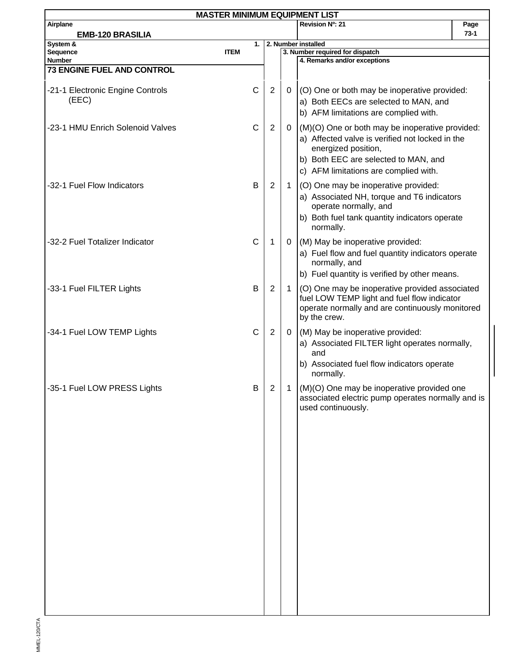|                                                    | <b>MASTER MINIMUM EQUIPMENT LIST</b> |                |              |                                                                                                                                                                                                            |                |
|----------------------------------------------------|--------------------------------------|----------------|--------------|------------------------------------------------------------------------------------------------------------------------------------------------------------------------------------------------------------|----------------|
| Airplane<br><b>EMB-120 BRASILIA</b>                |                                      |                |              | Revision Nº: 21                                                                                                                                                                                            | Page<br>$73-1$ |
| System &                                           | 1.                                   |                |              | 2. Number installed                                                                                                                                                                                        |                |
| Sequence                                           | <b>ITEM</b>                          |                |              | 3. Number required for dispatch                                                                                                                                                                            |                |
| <b>Number</b><br><b>73 ENGINE FUEL AND CONTROL</b> |                                      |                |              | 4. Remarks and/or exceptions                                                                                                                                                                               |                |
|                                                    |                                      |                |              |                                                                                                                                                                                                            |                |
| -21-1 Electronic Engine Controls                   | $\mathsf{C}$                         | 2              | 0            | (O) One or both may be inoperative provided:                                                                                                                                                               |                |
| (EEC)                                              |                                      |                |              | a) Both EECs are selected to MAN, and                                                                                                                                                                      |                |
|                                                    |                                      |                |              | b) AFM limitations are complied with.                                                                                                                                                                      |                |
| -23-1 HMU Enrich Solenoid Valves                   | $\mathsf C$                          | $\overline{2}$ | 0            | (M)(O) One or both may be inoperative provided:<br>a) Affected valve is verified not locked in the<br>energized position,<br>b) Both EEC are selected to MAN, and<br>c) AFM limitations are complied with. |                |
| -32-1 Fuel Flow Indicators                         | B                                    | $\overline{2}$ | $\mathbf{1}$ | (O) One may be inoperative provided:                                                                                                                                                                       |                |
|                                                    |                                      |                |              | a) Associated NH, torque and T6 indicators                                                                                                                                                                 |                |
|                                                    |                                      |                |              | operate normally, and                                                                                                                                                                                      |                |
|                                                    |                                      |                |              | b) Both fuel tank quantity indicators operate<br>normally.                                                                                                                                                 |                |
| -32-2 Fuel Totalizer Indicator                     | $\mathsf{C}$                         | 1              | 0            | (M) May be inoperative provided:                                                                                                                                                                           |                |
|                                                    |                                      |                |              | a) Fuel flow and fuel quantity indicators operate<br>normally, and                                                                                                                                         |                |
|                                                    |                                      |                |              | b) Fuel quantity is verified by other means.                                                                                                                                                               |                |
|                                                    | B                                    |                |              |                                                                                                                                                                                                            |                |
| -33-1 Fuel FILTER Lights                           |                                      | $\overline{2}$ | $\mathbf{1}$ | (O) One may be inoperative provided associated<br>fuel LOW TEMP light and fuel flow indicator<br>operate normally and are continuously monitored<br>by the crew.                                           |                |
| -34-1 Fuel LOW TEMP Lights                         | $\mathsf{C}$                         | $\overline{2}$ | 0            | (M) May be inoperative provided:                                                                                                                                                                           |                |
|                                                    |                                      |                |              | a) Associated FILTER light operates normally,                                                                                                                                                              |                |
|                                                    |                                      |                |              | and                                                                                                                                                                                                        |                |
|                                                    |                                      |                |              | b) Associated fuel flow indicators operate<br>normally.                                                                                                                                                    |                |
| -35-1 Fuel LOW PRESS Lights                        | В                                    | 2              | 1            | (M)(O) One may be inoperative provided one<br>associated electric pump operates normally and is<br>used continuously.                                                                                      |                |
|                                                    |                                      |                |              |                                                                                                                                                                                                            |                |
|                                                    |                                      |                |              |                                                                                                                                                                                                            |                |
|                                                    |                                      |                |              |                                                                                                                                                                                                            |                |
|                                                    |                                      |                |              |                                                                                                                                                                                                            |                |
|                                                    |                                      |                |              |                                                                                                                                                                                                            |                |
|                                                    |                                      |                |              |                                                                                                                                                                                                            |                |
|                                                    |                                      |                |              |                                                                                                                                                                                                            |                |
|                                                    |                                      |                |              |                                                                                                                                                                                                            |                |
|                                                    |                                      |                |              |                                                                                                                                                                                                            |                |
|                                                    |                                      |                |              |                                                                                                                                                                                                            |                |
|                                                    |                                      |                |              |                                                                                                                                                                                                            |                |
|                                                    |                                      |                |              |                                                                                                                                                                                                            |                |
|                                                    |                                      |                |              |                                                                                                                                                                                                            |                |
|                                                    |                                      |                |              |                                                                                                                                                                                                            |                |
|                                                    |                                      |                |              |                                                                                                                                                                                                            |                |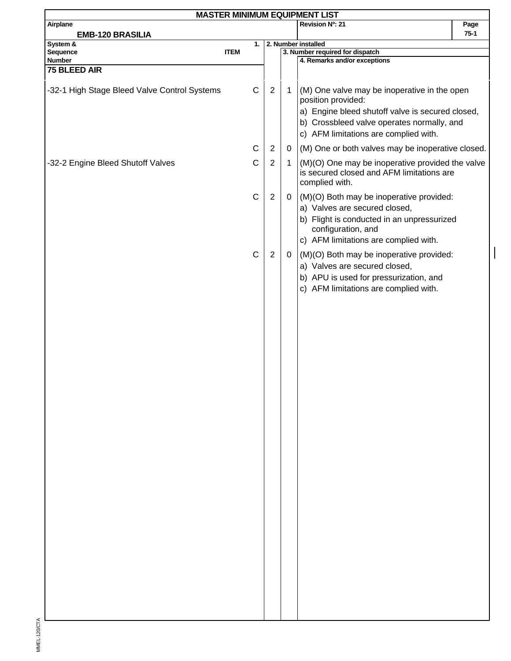| <b>MASTER MINIMUM EQUIPMENT LIST</b>         |             |                |              |                                                                                                                                                                                        |                |  |  |  |
|----------------------------------------------|-------------|----------------|--------------|----------------------------------------------------------------------------------------------------------------------------------------------------------------------------------------|----------------|--|--|--|
| Airplane<br><b>EMB-120 BRASILIA</b>          |             |                |              | Revision Nº: 21                                                                                                                                                                        | Page<br>$75-1$ |  |  |  |
| System &                                     | 1.          |                |              | 2. Number installed                                                                                                                                                                    |                |  |  |  |
| Sequence<br>Number                           | <b>ITEM</b> |                |              | 3. Number required for dispatch<br>4. Remarks and/or exceptions                                                                                                                        |                |  |  |  |
| 75 BLEED AIR                                 |             |                |              |                                                                                                                                                                                        |                |  |  |  |
| -32-1 High Stage Bleed Valve Control Systems | $\mathsf C$ | $\overline{2}$ | $\mathbf{1}$ | (M) One valve may be inoperative in the open<br>position provided:                                                                                                                     |                |  |  |  |
|                                              |             |                |              | a) Engine bleed shutoff valve is secured closed,<br>b) Crossbleed valve operates normally, and<br>c) AFM limitations are complied with.                                                |                |  |  |  |
|                                              | C           | $\overline{2}$ | 0            | (M) One or both valves may be inoperative closed.                                                                                                                                      |                |  |  |  |
| -32-2 Engine Bleed Shutoff Valves            | $\mathsf C$ | $\overline{2}$ | $\mathbf{1}$ | (M)(O) One may be inoperative provided the valve<br>is secured closed and AFM limitations are<br>complied with.                                                                        |                |  |  |  |
|                                              | $\mathsf C$ | $\sqrt{2}$     | 0            | (M)(O) Both may be inoperative provided:<br>a) Valves are secured closed,<br>b) Flight is conducted in an unpressurized<br>configuration, and<br>c) AFM limitations are complied with. |                |  |  |  |
|                                              | $\mathsf C$ | $\overline{2}$ | 0            | (M)(O) Both may be inoperative provided:<br>a) Valves are secured closed,<br>b) APU is used for pressurization, and<br>c) AFM limitations are complied with.                           |                |  |  |  |
|                                              |             |                |              |                                                                                                                                                                                        |                |  |  |  |
|                                              |             |                |              |                                                                                                                                                                                        |                |  |  |  |
|                                              |             |                |              |                                                                                                                                                                                        |                |  |  |  |
|                                              |             |                |              |                                                                                                                                                                                        |                |  |  |  |
|                                              |             |                |              |                                                                                                                                                                                        |                |  |  |  |
|                                              |             |                |              |                                                                                                                                                                                        |                |  |  |  |
|                                              |             |                |              |                                                                                                                                                                                        |                |  |  |  |
|                                              |             |                |              |                                                                                                                                                                                        |                |  |  |  |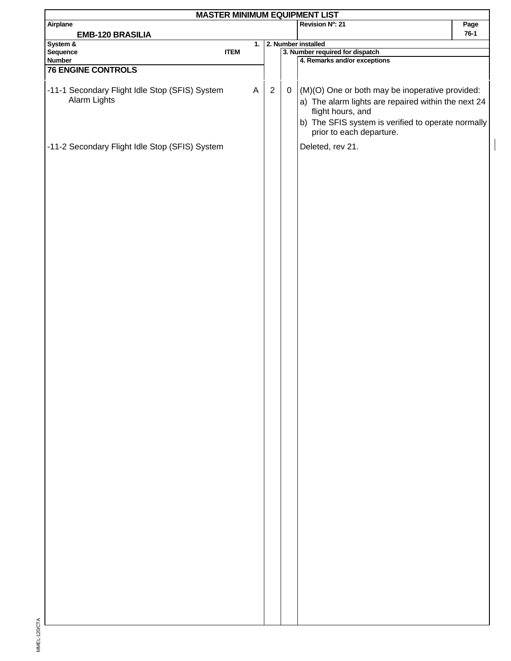| <b>MASTER MINIMUM EQUIPMENT LIST</b>           |             |                |           |                                                     |        |  |  |  |
|------------------------------------------------|-------------|----------------|-----------|-----------------------------------------------------|--------|--|--|--|
| Airplane                                       |             |                |           | Revision Nº: 21                                     | Page   |  |  |  |
| <b>EMB-120 BRASILIA</b>                        |             |                |           |                                                     | $76-1$ |  |  |  |
| System &                                       | 1.          |                |           | 2. Number installed                                 |        |  |  |  |
| Sequence                                       | <b>ITEM</b> |                |           | 3. Number required for dispatch                     |        |  |  |  |
| Number                                         |             |                |           | 4. Remarks and/or exceptions                        |        |  |  |  |
| <b>76 ENGINE CONTROLS</b>                      |             |                |           |                                                     |        |  |  |  |
|                                                |             |                |           |                                                     |        |  |  |  |
| -11-1 Secondary Flight Idle Stop (SFIS) System | A           | $\overline{2}$ | $\pmb{0}$ | (M)(O) One or both may be inoperative provided:     |        |  |  |  |
| Alarm Lights                                   |             |                |           | a) The alarm lights are repaired within the next 24 |        |  |  |  |
|                                                |             |                |           | flight hours, and                                   |        |  |  |  |
|                                                |             |                |           | b) The SFIS system is verified to operate normally  |        |  |  |  |
|                                                |             |                |           | prior to each departure.                            |        |  |  |  |
|                                                |             |                |           |                                                     |        |  |  |  |
| -11-2 Secondary Flight Idle Stop (SFIS) System |             |                |           | Deleted, rev 21.                                    |        |  |  |  |
|                                                |             |                |           |                                                     |        |  |  |  |
|                                                |             |                |           |                                                     |        |  |  |  |
|                                                |             |                |           |                                                     |        |  |  |  |
|                                                |             |                |           |                                                     |        |  |  |  |
|                                                |             |                |           |                                                     |        |  |  |  |
|                                                |             |                |           |                                                     |        |  |  |  |
|                                                |             |                |           |                                                     |        |  |  |  |
|                                                |             |                |           |                                                     |        |  |  |  |
|                                                |             |                |           |                                                     |        |  |  |  |
|                                                |             |                |           |                                                     |        |  |  |  |
|                                                |             |                |           |                                                     |        |  |  |  |
|                                                |             |                |           |                                                     |        |  |  |  |
|                                                |             |                |           |                                                     |        |  |  |  |
|                                                |             |                |           |                                                     |        |  |  |  |
|                                                |             |                |           |                                                     |        |  |  |  |
|                                                |             |                |           |                                                     |        |  |  |  |
|                                                |             |                |           |                                                     |        |  |  |  |
|                                                |             |                |           |                                                     |        |  |  |  |
|                                                |             |                |           |                                                     |        |  |  |  |
|                                                |             |                |           |                                                     |        |  |  |  |
|                                                |             |                |           |                                                     |        |  |  |  |
|                                                |             |                |           |                                                     |        |  |  |  |
|                                                |             |                |           |                                                     |        |  |  |  |
|                                                |             |                |           |                                                     |        |  |  |  |
|                                                |             |                |           |                                                     |        |  |  |  |
|                                                |             |                |           |                                                     |        |  |  |  |
|                                                |             |                |           |                                                     |        |  |  |  |
|                                                |             |                |           |                                                     |        |  |  |  |
|                                                |             |                |           |                                                     |        |  |  |  |
|                                                |             |                |           |                                                     |        |  |  |  |
|                                                |             |                |           |                                                     |        |  |  |  |
|                                                |             |                |           |                                                     |        |  |  |  |
|                                                |             |                |           |                                                     |        |  |  |  |
|                                                |             |                |           |                                                     |        |  |  |  |
|                                                |             |                |           |                                                     |        |  |  |  |
|                                                |             |                |           |                                                     |        |  |  |  |
|                                                |             |                |           |                                                     |        |  |  |  |
|                                                |             |                |           |                                                     |        |  |  |  |
|                                                |             |                |           |                                                     |        |  |  |  |
|                                                |             |                |           |                                                     |        |  |  |  |
|                                                |             |                |           |                                                     |        |  |  |  |
|                                                |             |                |           |                                                     |        |  |  |  |
|                                                |             |                |           |                                                     |        |  |  |  |
|                                                |             |                |           |                                                     |        |  |  |  |
|                                                |             |                |           |                                                     |        |  |  |  |
|                                                |             |                |           |                                                     |        |  |  |  |
|                                                |             |                |           |                                                     |        |  |  |  |
|                                                |             |                |           |                                                     |        |  |  |  |
|                                                |             |                |           |                                                     |        |  |  |  |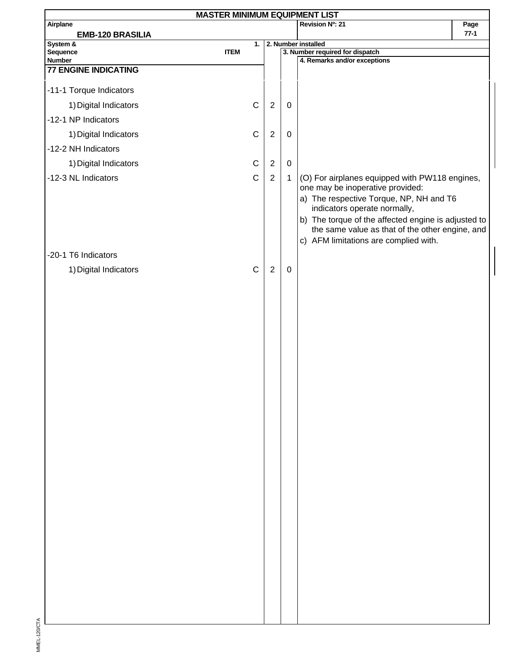| <b>MASTER MINIMUM EQUIPMENT LIST</b> |                                                                         |                                                                                            |                                                                                                                                                                                                                       |                                                                                                                                                                                                      |
|--------------------------------------|-------------------------------------------------------------------------|--------------------------------------------------------------------------------------------|-----------------------------------------------------------------------------------------------------------------------------------------------------------------------------------------------------------------------|------------------------------------------------------------------------------------------------------------------------------------------------------------------------------------------------------|
|                                      |                                                                         |                                                                                            |                                                                                                                                                                                                                       | Page<br>$77-1$                                                                                                                                                                                       |
| 1.                                   |                                                                         |                                                                                            |                                                                                                                                                                                                                       |                                                                                                                                                                                                      |
| <b>ITEM</b>                          |                                                                         |                                                                                            |                                                                                                                                                                                                                       |                                                                                                                                                                                                      |
|                                      |                                                                         |                                                                                            |                                                                                                                                                                                                                       |                                                                                                                                                                                                      |
|                                      |                                                                         |                                                                                            |                                                                                                                                                                                                                       |                                                                                                                                                                                                      |
|                                      |                                                                         |                                                                                            |                                                                                                                                                                                                                       |                                                                                                                                                                                                      |
|                                      |                                                                         |                                                                                            |                                                                                                                                                                                                                       |                                                                                                                                                                                                      |
|                                      |                                                                         |                                                                                            |                                                                                                                                                                                                                       |                                                                                                                                                                                                      |
|                                      |                                                                         |                                                                                            |                                                                                                                                                                                                                       |                                                                                                                                                                                                      |
|                                      |                                                                         |                                                                                            |                                                                                                                                                                                                                       |                                                                                                                                                                                                      |
|                                      |                                                                         |                                                                                            |                                                                                                                                                                                                                       |                                                                                                                                                                                                      |
|                                      |                                                                         |                                                                                            | one may be inoperative provided:<br>a) The respective Torque, NP, NH and T6<br>indicators operate normally,<br>b) The torque of the affected engine is adjusted to<br>the same value as that of the other engine, and |                                                                                                                                                                                                      |
|                                      |                                                                         |                                                                                            |                                                                                                                                                                                                                       |                                                                                                                                                                                                      |
|                                      |                                                                         |                                                                                            |                                                                                                                                                                                                                       |                                                                                                                                                                                                      |
|                                      |                                                                         |                                                                                            |                                                                                                                                                                                                                       |                                                                                                                                                                                                      |
|                                      | $\mathsf C$<br>$\mathsf C$<br>$\mathsf C$<br>$\mathsf C$<br>$\mathsf C$ | $\overline{2}$<br>$\overline{2}$<br>$\boldsymbol{2}$<br>$\overline{2}$<br>$\boldsymbol{2}$ | $\mathbf 0$<br>$\mathbf 0$<br>$\mathbf 0$<br>$\mathbf 1$<br>$\mathbf 0$                                                                                                                                               | Revision Nº: 21<br>2. Number installed<br>3. Number required for dispatch<br>4. Remarks and/or exceptions<br>(O) For airplanes equipped with PW118 engines,<br>c) AFM limitations are complied with. |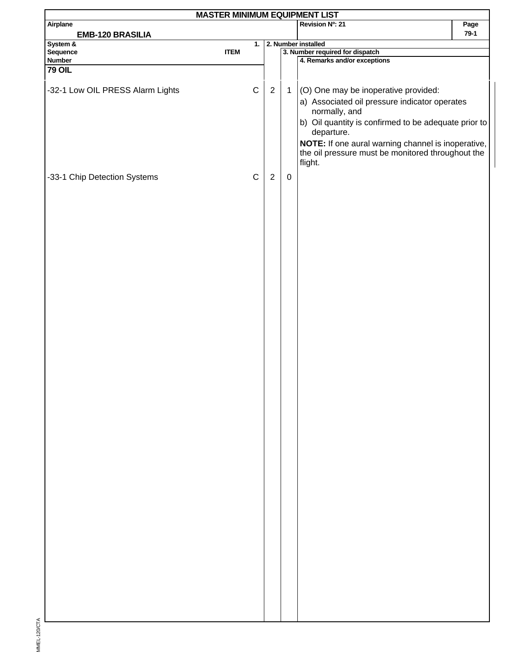| Airplane<br><b>EMB-120 BRASILIA</b> |             |                  |            |              | Revision Nº: 21                                                | Page<br>$79-1$ |
|-------------------------------------|-------------|------------------|------------|--------------|----------------------------------------------------------------|----------------|
| System &                            |             | $\overline{1}$ . |            |              | 2. Number installed                                            |                |
| Sequence                            | <b>ITEM</b> |                  |            |              | 3. Number required for dispatch                                |                |
| Number                              |             |                  |            |              | 4. Remarks and/or exceptions                                   |                |
| <b>79 OIL</b>                       |             |                  |            |              |                                                                |                |
| -32-1 Low OIL PRESS Alarm Lights    |             | $\mathsf C$      | $\sqrt{2}$ | $\mathbf{1}$ | (O) One may be inoperative provided:                           |                |
|                                     |             |                  |            |              |                                                                |                |
|                                     |             |                  |            |              | a) Associated oil pressure indicator operates<br>normally, and |                |
|                                     |             |                  |            |              | b) Oil quantity is confirmed to be adequate prior to           |                |
|                                     |             |                  |            |              | departure.                                                     |                |
|                                     |             |                  |            |              | NOTE: If one aural warning channel is inoperative,             |                |
|                                     |             |                  |            |              | the oil pressure must be monitored throughout the              |                |
|                                     |             |                  |            |              | flight.                                                        |                |
| -33-1 Chip Detection Systems        |             | $\mathsf C$      | $\sqrt{2}$ | $\pmb{0}$    |                                                                |                |
|                                     |             |                  |            |              |                                                                |                |
|                                     |             |                  |            |              |                                                                |                |
|                                     |             |                  |            |              |                                                                |                |
|                                     |             |                  |            |              |                                                                |                |
|                                     |             |                  |            |              |                                                                |                |
|                                     |             |                  |            |              |                                                                |                |
|                                     |             |                  |            |              |                                                                |                |
|                                     |             |                  |            |              |                                                                |                |
|                                     |             |                  |            |              |                                                                |                |
|                                     |             |                  |            |              |                                                                |                |
|                                     |             |                  |            |              |                                                                |                |
|                                     |             |                  |            |              |                                                                |                |
|                                     |             |                  |            |              |                                                                |                |
|                                     |             |                  |            |              |                                                                |                |
|                                     |             |                  |            |              |                                                                |                |
|                                     |             |                  |            |              |                                                                |                |
|                                     |             |                  |            |              |                                                                |                |
|                                     |             |                  |            |              |                                                                |                |
|                                     |             |                  |            |              |                                                                |                |
|                                     |             |                  |            |              |                                                                |                |
|                                     |             |                  |            |              |                                                                |                |
|                                     |             |                  |            |              |                                                                |                |
|                                     |             |                  |            |              |                                                                |                |
|                                     |             |                  |            |              |                                                                |                |
|                                     |             |                  |            |              |                                                                |                |
|                                     |             |                  |            |              |                                                                |                |
|                                     |             |                  |            |              |                                                                |                |
|                                     |             |                  |            |              |                                                                |                |
|                                     |             |                  |            |              |                                                                |                |
|                                     |             |                  |            |              |                                                                |                |
|                                     |             |                  |            |              |                                                                |                |
|                                     |             |                  |            |              |                                                                |                |
|                                     |             |                  |            |              |                                                                |                |
|                                     |             |                  |            |              |                                                                |                |
|                                     |             |                  |            |              |                                                                |                |
|                                     |             |                  |            |              |                                                                |                |
|                                     |             |                  |            |              |                                                                |                |
|                                     |             |                  |            |              |                                                                |                |
|                                     |             |                  |            |              |                                                                |                |
|                                     |             |                  |            |              |                                                                |                |
|                                     |             |                  |            |              |                                                                |                |
|                                     |             |                  |            |              |                                                                |                |
|                                     |             |                  |            |              |                                                                |                |
|                                     |             |                  |            |              |                                                                |                |